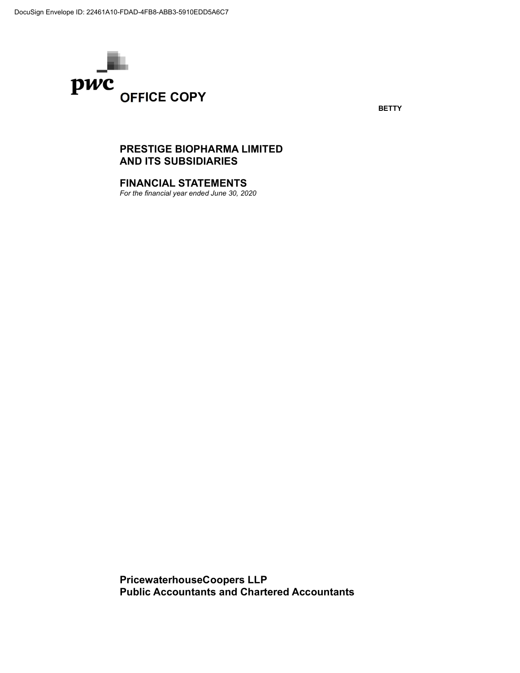

**BETTY** 

### PRESTIGE BIOPHARMA LIMITED AND ITS SUBSIDIARIES

### FINANCIAL STATEMENTS

For the financial year ended June 30, 2020

PricewaterhouseCoopers LLP Public Accountants and Chartered Accountants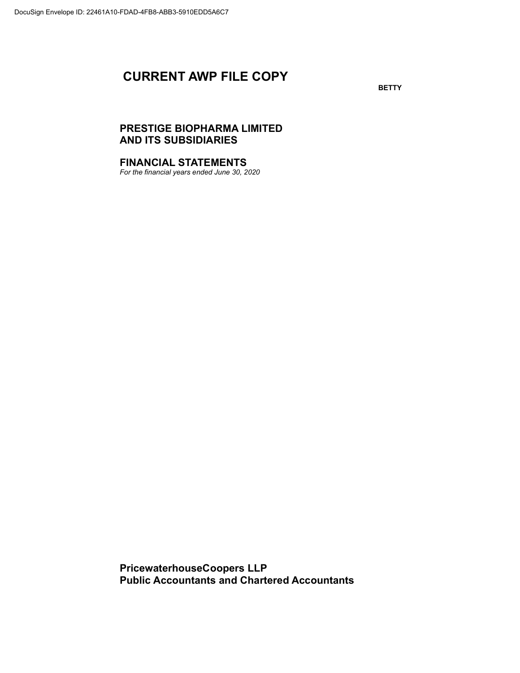# CURRENT AWP FILE COPY

is a state of the state of the state of the state of the state of the BETTY state of the state of the state of

### PRESTIGE BIOPHARMA LIMITED AND ITS SUBSIDIARIES

## FINANCIAL STATEMENTS

For the financial years ended June 30, 2020

PricewaterhouseCoopers LLP Public Accountants and Chartered Accountants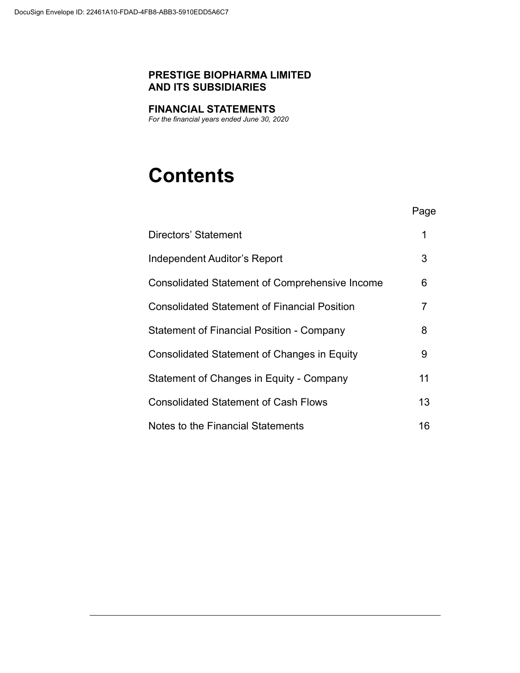### PRESTIGE BIOPHARMA LIMITED AND ITS SUBSIDIARIES

### FINANCIAL STATEMENTS

For the financial years ended June 30, 2020

# **Contents**

|                                                       | Page           |
|-------------------------------------------------------|----------------|
| Directors' Statement                                  | 1              |
| Independent Auditor's Report                          | 3              |
| <b>Consolidated Statement of Comprehensive Income</b> | 6              |
| <b>Consolidated Statement of Financial Position</b>   | $\overline{7}$ |
| <b>Statement of Financial Position - Company</b>      | 8              |
| <b>Consolidated Statement of Changes in Equity</b>    | 9              |
| Statement of Changes in Equity - Company              | 11             |
| <b>Consolidated Statement of Cash Flows</b>           | 13             |
| Notes to the Financial Statements                     | 16             |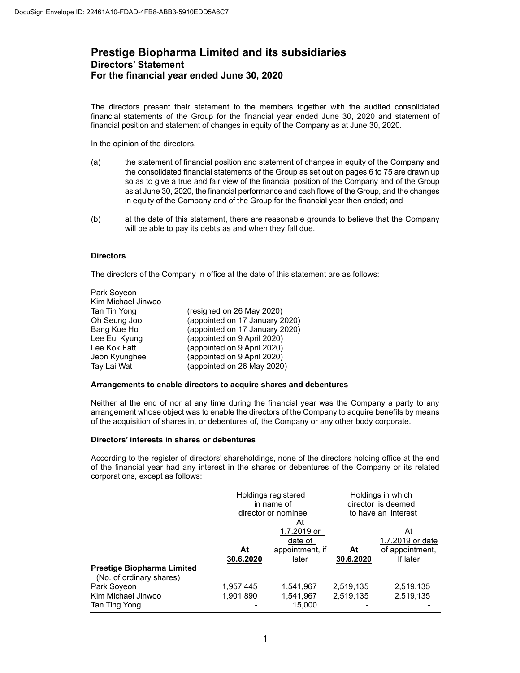### Prestige Biopharma Limited and its subsidiaries Directors' Statement For the financial year ended June 30, 2020

The directors present their statement to the members together with the audited consolidated financial statements of the Group for the financial year ended June 30, 2020 and statement of financial position and statement of changes in equity of the Company as at June 30, 2020.

In the opinion of the directors,

- (a) the statement of financial position and statement of changes in equity of the Company and the consolidated financial statements of the Group as set out on pages 6 to 75 are drawn up so as to give a true and fair view of the financial position of the Company and of the Group as at June 30, 2020, the financial performance and cash flows of the Group, and the changes in equity of the Company and of the Group for the financial year then ended; and
- (b) at the date of this statement, there are reasonable grounds to believe that the Company will be able to pay its debts as and when they fall due.

#### **Directors**

The directors of the Company in office at the date of this statement are as follows:

| Park Soyeon        |                                |
|--------------------|--------------------------------|
| Kim Michael Jinwoo |                                |
| Tan Tin Yong       | (resigned on 26 May 2020)      |
| Oh Seung Joo       | (appointed on 17 January 2020) |
| Bang Kue Ho        | (appointed on 17 January 2020) |
| Lee Eui Kyung      | (appointed on 9 April 2020)    |
| Lee Kok Fatt       | (appointed on 9 April 2020)    |
| Jeon Kyunghee      | (appointed on 9 April 2020)    |
| Tay Lai Wat        | (appointed on 26 May 2020)     |
|                    |                                |

#### Arrangements to enable directors to acquire shares and debentures

Neither at the end of nor at any time during the financial year was the Company a party to any arrangement whose object was to enable the directors of the Company to acquire benefits by means of the acquisition of shares in, or debentures of, the Company or any other body corporate.

#### Directors' interests in shares or debentures

According to the register of directors' shareholdings, none of the directors holding office at the end of the financial year had any interest in the shares or debentures of the Company or its related corporations, except as follows:

|                                                               | Holdings registered<br>in name of<br>director or nominee<br>At |                                  |                        | Holdings in which<br>director is deemed<br>to have an interest |
|---------------------------------------------------------------|----------------------------------------------------------------|----------------------------------|------------------------|----------------------------------------------------------------|
|                                                               |                                                                | 1.7.2019 or<br>date of           |                        | At<br>1.7.2019 or date                                         |
|                                                               | At<br>30.6.2020                                                | appointment, if<br>later         | At<br>30.6.2020        | of appointment,<br>If later                                    |
| <b>Prestige Biopharma Limited</b><br>(No. of ordinary shares) |                                                                |                                  |                        |                                                                |
| Park Soyeon<br>Kim Michael Jinwoo<br>Tan Ting Yong            | 1,957,445<br>1,901,890                                         | 1,541,967<br>1,541,967<br>15,000 | 2,519,135<br>2,519,135 | 2,519,135<br>2,519,135                                         |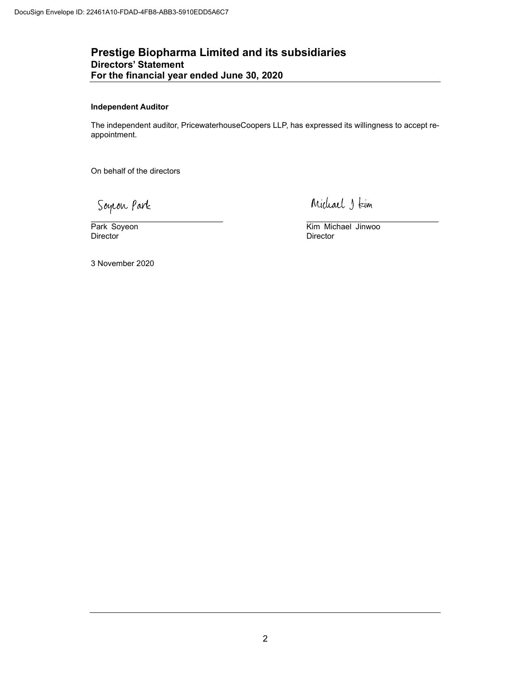### Prestige Biopharma Limited and its subsidiaries Directors' Statement For the financial year ended June 30, 2020

### Independent Auditor

The independent auditor, PricewaterhouseCoopers LLP, has expressed its willingness to accept reappointment.

On behalf of the directors

Soycon Park

Park Soyeon **Director** 

Michael 1 kim

 Kim Michael Jinwoo **Director** 

3 November 2020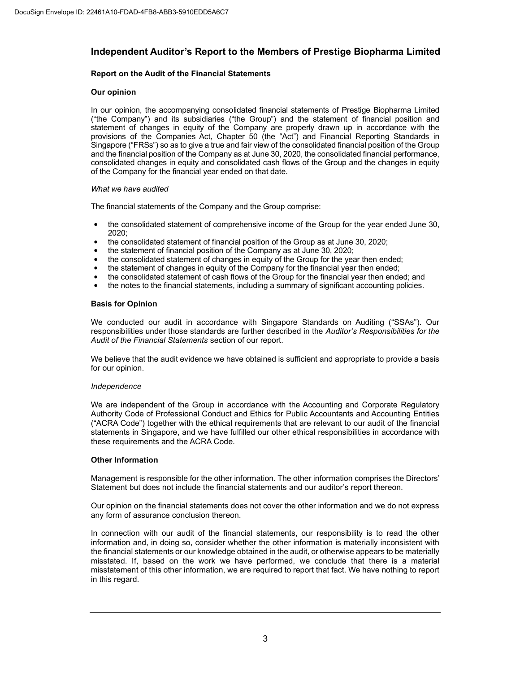### Independent Auditor's Report to the Members of Prestige Biopharma Limited

### Report on the Audit of the Financial Statements

#### Our opinion

In our opinion, the accompanying consolidated financial statements of Prestige Biopharma Limited ("the Company") and its subsidiaries ("the Group") and the statement of financial position and statement of changes in equity of the Company are properly drawn up in accordance with the provisions of the Companies Act, Chapter 50 (the "Act") and Financial Reporting Standards in Singapore ("FRSs") so as to give a true and fair view of the consolidated financial position of the Group and the financial position of the Company as at June 30, 2020, the consolidated financial performance, consolidated changes in equity and consolidated cash flows of the Group and the changes in equity of the Company for the financial year ended on that date.

#### What we have audited

The financial statements of the Company and the Group comprise:

- the consolidated statement of comprehensive income of the Group for the year ended June 30, 2020;
- the consolidated statement of financial position of the Group as at June 30, 2020;
- the statement of financial position of the Company as at June 30, 2020;
- the consolidated statement of changes in equity of the Group for the year then ended;
- the statement of changes in equity of the Company for the financial year then ended;
- the consolidated statement of cash flows of the Group for the financial year then ended; and
- the notes to the financial statements, including a summary of significant accounting policies.

### Basis for Opinion

We conducted our audit in accordance with Singapore Standards on Auditing ("SSAs"). Our responsibilities under those standards are further described in the Auditor's Responsibilities for the Audit of the Financial Statements section of our report.

We believe that the audit evidence we have obtained is sufficient and appropriate to provide a basis for our opinion.

#### Independence

We are independent of the Group in accordance with the Accounting and Corporate Regulatory Authority Code of Professional Conduct and Ethics for Public Accountants and Accounting Entities ("ACRA Code") together with the ethical requirements that are relevant to our audit of the financial statements in Singapore, and we have fulfilled our other ethical responsibilities in accordance with these requirements and the ACRA Code.

#### Other Information

Management is responsible for the other information. The other information comprises the Directors' Statement but does not include the financial statements and our auditor's report thereon.

Our opinion on the financial statements does not cover the other information and we do not express any form of assurance conclusion thereon.

In connection with our audit of the financial statements, our responsibility is to read the other information and, in doing so, consider whether the other information is materially inconsistent with the financial statements or our knowledge obtained in the audit, or otherwise appears to be materially misstated. If, based on the work we have performed, we conclude that there is a material misstatement of this other information, we are required to report that fact. We have nothing to report in this regard.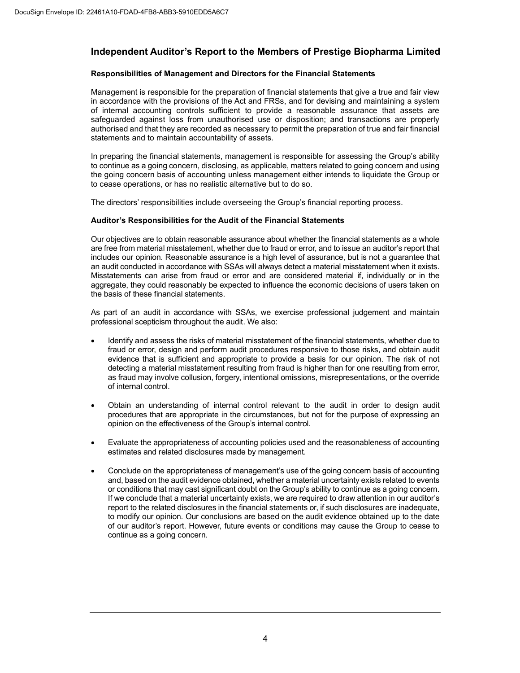### Independent Auditor's Report to the Members of Prestige Biopharma Limited

### Responsibilities of Management and Directors for the Financial Statements

Management is responsible for the preparation of financial statements that give a true and fair view in accordance with the provisions of the Act and FRSs, and for devising and maintaining a system of internal accounting controls sufficient to provide a reasonable assurance that assets are safeguarded against loss from unauthorised use or disposition; and transactions are properly authorised and that they are recorded as necessary to permit the preparation of true and fair financial statements and to maintain accountability of assets.

In preparing the financial statements, management is responsible for assessing the Group's ability to continue as a going concern, disclosing, as applicable, matters related to going concern and using the going concern basis of accounting unless management either intends to liquidate the Group or to cease operations, or has no realistic alternative but to do so.

The directors' responsibilities include overseeing the Group's financial reporting process.

#### Auditor's Responsibilities for the Audit of the Financial Statements

Our objectives are to obtain reasonable assurance about whether the financial statements as a whole are free from material misstatement, whether due to fraud or error, and to issue an auditor's report that includes our opinion. Reasonable assurance is a high level of assurance, but is not a guarantee that an audit conducted in accordance with SSAs will always detect a material misstatement when it exists. Misstatements can arise from fraud or error and are considered material if, individually or in the aggregate, they could reasonably be expected to influence the economic decisions of users taken on the basis of these financial statements.

As part of an audit in accordance with SSAs, we exercise professional judgement and maintain professional scepticism throughout the audit. We also:

- Identify and assess the risks of material misstatement of the financial statements, whether due to fraud or error, design and perform audit procedures responsive to those risks, and obtain audit evidence that is sufficient and appropriate to provide a basis for our opinion. The risk of not detecting a material misstatement resulting from fraud is higher than for one resulting from error, as fraud may involve collusion, forgery, intentional omissions, misrepresentations, or the override of internal control.
- Obtain an understanding of internal control relevant to the audit in order to design audit procedures that are appropriate in the circumstances, but not for the purpose of expressing an opinion on the effectiveness of the Group's internal control.
- Evaluate the appropriateness of accounting policies used and the reasonableness of accounting estimates and related disclosures made by management.
- Conclude on the appropriateness of management's use of the going concern basis of accounting and, based on the audit evidence obtained, whether a material uncertainty exists related to events or conditions that may cast significant doubt on the Group's ability to continue as a going concern. If we conclude that a material uncertainty exists, we are required to draw attention in our auditor's report to the related disclosures in the financial statements or, if such disclosures are inadequate, to modify our opinion. Our conclusions are based on the audit evidence obtained up to the date of our auditor's report. However, future events or conditions may cause the Group to cease to continue as a going concern.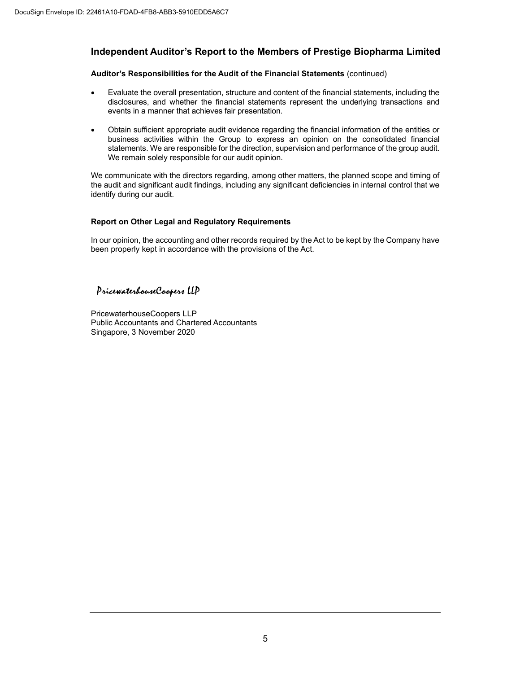### Independent Auditor's Report to the Members of Prestige Biopharma Limited

### Auditor's Responsibilities for the Audit of the Financial Statements (continued)

- Evaluate the overall presentation, structure and content of the financial statements, including the disclosures, and whether the financial statements represent the underlying transactions and events in a manner that achieves fair presentation.
- Obtain sufficient appropriate audit evidence regarding the financial information of the entities or business activities within the Group to express an opinion on the consolidated financial statements. We are responsible for the direction, supervision and performance of the group audit. We remain solely responsible for our audit opinion.

We communicate with the directors regarding, among other matters, the planned scope and timing of the audit and significant audit findings, including any significant deficiencies in internal control that we identify during our audit.

### Report on Other Legal and Regulatory Requirements

In our opinion, the accounting and other records required by the Act to be kept by the Company have been properly kept in accordance with the provisions of the Act.

### Pricewaterhouse Coopers LLP

PricewaterhouseCoopers LLP Public Accountants and Chartered Accountants Singapore, 3 November 2020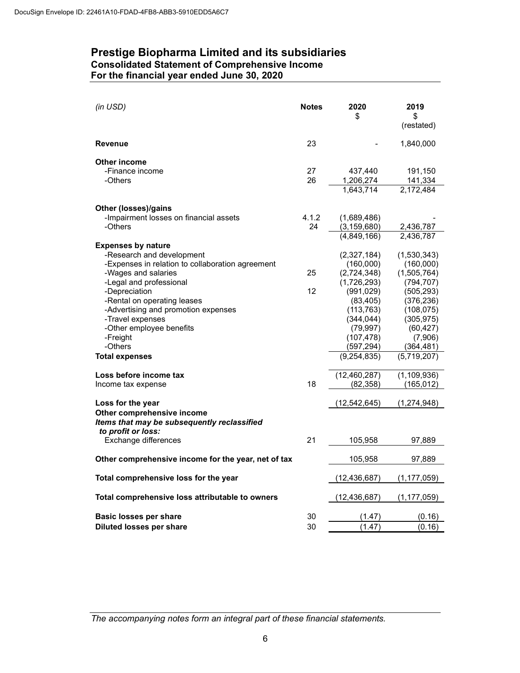### Prestige Biopharma Limited and its subsidiaries Consolidated Statement of Comprehensive Income For the financial year ended June 30, 2020

| (in <i>USD</i> )                                                                                | <b>Notes</b> | 2020<br>\$                 | 2019<br>\$<br>(restated) |
|-------------------------------------------------------------------------------------------------|--------------|----------------------------|--------------------------|
| <b>Revenue</b>                                                                                  | 23           |                            | 1,840,000                |
| <b>Other income</b>                                                                             |              |                            |                          |
| -Finance income                                                                                 | 27           | 437,440                    | 191,150                  |
| -Others                                                                                         | 26           | 1,206,274                  | 141,334                  |
|                                                                                                 |              | 1,643,714                  | 2,172,484                |
| <b>Other (losses)/gains</b>                                                                     |              |                            |                          |
| -Impairment losses on financial assets                                                          | 4.1.2        | (1,689,486)                |                          |
| -Others                                                                                         | 24           | (3, 159, 680)              | 2,436,787                |
|                                                                                                 |              | (4,849,166)                | 2,436,787                |
| <b>Expenses by nature</b>                                                                       |              |                            |                          |
| -Research and development                                                                       |              | (2,327,184)                | (1,530,343)              |
| -Expenses in relation to collaboration agreement                                                |              | (160,000)                  | (160,000)                |
| -Wages and salaries<br>-Legal and professional                                                  | 25           | (2,724,348)<br>(1,726,293) | (1,505,764)              |
| -Depreciation                                                                                   | 12           | (991, 029)                 | (794,707)<br>(505, 293)  |
| -Rental on operating leases                                                                     |              | (83, 405)                  | (376, 236)               |
| -Advertising and promotion expenses                                                             |              | (113, 763)                 | (108, 075)               |
| -Travel expenses                                                                                |              | (344, 044)                 | (305, 975)               |
| -Other employee benefits                                                                        |              | (79, 997)                  | (60, 427)                |
| -Freight                                                                                        |              | (107, 478)                 | (7,906)                  |
| -Others                                                                                         |              | (597, 294)                 | (364, 481)               |
| <b>Total expenses</b>                                                                           |              | (9, 254, 835)              | (5,719,207)              |
| Loss before income tax                                                                          |              | (12, 460, 287)             | (1, 109, 936)            |
| Income tax expense                                                                              | 18           | (82, 358)                  | (165, 012)               |
|                                                                                                 |              |                            |                          |
| Loss for the year                                                                               |              | (12,542,645)               | (1, 274, 948)            |
| Other comprehensive income<br>Items that may be subsequently reclassified<br>to profit or loss: |              |                            |                          |
| Exchange differences                                                                            | 21           | 105,958                    | 97,889                   |
| Other comprehensive income for the year, net of tax                                             |              | 105,958                    | 97,889                   |
| Total comprehensive loss for the year                                                           |              | (12, 436, 687)             | (1, 177, 059)            |
| Total comprehensive loss attributable to owners                                                 |              | (12, 436, 687)             | (1, 177, 059)            |
| <b>Basic losses per share</b>                                                                   | 30           | (1.47)                     | (0.16)                   |
| Diluted losses per share                                                                        | 30           | (1.47)                     | (0.16)                   |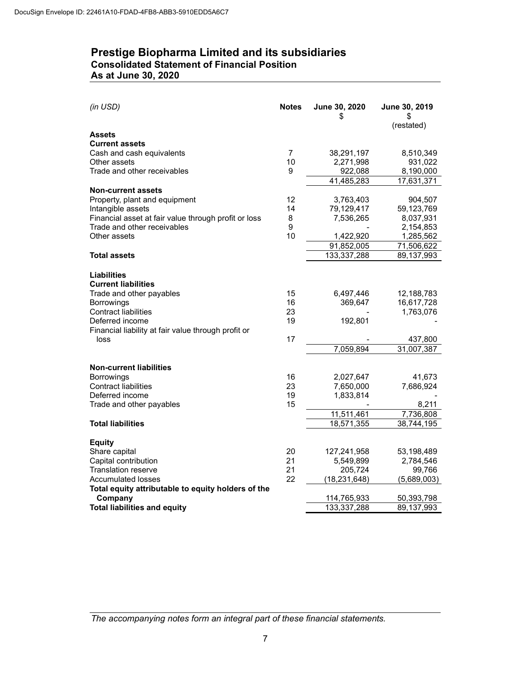### Prestige Biopharma Limited and its subsidiaries Consolidated Statement of Financial Position As at June 30, 2020

| (in USD)                                             | <b>Notes</b> | June 30, 2020<br>2    | June 30, 2019           |
|------------------------------------------------------|--------------|-----------------------|-------------------------|
|                                                      |              |                       | (restated)              |
| <b>Assets</b>                                        |              |                       |                         |
| <b>Current assets</b>                                |              |                       |                         |
| Cash and cash equivalents                            | 7            | 38,291,197            | 8,510,349               |
| Other assets                                         | 10<br>9      | 2,271,998             | 931,022                 |
| Trade and other receivables                          |              | 922,088<br>41,485,283 | 8,190,000<br>17,631,371 |
| <b>Non-current assets</b>                            |              |                       |                         |
| Property, plant and equipment                        | 12           | 3,763,403             | 904,507                 |
| Intangible assets                                    | 14           | 79,129,417            | 59,123,769              |
| Financial asset at fair value through profit or loss | 8            | 7,536,265             | 8,037,931               |
| Trade and other receivables                          | 9            |                       | 2,154,853               |
| Other assets                                         | 10           | 1,422,920             | 1,285,562               |
|                                                      |              | 91,852,005            | 71,506,622              |
| <b>Total assets</b>                                  |              | 133,337,288           | 89,137,993              |
|                                                      |              |                       |                         |
| <b>Liabilities</b>                                   |              |                       |                         |
| <b>Current liabilities</b>                           |              |                       |                         |
| Trade and other payables                             | 15           | 6,497,446             | 12,188,783              |
| Borrowings                                           | 16           | 369,647               | 16,617,728              |
| <b>Contract liabilities</b>                          | 23           |                       | 1,763,076               |
| Deferred income                                      | 19           | 192,801               |                         |
| Financial liability at fair value through profit or  |              |                       |                         |
| loss                                                 | 17           |                       | 437,800                 |
|                                                      |              | 7,059,894             | 31,007,387              |
|                                                      |              |                       |                         |
| <b>Non-current liabilities</b>                       |              |                       |                         |
| <b>Borrowings</b>                                    | 16           | 2,027,647             | 41,673                  |
| <b>Contract liabilities</b><br>Deferred income       | 23<br>19     | 7,650,000             | 7,686,924               |
| Trade and other payables                             | 15           | 1,833,814             | 8,211                   |
|                                                      |              | 11,511,461            | 7,736,808               |
| <b>Total liabilities</b>                             |              | 18,571,355            | 38,744,195              |
|                                                      |              |                       |                         |
| <b>Equity</b>                                        |              |                       |                         |
| Share capital                                        | 20           | 127,241,958           | 53,198,489              |
| Capital contribution                                 | 21           | 5,549,899             | 2,784,546               |
| <b>Translation reserve</b>                           | 21           | 205,724               | 99,766                  |
| <b>Accumulated losses</b>                            | 22           | (18, 231, 648)        | (5,689,003)             |
| Total equity attributable to equity holders of the   |              |                       |                         |
| Company                                              |              | 114,765,933           | 50,393,798              |
| <b>Total liabilities and equity</b>                  |              | 133,337,288           | 89,137,993              |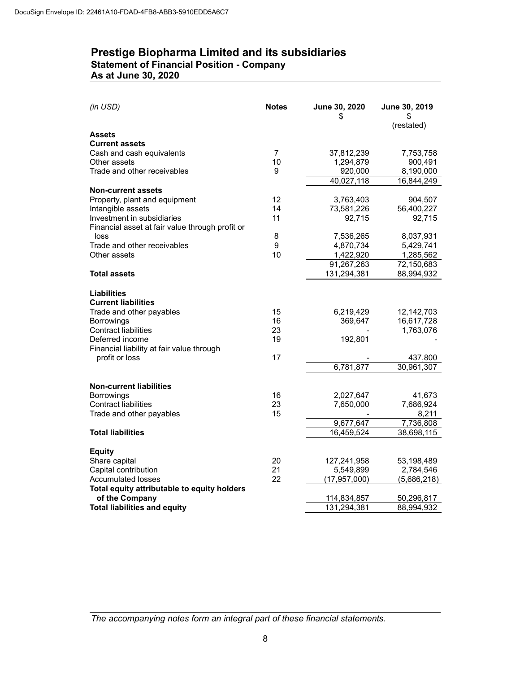### Prestige Biopharma Limited and its subsidiaries Statement of Financial Position - Company As at June 30, 2020

| (in USD)                                         | <b>Notes</b>   | June 30, 2020<br>\$ | June 30, 2019 |
|--------------------------------------------------|----------------|---------------------|---------------|
|                                                  |                |                     | (restated)    |
| <b>Assets</b>                                    |                |                     |               |
| <b>Current assets</b>                            |                |                     |               |
| Cash and cash equivalents                        | $\overline{7}$ | 37,812,239          | 7,753,758     |
| Other assets                                     | 10             | 1,294,879           | 900,491       |
| Trade and other receivables                      | 9              | 920,000             | 8,190,000     |
|                                                  |                | 40,027,118          | 16,844,249    |
| <b>Non-current assets</b>                        |                |                     |               |
| Property, plant and equipment                    | 12             | 3,763,403           | 904,507       |
| Intangible assets                                | 14             | 73,581,226          | 56,400,227    |
| Investment in subsidiaries                       | 11             | 92,715              | 92,715        |
| Financial asset at fair value through profit or  |                |                     |               |
| loss                                             | 8              | 7,536,265           | 8,037,931     |
| Trade and other receivables                      | 9<br>10        | 4,870,734           | 5,429,741     |
| Other assets                                     |                | 1,422,920           | 1,285,562     |
|                                                  |                | 91,267,263          | 72,150,683    |
| <b>Total assets</b>                              |                | 131,294,381         | 88,994,932    |
| <b>Liabilities</b><br><b>Current liabilities</b> |                |                     |               |
| Trade and other payables                         | 15             | 6,219,429           | 12,142,703    |
| Borrowings                                       | 16             | 369,647             | 16,617,728    |
| <b>Contract liabilities</b>                      | 23             |                     | 1,763,076     |
| Deferred income                                  | 19             | 192,801             |               |
| Financial liability at fair value through        |                |                     |               |
| profit or loss                                   | 17             |                     | 437,800       |
|                                                  |                | 6,781,877           | 30,961,307    |
| <b>Non-current liabilities</b>                   |                |                     |               |
| Borrowings                                       | 16             | 2,027,647           | 41,673        |
| <b>Contract liabilities</b>                      | 23             | 7,650,000           | 7,686,924     |
| Trade and other payables                         | 15             |                     | 8,211         |
|                                                  |                | 9,677,647           | 7,736,808     |
| <b>Total liabilities</b>                         |                | 16,459,524          | 38,698,115    |
|                                                  |                |                     |               |
| <b>Equity</b>                                    |                |                     |               |
| Share capital                                    | 20             | 127,241,958         | 53,198,489    |
| Capital contribution                             | 21             | 5,549,899           | 2,784,546     |
| <b>Accumulated losses</b>                        | 22             | (17, 957, 000)      | (5,686,218)   |
| Total equity attributable to equity holders      |                |                     |               |
| of the Company                                   |                | 114,834,857         | 50,296,817    |
| <b>Total liabilities and equity</b>              |                | 131,294,381         | 88,994,932    |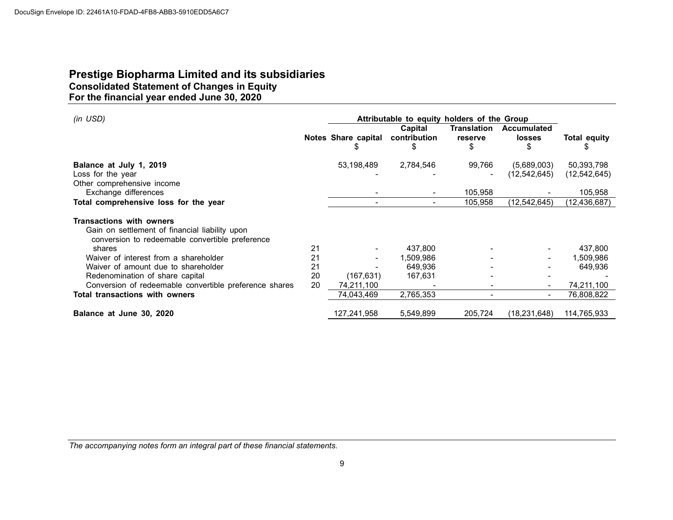### Prestige Biopharma Limited and its subsidiaries Consolidated Statement of Changes in Equity For the financial year ended June 30, 2020

| (in USD)                                                                                                                             |    | Attributable to equity holders of the Group |                         |                        |                                     |                              |
|--------------------------------------------------------------------------------------------------------------------------------------|----|---------------------------------------------|-------------------------|------------------------|-------------------------------------|------------------------------|
|                                                                                                                                      |    | Notes Share capital                         | Capital<br>contribution | Translation<br>reserve | <b>Accumulated</b><br><b>losses</b> | Total equity                 |
| Balance at July 1, 2019<br>Loss for the year<br>Other comprehensive income                                                           |    | 53,198,489                                  | 2,784,546               | 99,766                 | (5,689,003)<br>(12, 542, 645)       | 50,393,798<br>(12, 542, 645) |
| Exchange differences                                                                                                                 |    |                                             |                         | 105,958                |                                     | 105,958                      |
| Total comprehensive loss for the year                                                                                                |    |                                             |                         | 105,958                | (12, 542, 645)                      | (12, 436, 687)               |
| <b>Transactions with owners</b><br>Gain on settlement of financial liability upon<br>conversion to redeemable convertible preference |    |                                             |                         |                        |                                     |                              |
| shares                                                                                                                               | 21 |                                             | 437,800                 |                        |                                     | 437,800                      |
| Waiver of interest from a shareholder                                                                                                | 21 |                                             | 1,509,986               |                        |                                     | 1,509,986                    |
| Waiver of amount due to shareholder                                                                                                  | 21 |                                             | 649,936                 |                        |                                     | 649,936                      |
| Redenomination of share capital                                                                                                      | 20 | (167, 631)                                  | 167,631                 |                        |                                     |                              |
| Conversion of redeemable convertible preference shares                                                                               | 20 | 74,211,100                                  |                         |                        |                                     | 74,211,100                   |
| Total transactions with owners                                                                                                       |    | 74,043,469                                  | 2,765,353               |                        | $\blacksquare$                      | 76,808,822                   |
| Balance at June 30, 2020                                                                                                             |    | 127,241,958                                 | 5,549,899               | 205,724                | (18, 231, 648)                      | 114,765,933                  |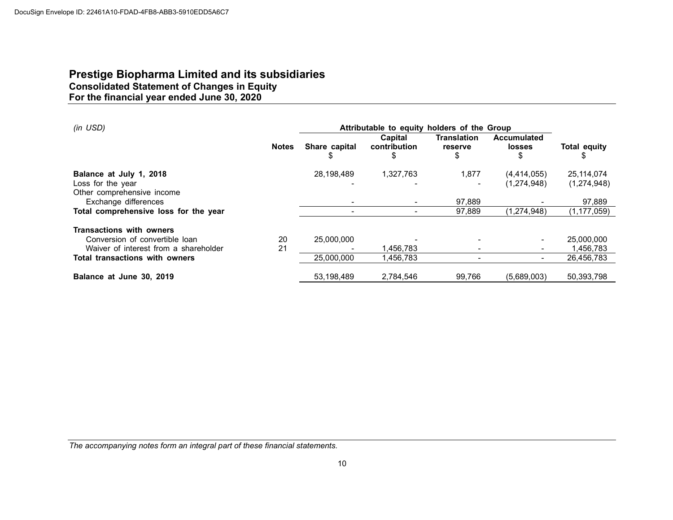### Prestige Biopharma Limited and its subsidiaries Consolidated Statement of Changes in Equity For the financial year ended June 30, 2020

| $(in$ $USD)$                          |              | Attributable to equity holders of the Group |                               |                                     |                                          |                     |  |
|---------------------------------------|--------------|---------------------------------------------|-------------------------------|-------------------------------------|------------------------------------------|---------------------|--|
|                                       | <b>Notes</b> | Share capital                               | Capital<br>contribution<br>\$ | <b>Translation</b><br>reserve<br>\$ | <b>Accumulated</b><br><b>losses</b><br>S | <b>Total equity</b> |  |
| Balance at July 1, 2018               |              | 28,198,489                                  | 1,327,763                     | 1,877                               | (4,414,055)                              | 25,114,074          |  |
| Loss for the year                     |              |                                             |                               |                                     | (1,274,948)                              | (1,274,948)         |  |
| Other comprehensive income            |              |                                             |                               |                                     |                                          |                     |  |
| Exchange differences                  |              |                                             |                               | 97,889                              |                                          | 97,889              |  |
| Total comprehensive loss for the year |              |                                             | $\blacksquare$                | 97,889                              | (1,274,948)                              | (1,177,059)         |  |
| <b>Transactions with owners</b>       |              |                                             |                               |                                     |                                          |                     |  |
| Conversion of convertible loan        | 20           | 25,000,000                                  |                               |                                     |                                          | 25,000,000          |  |
| Waiver of interest from a shareholder | 21           |                                             | 1,456,783                     |                                     |                                          | 1,456,783           |  |
| Total transactions with owners        |              | 25,000,000                                  | 1.456.783                     |                                     |                                          | 26,456,783          |  |
| Balance at June 30, 2019              |              | 53,198,489                                  | 2,784,546                     | 99.766                              | (5,689,003)                              | 50,393,798          |  |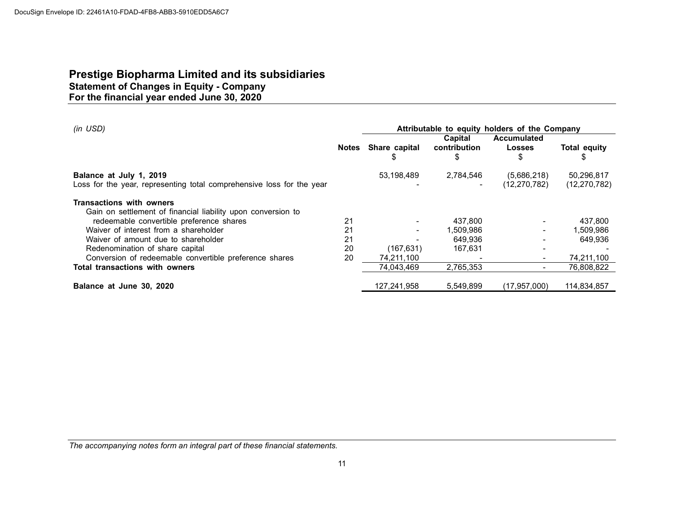### Prestige Biopharma Limited and its subsidiaries Statement of Changes in Equity - Company For the financial year ended June 30, 2020

| $(in$ $USD)$                                                                                    |       | Attributable to equity holders of the Company |                         |                                     |                     |  |  |  |
|-------------------------------------------------------------------------------------------------|-------|-----------------------------------------------|-------------------------|-------------------------------------|---------------------|--|--|--|
|                                                                                                 | Notes | Share capital                                 | Capital<br>contribution | <b>Accumulated</b><br><b>Losses</b> | <b>Total equity</b> |  |  |  |
| Balance at July 1, 2019                                                                         |       | 53,198,489                                    | 2,784,546               | (5,686,218)                         | 50,296,817          |  |  |  |
| Loss for the year, representing total comprehensive loss for the year                           |       |                                               |                         | (12, 270, 782)                      | (12, 270, 782)      |  |  |  |
| <b>Transactions with owners</b><br>Gain on settlement of financial liability upon conversion to |       |                                               |                         |                                     |                     |  |  |  |
| redeemable convertible preference shares                                                        | 21    |                                               | 437.800                 |                                     | 437,800             |  |  |  |
| Waiver of interest from a shareholder                                                           | 21    |                                               | 1.509.986               |                                     | 1,509,986           |  |  |  |
| Waiver of amount due to shareholder                                                             | 21    |                                               | 649.936                 |                                     | 649.936             |  |  |  |
| Redenomination of share capital                                                                 | 20    | (167, 631)                                    | 167,631                 |                                     |                     |  |  |  |
| Conversion of redeemable convertible preference shares                                          | 20    | 74.211.100                                    |                         |                                     | 74,211,100          |  |  |  |
| Total transactions with owners                                                                  |       | 74.043.469                                    | 2.765.353               |                                     | 76,808,822          |  |  |  |
| Balance at June 30, 2020                                                                        |       | 127,241,958                                   | 5,549,899               | (17, 957, 000)                      | 114,834,857         |  |  |  |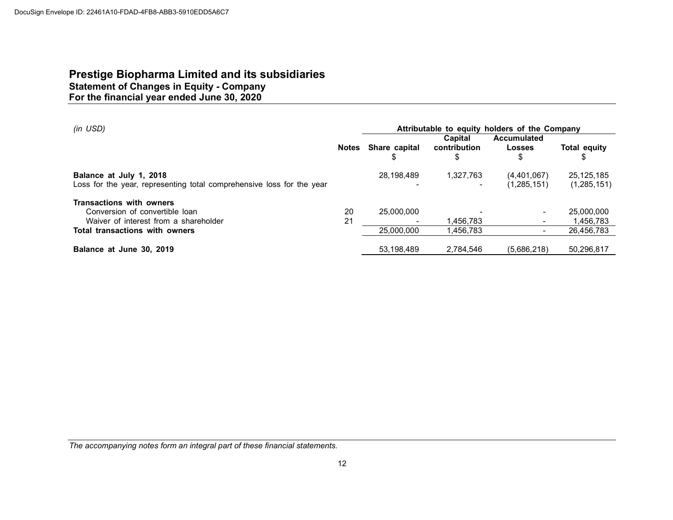### Prestige Biopharma Limited and its subsidiaries Statement of Changes in Equity - Company For the financial year ended June 30, 2020

| $(in$ USD $)$                                                                                                                                |          |                          | Attributable to equity holders of the Company |                                     |                                       |
|----------------------------------------------------------------------------------------------------------------------------------------------|----------|--------------------------|-----------------------------------------------|-------------------------------------|---------------------------------------|
|                                                                                                                                              | Notes    | Share capital            | <b>Capital</b><br>contribution                | <b>Accumulated</b><br><b>Losses</b> | <b>Total equity</b>                   |
| Balance at July 1, 2018<br>Loss for the year, representing total comprehensive loss for the year                                             |          | 28,198,489               | 1.327.763                                     | (4,401,067)<br>(1, 285, 151)        | 25,125,185<br>(1,285,151)             |
| <b>Transactions with owners</b><br>Conversion of convertible loan<br>Waiver of interest from a shareholder<br>Total transactions with owners | 20<br>21 | 25.000.000<br>25.000.000 | 1.456.783<br>1,456,783                        |                                     | 25,000,000<br>1,456,783<br>26,456,783 |
| Balance at June 30, 2019                                                                                                                     |          | 53,198,489               | 2.784.546                                     | (5,686,218)                         | 50,296,817                            |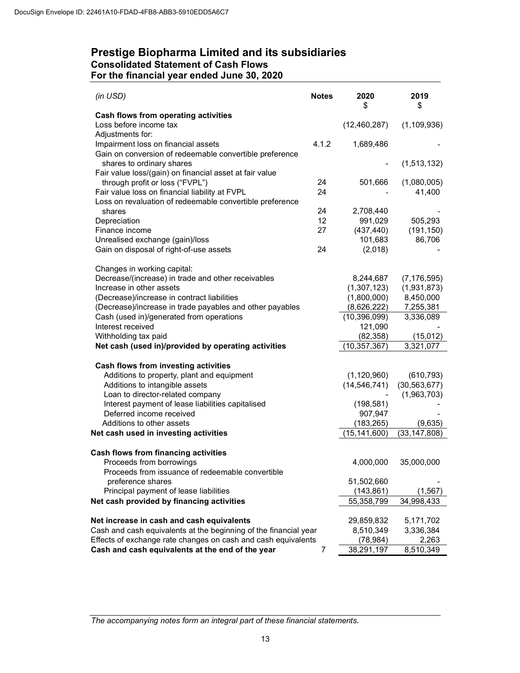### Prestige Biopharma Limited and its subsidiaries Consolidated Statement of Cash Flows For the financial year ended June 30, 2020

| (in USD)                                                                                                      | <b>Notes</b>    | 2020<br>\$                 | 2019<br>\$               |
|---------------------------------------------------------------------------------------------------------------|-----------------|----------------------------|--------------------------|
| Cash flows from operating activities                                                                          |                 |                            |                          |
| Loss before income tax                                                                                        |                 | (12,460,287)               | (1, 109, 936)            |
| Adjustments for:                                                                                              |                 |                            |                          |
| Impairment loss on financial assets                                                                           | 4.1.2           | 1,689,486                  |                          |
| Gain on conversion of redeemable convertible preference                                                       |                 |                            |                          |
| shares to ordinary shares<br>Fair value loss/(gain) on financial asset at fair value                          |                 |                            | (1,513,132)              |
| through profit or loss ("FVPL")                                                                               | 24              | 501,666                    | (1,080,005)              |
| Fair value loss on financial liability at FVPL                                                                | 24              |                            | 41,400                   |
| Loss on revaluation of redeemable convertible preference                                                      |                 |                            |                          |
| shares                                                                                                        | 24              | 2,708,440                  |                          |
| Depreciation                                                                                                  | 12 <sup>°</sup> | 991,029                    | 505,293                  |
| Finance income                                                                                                | 27              | (437, 440)                 | (191, 150)               |
| Unrealised exchange (gain)/loss                                                                               |                 | 101,683                    | 86,706                   |
| Gain on disposal of right-of-use assets                                                                       | 24              | (2,018)                    |                          |
|                                                                                                               |                 |                            |                          |
| Changes in working capital:                                                                                   |                 |                            |                          |
| Decrease/(increase) in trade and other receivables<br>Increase in other assets                                |                 | 8,244,687                  | (7, 176, 595)            |
| (Decrease)/increase in contract liabilities                                                                   |                 | (1,307,123)<br>(1,800,000) | (1,931,873)<br>8,450,000 |
| (Decrease)/increase in trade payables and other payables                                                      |                 | (8,626,222)                | 7,255,381                |
| Cash (used in)/generated from operations                                                                      |                 | (10, 396, 099)             | 3,336,089                |
| Interest received                                                                                             |                 | 121,090                    |                          |
| Withholding tax paid                                                                                          |                 | (82, 358)                  | (15,012)                 |
| Net cash (used in)/provided by operating activities                                                           |                 | (10, 357, 367)             | 3,321,077                |
|                                                                                                               |                 |                            |                          |
| Cash flows from investing activities                                                                          |                 |                            |                          |
| Additions to property, plant and equipment                                                                    |                 | (1, 120, 960)              | (610, 793)               |
| Additions to intangible assets                                                                                |                 | (14, 546, 741)             | (30, 563, 677)           |
| Loan to director-related company                                                                              |                 |                            | (1,963,703)              |
| Interest payment of lease liabilities capitalised<br>Deferred income received                                 |                 | (198, 581)                 |                          |
| Additions to other assets                                                                                     |                 | 907,947<br>(183, 265)      | (9,635)                  |
| Net cash used in investing activities                                                                         |                 | (15, 141, 600)             | (33, 147, 808)           |
|                                                                                                               |                 |                            |                          |
| Cash flows from financing activities                                                                          |                 |                            |                          |
| Proceeds from borrowings                                                                                      |                 | 4,000,000                  | 35,000,000               |
| Proceeds from issuance of redeemable convertible                                                              |                 |                            |                          |
| preference shares                                                                                             |                 | 51,502,660                 |                          |
| Principal payment of lease liabilities                                                                        |                 | (143, 861)                 | (1, 567)                 |
| Net cash provided by financing activities                                                                     |                 | 55,358,799                 | 34,998,433               |
|                                                                                                               |                 |                            |                          |
| Net increase in cash and cash equivalents<br>Cash and cash equivalents at the beginning of the financial year |                 | 29,859,832<br>8,510,349    | 5,171,702<br>3,336,384   |
| Effects of exchange rate changes on cash and cash equivalents                                                 |                 | (78, 984)                  | 2,263                    |
| Cash and cash equivalents at the end of the year                                                              | 7               | 38,291,197                 | 8,510,349                |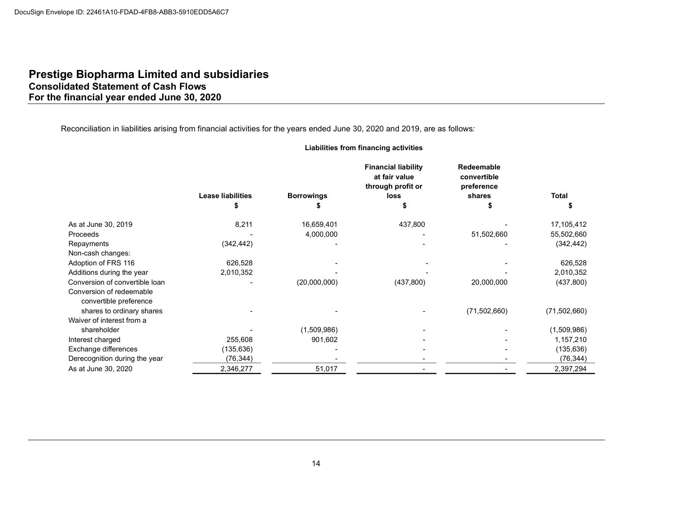### Prestige Biopharma Limited and subsidiaries Consolidated Statement of Cash Flows For the financial year ended June 30, 2020

Reconciliation in liabilities arising from financial activities for the years ended June 30, 2020 and 2019, are as follows:

#### Liabilities from financing activities

|                                |                          |                   | <b>Financial liability</b><br>at fair value<br>through profit or | Redeemable<br>convertible<br>preference |                |
|--------------------------------|--------------------------|-------------------|------------------------------------------------------------------|-----------------------------------------|----------------|
|                                | <b>Lease liabilities</b> | <b>Borrowings</b> | loss                                                             | shares                                  | Total          |
|                                |                          |                   |                                                                  |                                         |                |
| As at June 30, 2019            | 8,211                    | 16,659,401        | 437,800                                                          |                                         | 17,105,412     |
| Proceeds                       |                          | 4,000,000         |                                                                  | 51,502,660                              | 55,502,660     |
| Repayments                     | (342, 442)               |                   |                                                                  |                                         | (342, 442)     |
| Non-cash changes:              |                          |                   |                                                                  |                                         |                |
| Adoption of FRS 116            | 626,528                  |                   |                                                                  |                                         | 626,528        |
| Additions during the year      | 2,010,352                |                   |                                                                  |                                         | 2,010,352      |
| Conversion of convertible loan |                          | (20,000,000)      | (437, 800)                                                       | 20,000,000                              | (437, 800)     |
| Conversion of redeemable       |                          |                   |                                                                  |                                         |                |
| convertible preference         |                          |                   |                                                                  |                                         |                |
| shares to ordinary shares      |                          |                   |                                                                  | (71,502,660)                            | (71, 502, 660) |
| Waiver of interest from a      |                          |                   |                                                                  |                                         |                |
| shareholder                    |                          | (1,509,986)       |                                                                  |                                         | (1,509,986)    |
| Interest charged               | 255,608                  | 901,602           |                                                                  |                                         | 1,157,210      |
| Exchange differences           | (135,636)                |                   |                                                                  |                                         | (135, 636)     |
| Derecognition during the year  | (76,344)                 |                   |                                                                  |                                         | (76, 344)      |
| As at June 30, 2020            | 2,346,277                | 51,017            |                                                                  |                                         | 2,397,294      |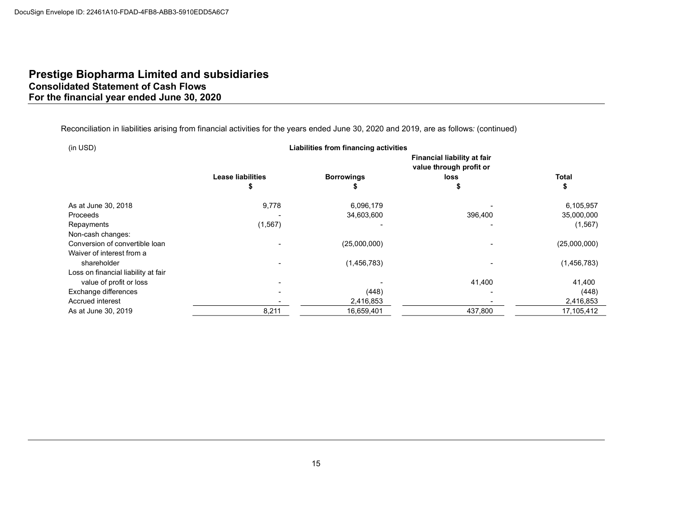### Prestige Biopharma Limited and subsidiaries Consolidated Statement of Cash Flows For the financial year ended June 30, 2020

Reconciliation in liabilities arising from financial activities for the years ended June 30, 2020 and 2019, are as follows: (continued)

| (in USD)                            | Liabilities from financing activities<br><b>Financial liability at fair</b><br>value through profit or |                   |         |              |  |  |
|-------------------------------------|--------------------------------------------------------------------------------------------------------|-------------------|---------|--------------|--|--|
|                                     |                                                                                                        |                   |         |              |  |  |
|                                     | <b>Lease liabilities</b>                                                                               | <b>Borrowings</b> | loss    | <b>Total</b> |  |  |
|                                     |                                                                                                        |                   |         | \$           |  |  |
| As at June 30, 2018                 | 9,778                                                                                                  | 6,096,179         |         | 6,105,957    |  |  |
| <b>Proceeds</b>                     |                                                                                                        | 34,603,600        | 396,400 | 35,000,000   |  |  |
| Repayments                          | (1, 567)                                                                                               |                   |         | (1, 567)     |  |  |
| Non-cash changes:                   |                                                                                                        |                   |         |              |  |  |
| Conversion of convertible loan      |                                                                                                        | (25,000,000)      |         | (25,000,000) |  |  |
| Waiver of interest from a           |                                                                                                        |                   |         |              |  |  |
| shareholder                         |                                                                                                        | (1,456,783)       |         | (1,456,783)  |  |  |
| Loss on financial liability at fair |                                                                                                        |                   |         |              |  |  |
| value of profit or loss             |                                                                                                        |                   | 41,400  | 41,400       |  |  |
| Exchange differences                |                                                                                                        | (448)             |         | (448)        |  |  |
| Accrued interest                    |                                                                                                        | 2,416,853         |         | 2,416,853    |  |  |
| As at June 30, 2019                 | 8,211                                                                                                  | 16,659,401        | 437,800 | 17,105,412   |  |  |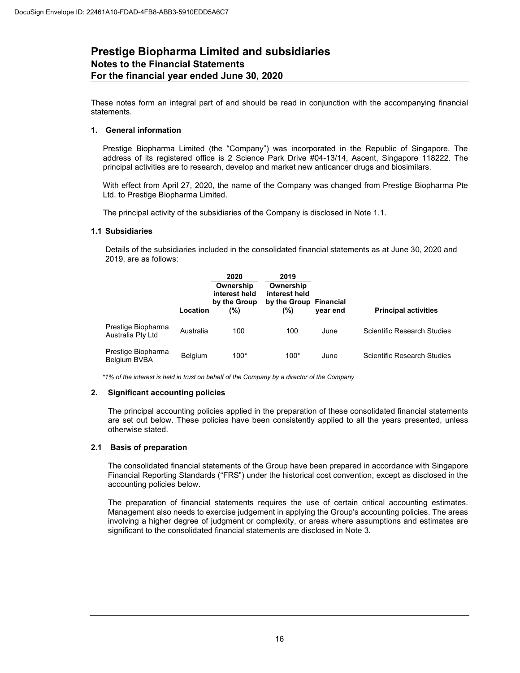These notes form an integral part of and should be read in conjunction with the accompanying financial statements.

### 1. General information

Prestige Biopharma Limited (the "Company") was incorporated in the Republic of Singapore. The address of its registered office is 2 Science Park Drive #04-13/14, Ascent, Singapore 118222. The principal activities are to research, develop and market new anticancer drugs and biosimilars.

With effect from April 27, 2020, the name of the Company was changed from Prestige Biopharma Pte Ltd. to Prestige Biopharma Limited.

The principal activity of the subsidiaries of the Company is disclosed in Note 1.1.

### 1.1 Subsidiaries

Details of the subsidiaries included in the consolidated financial statements as at June 30, 2020 and 2019, are as follows:

|                                         | Location       | 2020<br>Ownership<br>interest held<br>by the Group<br>(%) | 2019<br>Ownership<br>interest held<br>by the Group Financial<br>(%) | year end | <b>Principal activities</b>        |
|-----------------------------------------|----------------|-----------------------------------------------------------|---------------------------------------------------------------------|----------|------------------------------------|
| Prestige Biopharma<br>Australia Pty Ltd | Australia      | 100                                                       | 100                                                                 | June     | <b>Scientific Research Studies</b> |
| Prestige Biopharma<br>Belgium BVBA      | <b>Belgium</b> | $100*$                                                    | $100*$                                                              | June     | Scientific Research Studies        |

\*1% of the interest is held in trust on behalf of the Company by a director of the Company

#### 2. Significant accounting policies

The principal accounting policies applied in the preparation of these consolidated financial statements are set out below. These policies have been consistently applied to all the years presented, unless otherwise stated.

### 2.1 Basis of preparation

The consolidated financial statements of the Group have been prepared in accordance with Singapore Financial Reporting Standards ("FRS") under the historical cost convention, except as disclosed in the accounting policies below.

The preparation of financial statements requires the use of certain critical accounting estimates. Management also needs to exercise judgement in applying the Group's accounting policies. The areas involving a higher degree of judgment or complexity, or areas where assumptions and estimates are significant to the consolidated financial statements are disclosed in Note 3.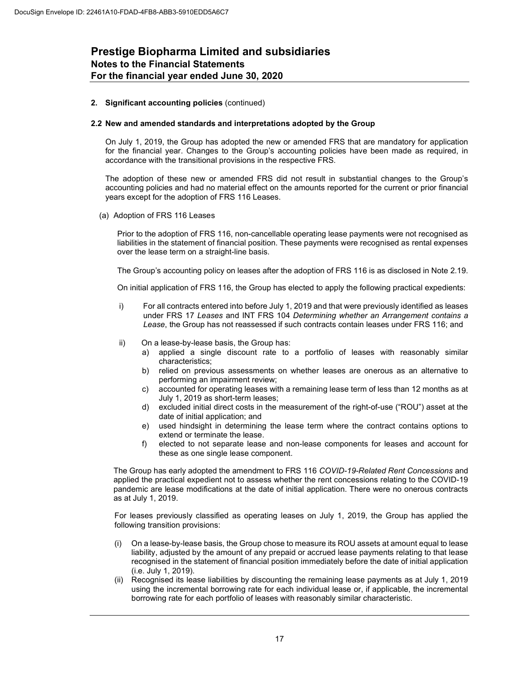### 2. Significant accounting policies (continued)

#### 2.2 New and amended standards and interpretations adopted by the Group

On July 1, 2019, the Group has adopted the new or amended FRS that are mandatory for application for the financial year. Changes to the Group's accounting policies have been made as required, in accordance with the transitional provisions in the respective FRS.

The adoption of these new or amended FRS did not result in substantial changes to the Group's accounting policies and had no material effect on the amounts reported for the current or prior financial years except for the adoption of FRS 116 Leases.

(a) Adoption of FRS 116 Leases

Prior to the adoption of FRS 116, non-cancellable operating lease payments were not recognised as liabilities in the statement of financial position. These payments were recognised as rental expenses over the lease term on a straight-line basis.

The Group's accounting policy on leases after the adoption of FRS 116 is as disclosed in Note 2.19.

On initial application of FRS 116, the Group has elected to apply the following practical expedients:

- i) For all contracts entered into before July 1, 2019 and that were previously identified as leases under FRS 17 Leases and INT FRS 104 Determining whether an Arrangement contains a Lease, the Group has not reassessed if such contracts contain leases under FRS 116; and
- ii) On a lease-by-lease basis, the Group has:
	- a) applied a single discount rate to a portfolio of leases with reasonably similar characteristics;
	- b) relied on previous assessments on whether leases are onerous as an alternative to performing an impairment review;
	- c) accounted for operating leases with a remaining lease term of less than 12 months as at July 1, 2019 as short-term leases;
	- d) excluded initial direct costs in the measurement of the right-of-use ("ROU") asset at the date of initial application; and
	- e) used hindsight in determining the lease term where the contract contains options to extend or terminate the lease.
	- f) elected to not separate lease and non-lease components for leases and account for these as one single lease component.

The Group has early adopted the amendment to FRS 116 COVID-19-Related Rent Concessions and applied the practical expedient not to assess whether the rent concessions relating to the COVID-19 pandemic are lease modifications at the date of initial application. There were no onerous contracts as at July 1, 2019.

For leases previously classified as operating leases on July 1, 2019, the Group has applied the following transition provisions:

- (i) On a lease-by-lease basis, the Group chose to measure its ROU assets at amount equal to lease liability, adjusted by the amount of any prepaid or accrued lease payments relating to that lease recognised in the statement of financial position immediately before the date of initial application (i.e. July 1, 2019).
- (ii) Recognised its lease liabilities by discounting the remaining lease payments as at July 1, 2019 using the incremental borrowing rate for each individual lease or, if applicable, the incremental borrowing rate for each portfolio of leases with reasonably similar characteristic.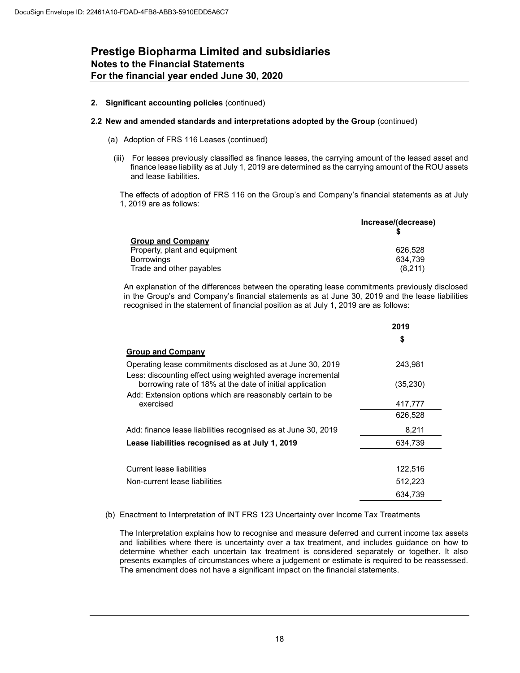### 2. Significant accounting policies (continued)

### 2.2 New and amended standards and interpretations adopted by the Group (continued)

- (a) Adoption of FRS 116 Leases (continued)
	- (iii) For leases previously classified as finance leases, the carrying amount of the leased asset and finance lease liability as at July 1, 2019 are determined as the carrying amount of the ROU assets and lease liabilities.

The effects of adoption of FRS 116 on the Group's and Company's financial statements as at July 1, 2019 are as follows:

|                               | Increase/(decrease) |  |
|-------------------------------|---------------------|--|
|                               |                     |  |
| <b>Group and Company</b>      |                     |  |
| Property, plant and equipment | 626.528             |  |
| <b>Borrowings</b>             | 634.739             |  |
| Trade and other payables      | (8.211)             |  |

An explanation of the differences between the operating lease commitments previously disclosed in the Group's and Company's financial statements as at June 30, 2019 and the lease liabilities recognised in the statement of financial position as at July 1, 2019 are as follows:

|                                                                                                                          | 2019      |  |
|--------------------------------------------------------------------------------------------------------------------------|-----------|--|
|                                                                                                                          | S         |  |
| <b>Group and Company</b>                                                                                                 |           |  |
| Operating lease commitments disclosed as at June 30, 2019<br>Less: discounting effect using weighted average incremental | 243,981   |  |
| borrowing rate of 18% at the date of initial application<br>Add: Extension options which are reasonably certain to be    | (35, 230) |  |
| exercised                                                                                                                | 417,777   |  |
|                                                                                                                          | 626,528   |  |
| Add: finance lease liabilities recognised as at June 30, 2019                                                            | 8,211     |  |
| Lease liabilities recognised as at July 1, 2019                                                                          | 634.739   |  |
|                                                                                                                          |           |  |
| Current lease liabilities                                                                                                | 122,516   |  |
| Non-current lease liabilities                                                                                            | 512,223   |  |
|                                                                                                                          | 634,739   |  |

(b) Enactment to Interpretation of INT FRS 123 Uncertainty over Income Tax Treatments

The Interpretation explains how to recognise and measure deferred and current income tax assets and liabilities where there is uncertainty over a tax treatment, and includes guidance on how to determine whether each uncertain tax treatment is considered separately or together. It also presents examples of circumstances where a judgement or estimate is required to be reassessed. The amendment does not have a significant impact on the financial statements.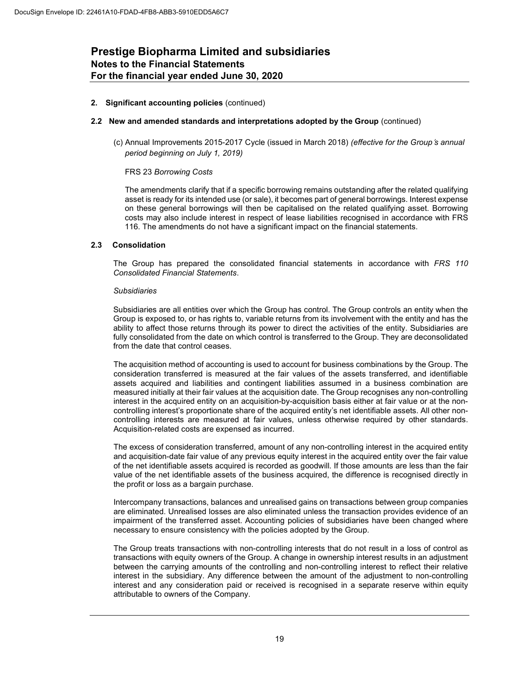### 2. Significant accounting policies (continued)

### 2.2 New and amended standards and interpretations adopted by the Group (continued)

(c) Annual Improvements 2015-2017 Cycle (issued in March 2018) (effective for the Group's annual period beginning on July 1, 2019)

### FRS 23 Borrowing Costs

The amendments clarify that if a specific borrowing remains outstanding after the related qualifying asset is ready for its intended use (or sale), it becomes part of general borrowings. Interest expense on these general borrowings will then be capitalised on the related qualifying asset. Borrowing costs may also include interest in respect of lease liabilities recognised in accordance with FRS 116. The amendments do not have a significant impact on the financial statements.

### 2.3 Consolidation

The Group has prepared the consolidated financial statements in accordance with FRS 110 Consolidated Financial Statements.

#### **Subsidiaries**

Subsidiaries are all entities over which the Group has control. The Group controls an entity when the Group is exposed to, or has rights to, variable returns from its involvement with the entity and has the ability to affect those returns through its power to direct the activities of the entity. Subsidiaries are fully consolidated from the date on which control is transferred to the Group. They are deconsolidated from the date that control ceases.

The acquisition method of accounting is used to account for business combinations by the Group. The consideration transferred is measured at the fair values of the assets transferred, and identifiable assets acquired and liabilities and contingent liabilities assumed in a business combination are measured initially at their fair values at the acquisition date. The Group recognises any non-controlling interest in the acquired entity on an acquisition-by-acquisition basis either at fair value or at the noncontrolling interest's proportionate share of the acquired entity's net identifiable assets. All other noncontrolling interests are measured at fair values, unless otherwise required by other standards. Acquisition-related costs are expensed as incurred.

The excess of consideration transferred, amount of any non-controlling interest in the acquired entity and acquisition-date fair value of any previous equity interest in the acquired entity over the fair value of the net identifiable assets acquired is recorded as goodwill. If those amounts are less than the fair value of the net identifiable assets of the business acquired, the difference is recognised directly in the profit or loss as a bargain purchase.

Intercompany transactions, balances and unrealised gains on transactions between group companies are eliminated. Unrealised losses are also eliminated unless the transaction provides evidence of an impairment of the transferred asset. Accounting policies of subsidiaries have been changed where necessary to ensure consistency with the policies adopted by the Group.

The Group treats transactions with non-controlling interests that do not result in a loss of control as transactions with equity owners of the Group. A change in ownership interest results in an adjustment between the carrying amounts of the controlling and non-controlling interest to reflect their relative interest in the subsidiary. Any difference between the amount of the adjustment to non-controlling interest and any consideration paid or received is recognised in a separate reserve within equity attributable to owners of the Company.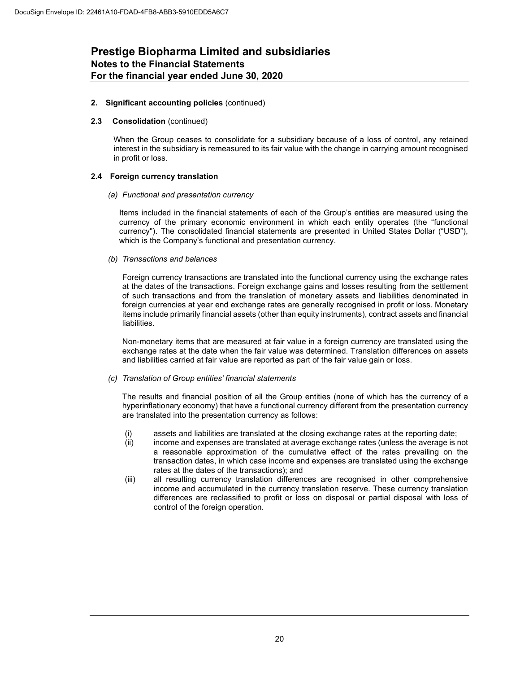### 2. Significant accounting policies (continued)

### 2.3 Consolidation (continued)

When the Group ceases to consolidate for a subsidiary because of a loss of control, any retained interest in the subsidiary is remeasured to its fair value with the change in carrying amount recognised in profit or loss.

### 2.4 Foreign currency translation

#### (a) Functional and presentation currency

Items included in the financial statements of each of the Group's entities are measured using the currency of the primary economic environment in which each entity operates (the "functional currency"). The consolidated financial statements are presented in United States Dollar ("USD"), which is the Company's functional and presentation currency.

### (b) Transactions and balances

Foreign currency transactions are translated into the functional currency using the exchange rates at the dates of the transactions. Foreign exchange gains and losses resulting from the settlement of such transactions and from the translation of monetary assets and liabilities denominated in foreign currencies at year end exchange rates are generally recognised in profit or loss. Monetary items include primarily financial assets (other than equity instruments), contract assets and financial liabilities.

Non-monetary items that are measured at fair value in a foreign currency are translated using the exchange rates at the date when the fair value was determined. Translation differences on assets and liabilities carried at fair value are reported as part of the fair value gain or loss.

#### (c) Translation of Group entities' financial statements

The results and financial position of all the Group entities (none of which has the currency of a hyperinflationary economy) that have a functional currency different from the presentation currency are translated into the presentation currency as follows:

- (i) assets and liabilities are translated at the closing exchange rates at the reporting date;
- (ii) income and expenses are translated at average exchange rates (unless the average is not a reasonable approximation of the cumulative effect of the rates prevailing on the transaction dates, in which case income and expenses are translated using the exchange rates at the dates of the transactions); and
- (iii) all resulting currency translation differences are recognised in other comprehensive income and accumulated in the currency translation reserve. These currency translation differences are reclassified to profit or loss on disposal or partial disposal with loss of control of the foreign operation.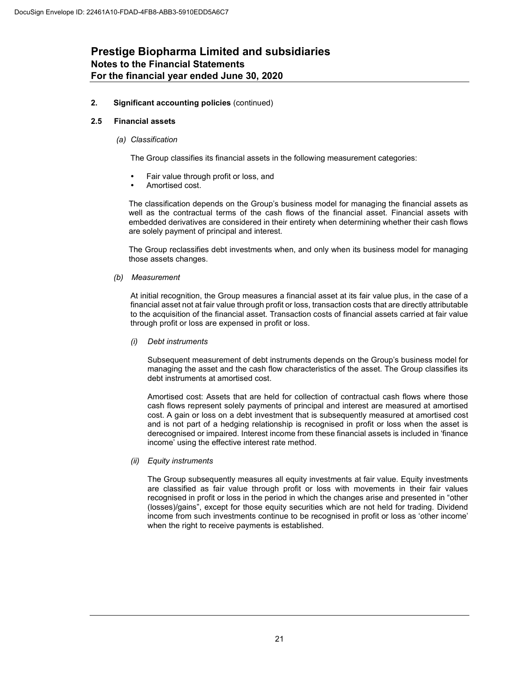### 2. Significant accounting policies (continued)

### 2.5 Financial assets

### (a) Classification

The Group classifies its financial assets in the following measurement categories:

- Fair value through profit or loss, and
- Amortised cost.

The classification depends on the Group's business model for managing the financial assets as well as the contractual terms of the cash flows of the financial asset. Financial assets with embedded derivatives are considered in their entirety when determining whether their cash flows are solely payment of principal and interest.

The Group reclassifies debt investments when, and only when its business model for managing those assets changes.

#### (b) Measurement

At initial recognition, the Group measures a financial asset at its fair value plus, in the case of a financial asset not at fair value through profit or loss, transaction costs that are directly attributable to the acquisition of the financial asset. Transaction costs of financial assets carried at fair value through profit or loss are expensed in profit or loss.

### (i) Debt instruments

Subsequent measurement of debt instruments depends on the Group's business model for managing the asset and the cash flow characteristics of the asset. The Group classifies its debt instruments at amortised cost.

Amortised cost: Assets that are held for collection of contractual cash flows where those cash flows represent solely payments of principal and interest are measured at amortised cost. A gain or loss on a debt investment that is subsequently measured at amortised cost and is not part of a hedging relationship is recognised in profit or loss when the asset is derecognised or impaired. Interest income from these financial assets is included in 'finance income' using the effective interest rate method.

### (ii) Equity instruments

The Group subsequently measures all equity investments at fair value. Equity investments are classified as fair value through profit or loss with movements in their fair values recognised in profit or loss in the period in which the changes arise and presented in "other (losses)/gains", except for those equity securities which are not held for trading. Dividend income from such investments continue to be recognised in profit or loss as 'other income' when the right to receive payments is established.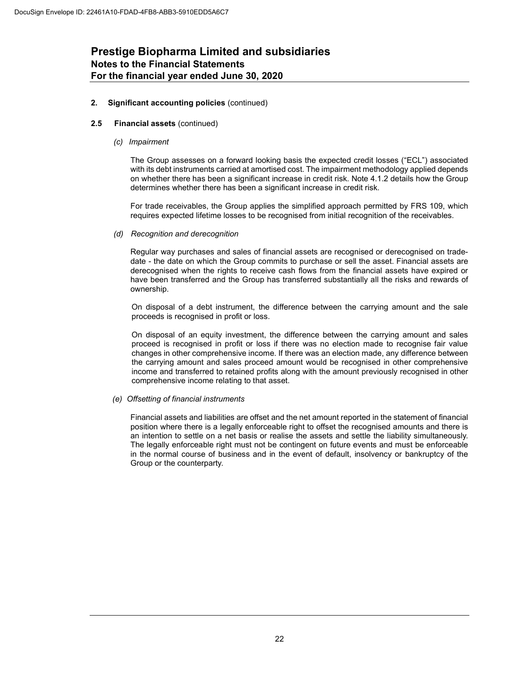### 2. Significant accounting policies (continued)

### 2.5 Financial assets (continued)

(c) Impairment

The Group assesses on a forward looking basis the expected credit losses ("ECL") associated with its debt instruments carried at amortised cost. The impairment methodology applied depends on whether there has been a significant increase in credit risk. Note 4.1.2 details how the Group determines whether there has been a significant increase in credit risk.

For trade receivables, the Group applies the simplified approach permitted by FRS 109, which requires expected lifetime losses to be recognised from initial recognition of the receivables.

#### (d) Recognition and derecognition

Regular way purchases and sales of financial assets are recognised or derecognised on tradedate - the date on which the Group commits to purchase or sell the asset. Financial assets are derecognised when the rights to receive cash flows from the financial assets have expired or have been transferred and the Group has transferred substantially all the risks and rewards of ownership.

On disposal of a debt instrument, the difference between the carrying amount and the sale proceeds is recognised in profit or loss.

On disposal of an equity investment, the difference between the carrying amount and sales proceed is recognised in profit or loss if there was no election made to recognise fair value changes in other comprehensive income. If there was an election made, any difference between the carrying amount and sales proceed amount would be recognised in other comprehensive income and transferred to retained profits along with the amount previously recognised in other comprehensive income relating to that asset.

#### (e) Offsetting of financial instruments

Financial assets and liabilities are offset and the net amount reported in the statement of financial position where there is a legally enforceable right to offset the recognised amounts and there is an intention to settle on a net basis or realise the assets and settle the liability simultaneously. The legally enforceable right must not be contingent on future events and must be enforceable in the normal course of business and in the event of default, insolvency or bankruptcy of the Group or the counterparty.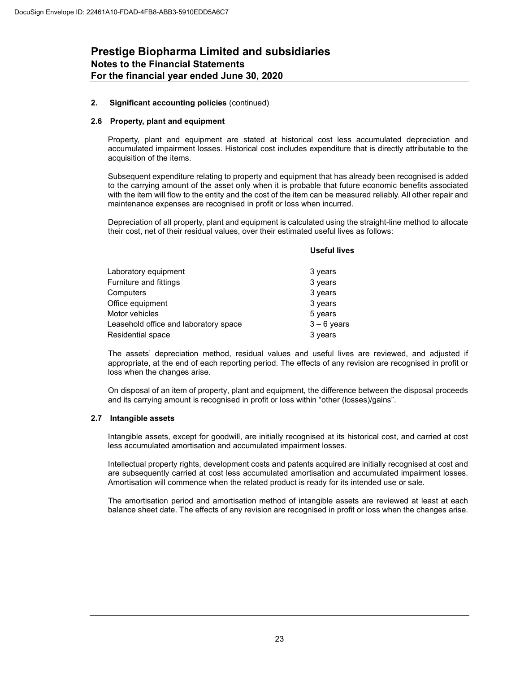### 2. Significant accounting policies (continued)

#### 2.6 Property, plant and equipment

Property, plant and equipment are stated at historical cost less accumulated depreciation and accumulated impairment losses. Historical cost includes expenditure that is directly attributable to the acquisition of the items.

Subsequent expenditure relating to property and equipment that has already been recognised is added to the carrying amount of the asset only when it is probable that future economic benefits associated with the item will flow to the entity and the cost of the item can be measured reliably. All other repair and maintenance expenses are recognised in profit or loss when incurred.

Depreciation of all property, plant and equipment is calculated using the straight-line method to allocate their cost, net of their residual values, over their estimated useful lives as follows:

|                                       | <b>Useful lives</b> |
|---------------------------------------|---------------------|
| Laboratory equipment                  | 3 years             |
| Furniture and fittings                | 3 years             |
| Computers                             | 3 years             |
| Office equipment                      | 3 years             |
| Motor vehicles                        | 5 years             |
| Leasehold office and laboratory space | $3 - 6$ years       |
| Residential space                     | 3 years             |

The assets' depreciation method, residual values and useful lives are reviewed, and adjusted if appropriate, at the end of each reporting period. The effects of any revision are recognised in profit or loss when the changes arise.

On disposal of an item of property, plant and equipment, the difference between the disposal proceeds and its carrying amount is recognised in profit or loss within "other (losses)/gains".

#### 2.7 Intangible assets

Intangible assets, except for goodwill, are initially recognised at its historical cost, and carried at cost less accumulated amortisation and accumulated impairment losses.

Intellectual property rights, development costs and patents acquired are initially recognised at cost and are subsequently carried at cost less accumulated amortisation and accumulated impairment losses. Amortisation will commence when the related product is ready for its intended use or sale.

The amortisation period and amortisation method of intangible assets are reviewed at least at each balance sheet date. The effects of any revision are recognised in profit or loss when the changes arise.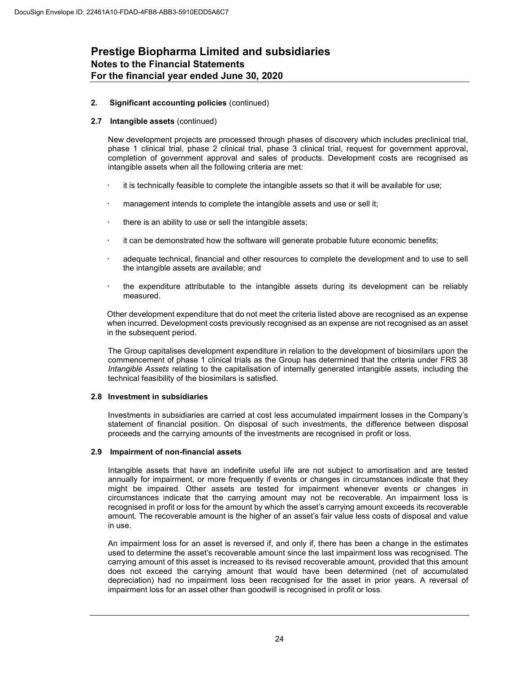### 2. Significant accounting policies (continued)

### 2.7 Intangible assets (continued)

New development projects are processed through phases of discovery which includes preclinical trial, phase 1 clinical trial, phase 2 clinical trial, phase 3 clinical trial, request for government approval, completion of government approval and sales of products. Development costs are recognised as intangible assets when all the following criteria are met:

- $\cdot$  it is technically feasible to complete the intangible assets so that it will be available for use;
- management intends to complete the intangible assets and use or sell it;
- $\cdot$  there is an ability to use or sell the intangible assets;
- it can be demonstrated how the software will generate probable future economic benefits;
- adequate technical, financial and other resources to complete the development and to use to sell the intangible assets are available; and
- the expenditure attributable to the intangible assets during its development can be reliably measured.

Other development expenditure that do not meet the criteria listed above are recognised as an expense when incurred. Development costs previously recognised as an expense are not recognised as an asset in the subsequent period.

The Group capitalises development expenditure in relation to the development of biosimilars upon the commencement of phase 1 clinical trials as the Group has determined that the criteria under FRS 38 Intangible Assets relating to the capitalisation of internally generated intangible assets, including the technical feasibility of the biosimilars is satisfied.

### 2.8 Investment in subsidiaries

Investments in subsidiaries are carried at cost less accumulated impairment losses in the Company's statement of financial position. On disposal of such investments, the difference between disposal proceeds and the carrying amounts of the investments are recognised in profit or loss.

### 2.9 Impairment of non-financial assets

Intangible assets that have an indefinite useful life are not subject to amortisation and are tested annually for impairment, or more frequently if events or changes in circumstances indicate that they might be impaired. Other assets are tested for impairment whenever events or changes in circumstances indicate that the carrying amount may not be recoverable. An impairment loss is recognised in profit or loss for the amount by which the asset's carrying amount exceeds its recoverable amount. The recoverable amount is the higher of an asset's fair value less costs of disposal and value in use.

An impairment loss for an asset is reversed if, and only if, there has been a change in the estimates used to determine the asset's recoverable amount since the last impairment loss was recognised. The carrying amount of this asset is increased to its revised recoverable amount, provided that this amount does not exceed the carrying amount that would have been determined (net of accumulated depreciation) had no impairment loss been recognised for the asset in prior years. A reversal of impairment loss for an asset other than goodwill is recognised in profit or loss.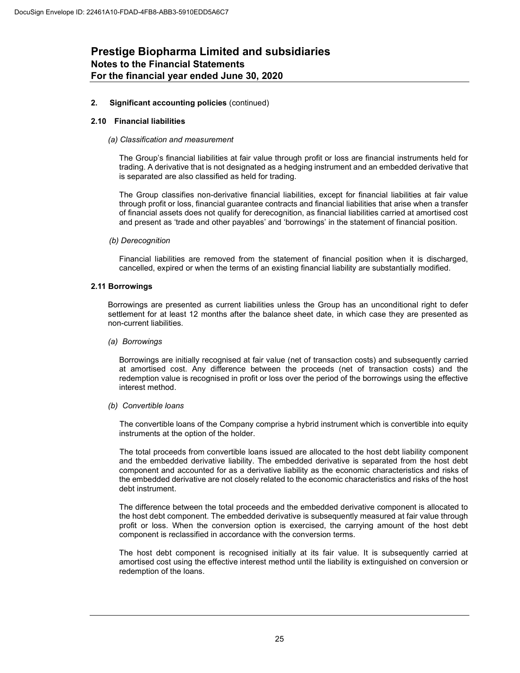### 2. Significant accounting policies (continued)

### 2.10 Financial liabilities

#### (a) Classification and measurement

The Group's financial liabilities at fair value through profit or loss are financial instruments held for trading. A derivative that is not designated as a hedging instrument and an embedded derivative that is separated are also classified as held for trading.

The Group classifies non-derivative financial liabilities, except for financial liabilities at fair value through profit or loss, financial guarantee contracts and financial liabilities that arise when a transfer of financial assets does not qualify for derecognition, as financial liabilities carried at amortised cost and present as 'trade and other payables' and 'borrowings' in the statement of financial position.

### (b) Derecognition

Financial liabilities are removed from the statement of financial position when it is discharged, cancelled, expired or when the terms of an existing financial liability are substantially modified.

### 2.11 Borrowings

Borrowings are presented as current liabilities unless the Group has an unconditional right to defer settlement for at least 12 months after the balance sheet date, in which case they are presented as non-current liabilities.

#### (a) Borrowings

Borrowings are initially recognised at fair value (net of transaction costs) and subsequently carried at amortised cost. Any difference between the proceeds (net of transaction costs) and the redemption value is recognised in profit or loss over the period of the borrowings using the effective interest method.

#### (b) Convertible loans

The convertible loans of the Company comprise a hybrid instrument which is convertible into equity instruments at the option of the holder.

The total proceeds from convertible loans issued are allocated to the host debt liability component and the embedded derivative liability. The embedded derivative is separated from the host debt component and accounted for as a derivative liability as the economic characteristics and risks of the embedded derivative are not closely related to the economic characteristics and risks of the host debt instrument.

The difference between the total proceeds and the embedded derivative component is allocated to the host debt component. The embedded derivative is subsequently measured at fair value through profit or loss. When the conversion option is exercised, the carrying amount of the host debt component is reclassified in accordance with the conversion terms.

The host debt component is recognised initially at its fair value. It is subsequently carried at amortised cost using the effective interest method until the liability is extinguished on conversion or redemption of the loans.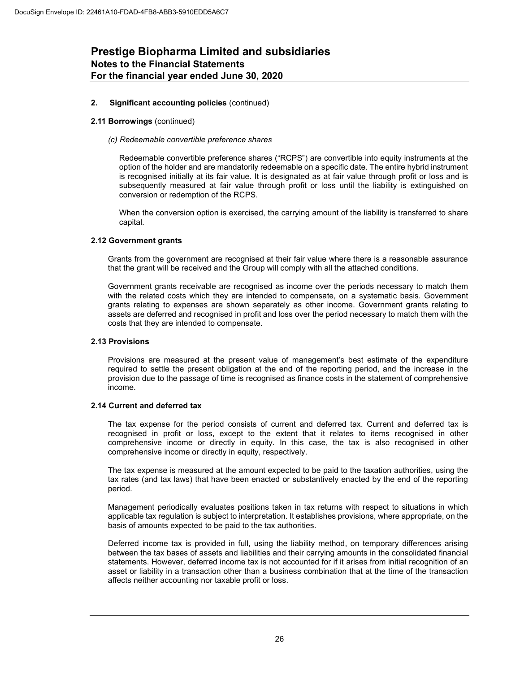### 2. Significant accounting policies (continued)

### 2.11 Borrowings (continued)

### (c) Redeemable convertible preference shares

Redeemable convertible preference shares ("RCPS") are convertible into equity instruments at the option of the holder and are mandatorily redeemable on a specific date. The entire hybrid instrument is recognised initially at its fair value. It is designated as at fair value through profit or loss and is subsequently measured at fair value through profit or loss until the liability is extinguished on conversion or redemption of the RCPS.

When the conversion option is exercised, the carrying amount of the liability is transferred to share capital.

### 2.12 Government grants

Grants from the government are recognised at their fair value where there is a reasonable assurance that the grant will be received and the Group will comply with all the attached conditions.

Government grants receivable are recognised as income over the periods necessary to match them with the related costs which they are intended to compensate, on a systematic basis. Government grants relating to expenses are shown separately as other income. Government grants relating to assets are deferred and recognised in profit and loss over the period necessary to match them with the costs that they are intended to compensate.

#### 2.13 Provisions

Provisions are measured at the present value of management's best estimate of the expenditure required to settle the present obligation at the end of the reporting period, and the increase in the provision due to the passage of time is recognised as finance costs in the statement of comprehensive income.

#### 2.14 Current and deferred tax

The tax expense for the period consists of current and deferred tax. Current and deferred tax is recognised in profit or loss, except to the extent that it relates to items recognised in other comprehensive income or directly in equity. In this case, the tax is also recognised in other comprehensive income or directly in equity, respectively.

The tax expense is measured at the amount expected to be paid to the taxation authorities, using the tax rates (and tax laws) that have been enacted or substantively enacted by the end of the reporting period.

Management periodically evaluates positions taken in tax returns with respect to situations in which applicable tax regulation is subject to interpretation. It establishes provisions, where appropriate, on the basis of amounts expected to be paid to the tax authorities.

Deferred income tax is provided in full, using the liability method, on temporary differences arising between the tax bases of assets and liabilities and their carrying amounts in the consolidated financial statements. However, deferred income tax is not accounted for if it arises from initial recognition of an asset or liability in a transaction other than a business combination that at the time of the transaction affects neither accounting nor taxable profit or loss.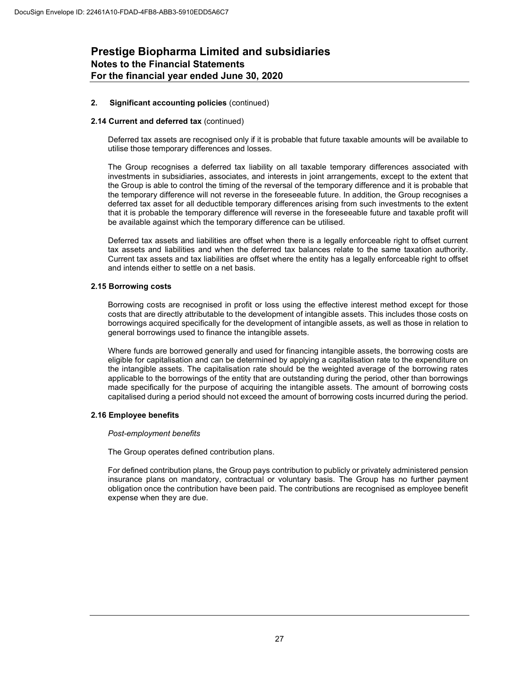### 2. Significant accounting policies (continued)

#### 2.14 Current and deferred tax (continued)

Deferred tax assets are recognised only if it is probable that future taxable amounts will be available to utilise those temporary differences and losses.

The Group recognises a deferred tax liability on all taxable temporary differences associated with investments in subsidiaries, associates, and interests in joint arrangements, except to the extent that the Group is able to control the timing of the reversal of the temporary difference and it is probable that the temporary difference will not reverse in the foreseeable future. In addition, the Group recognises a deferred tax asset for all deductible temporary differences arising from such investments to the extent that it is probable the temporary difference will reverse in the foreseeable future and taxable profit will be available against which the temporary difference can be utilised.

Deferred tax assets and liabilities are offset when there is a legally enforceable right to offset current tax assets and liabilities and when the deferred tax balances relate to the same taxation authority. Current tax assets and tax liabilities are offset where the entity has a legally enforceable right to offset and intends either to settle on a net basis.

#### 2.15 Borrowing costs

Borrowing costs are recognised in profit or loss using the effective interest method except for those costs that are directly attributable to the development of intangible assets. This includes those costs on borrowings acquired specifically for the development of intangible assets, as well as those in relation to general borrowings used to finance the intangible assets.

Where funds are borrowed generally and used for financing intangible assets, the borrowing costs are eligible for capitalisation and can be determined by applying a capitalisation rate to the expenditure on the intangible assets. The capitalisation rate should be the weighted average of the borrowing rates applicable to the borrowings of the entity that are outstanding during the period, other than borrowings made specifically for the purpose of acquiring the intangible assets. The amount of borrowing costs capitalised during a period should not exceed the amount of borrowing costs incurred during the period.

#### 2.16 Employee benefits

#### Post-employment benefits

The Group operates defined contribution plans.

For defined contribution plans, the Group pays contribution to publicly or privately administered pension insurance plans on mandatory, contractual or voluntary basis. The Group has no further payment obligation once the contribution have been paid. The contributions are recognised as employee benefit expense when they are due.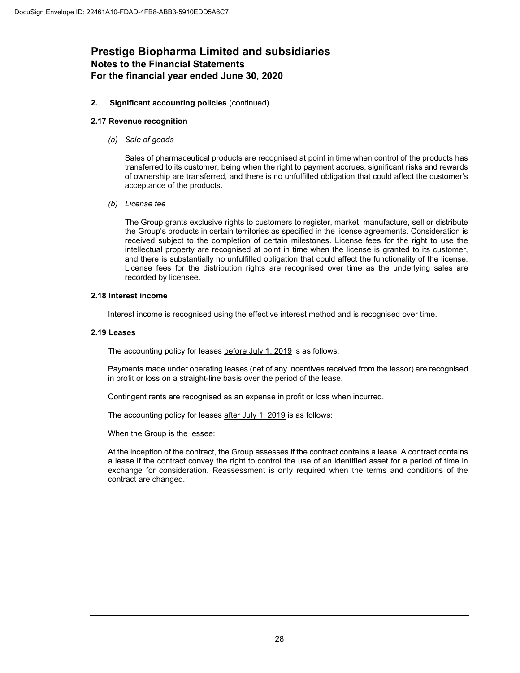### 2. Significant accounting policies (continued)

### 2.17 Revenue recognition

(a) Sale of goods

Sales of pharmaceutical products are recognised at point in time when control of the products has transferred to its customer, being when the right to payment accrues, significant risks and rewards of ownership are transferred, and there is no unfulfilled obligation that could affect the customer's acceptance of the products.

(b) License fee

The Group grants exclusive rights to customers to register, market, manufacture, sell or distribute the Group's products in certain territories as specified in the license agreements. Consideration is received subject to the completion of certain milestones. License fees for the right to use the intellectual property are recognised at point in time when the license is granted to its customer, and there is substantially no unfulfilled obligation that could affect the functionality of the license. License fees for the distribution rights are recognised over time as the underlying sales are recorded by licensee.

### 2.18 Interest income

Interest income is recognised using the effective interest method and is recognised over time.

### 2.19 Leases

The accounting policy for leases before July 1, 2019 is as follows:

Payments made under operating leases (net of any incentives received from the lessor) are recognised in profit or loss on a straight-line basis over the period of the lease.

Contingent rents are recognised as an expense in profit or loss when incurred.

The accounting policy for leases after July 1, 2019 is as follows:

When the Group is the lessee:

At the inception of the contract, the Group assesses if the contract contains a lease. A contract contains a lease if the contract convey the right to control the use of an identified asset for a period of time in exchange for consideration. Reassessment is only required when the terms and conditions of the contract are changed.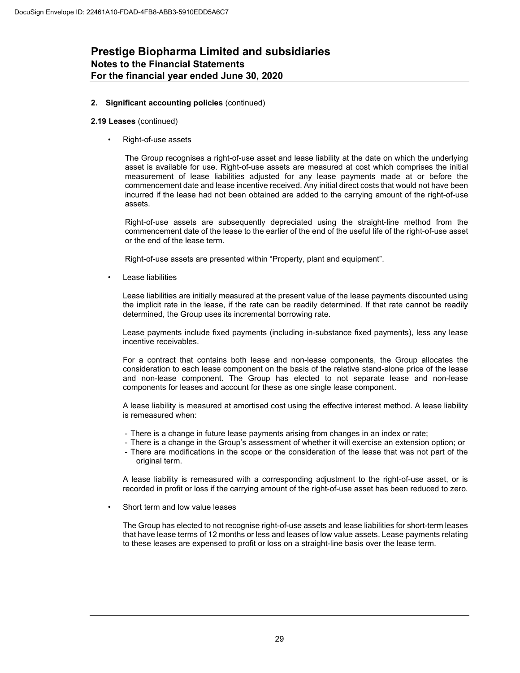### 2. Significant accounting policies (continued)

### 2.19 Leases (continued)

• Right-of-use assets

The Group recognises a right-of-use asset and lease liability at the date on which the underlying asset is available for use. Right-of-use assets are measured at cost which comprises the initial measurement of lease liabilities adjusted for any lease payments made at or before the commencement date and lease incentive received. Any initial direct costs that would not have been incurred if the lease had not been obtained are added to the carrying amount of the right-of-use assets.

Right-of-use assets are subsequently depreciated using the straight-line method from the commencement date of the lease to the earlier of the end of the useful life of the right-of-use asset or the end of the lease term.

Right-of-use assets are presented within "Property, plant and equipment".

Lease liabilities

 Lease liabilities are initially measured at the present value of the lease payments discounted using the implicit rate in the lease, if the rate can be readily determined. If that rate cannot be readily determined, the Group uses its incremental borrowing rate.

 Lease payments include fixed payments (including in-substance fixed payments), less any lease incentive receivables.

 For a contract that contains both lease and non-lease components, the Group allocates the consideration to each lease component on the basis of the relative stand-alone price of the lease and non-lease component. The Group has elected to not separate lease and non-lease components for leases and account for these as one single lease component.

 A lease liability is measured at amortised cost using the effective interest method. A lease liability is remeasured when:

- There is a change in future lease payments arising from changes in an index or rate;
- There is a change in the Group's assessment of whether it will exercise an extension option; or
- There are modifications in the scope or the consideration of the lease that was not part of the original term.

 A lease liability is remeasured with a corresponding adjustment to the right-of-use asset, or is recorded in profit or loss if the carrying amount of the right-of-use asset has been reduced to zero.

Short term and low value leases

 The Group has elected to not recognise right-of-use assets and lease liabilities for short-term leases that have lease terms of 12 months or less and leases of low value assets. Lease payments relating to these leases are expensed to profit or loss on a straight-line basis over the lease term.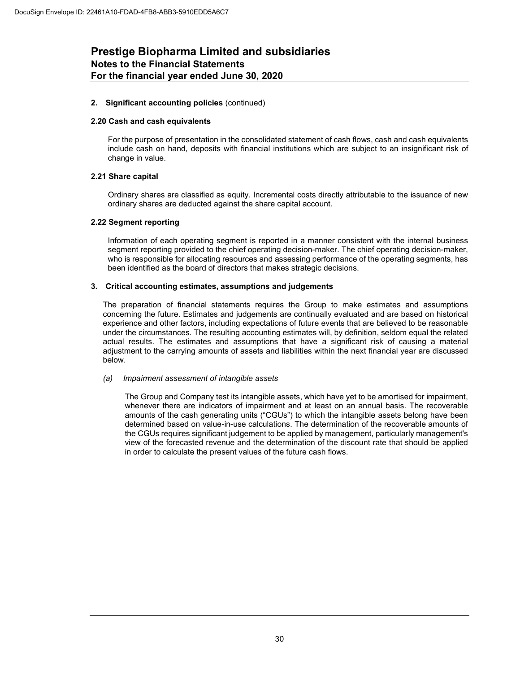### 2. Significant accounting policies (continued)

### 2.20 Cash and cash equivalents

For the purpose of presentation in the consolidated statement of cash flows, cash and cash equivalents include cash on hand, deposits with financial institutions which are subject to an insignificant risk of change in value.

### 2.21 Share capital

Ordinary shares are classified as equity. Incremental costs directly attributable to the issuance of new ordinary shares are deducted against the share capital account.

### 2.22 Segment reporting

Information of each operating segment is reported in a manner consistent with the internal business segment reporting provided to the chief operating decision-maker. The chief operating decision-maker, who is responsible for allocating resources and assessing performance of the operating segments, has been identified as the board of directors that makes strategic decisions.

### 3. Critical accounting estimates, assumptions and judgements

The preparation of financial statements requires the Group to make estimates and assumptions concerning the future. Estimates and judgements are continually evaluated and are based on historical experience and other factors, including expectations of future events that are believed to be reasonable under the circumstances. The resulting accounting estimates will, by definition, seldom equal the related actual results. The estimates and assumptions that have a significant risk of causing a material adjustment to the carrying amounts of assets and liabilities within the next financial year are discussed below.

#### (a) Impairment assessment of intangible assets

The Group and Company test its intangible assets, which have yet to be amortised for impairment, whenever there are indicators of impairment and at least on an annual basis. The recoverable amounts of the cash generating units ("CGUs") to which the intangible assets belong have been determined based on value-in-use calculations. The determination of the recoverable amounts of the CGUs requires significant judgement to be applied by management, particularly management's view of the forecasted revenue and the determination of the discount rate that should be applied in order to calculate the present values of the future cash flows.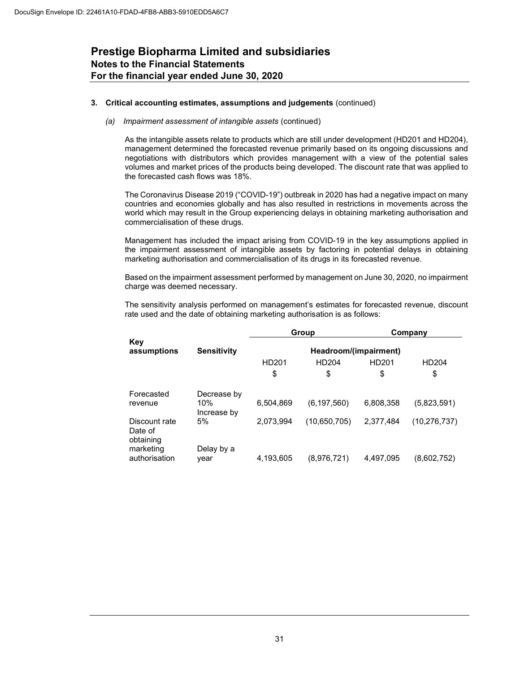### 3. Critical accounting estimates, assumptions and judgements (continued)

(a) Impairment assessment of intangible assets (continued)

As the intangible assets relate to products which are still under development (HD201 and HD204), management determined the forecasted revenue primarily based on its ongoing discussions and negotiations with distributors which provides management with a view of the potential sales volumes and market prices of the products being developed. The discount rate that was applied to the forecasted cash flows was 18%.

The Coronavirus Disease 2019 ("COVID-19") outbreak in 2020 has had a negative impact on many countries and economies globally and has also resulted in restrictions in movements across the world which may result in the Group experiencing delays in obtaining marketing authorisation and commercialisation of these drugs.

Management has included the impact arising from COVID-19 in the key assumptions applied in the impairment assessment of intangible assets by factoring in potential delays in obtaining marketing authorisation and commercialisation of its drugs in its forecasted revenue.

Based on the impairment assessment performed by management on June 30, 2020, no impairment charge was deemed necessary.

The sensitivity analysis performed on management's estimates for forecasted revenue, discount rate used and the date of obtaining marketing authorisation is as follows:

|                                       |                                   | Group                 |                   | Company           |                   |  |
|---------------------------------------|-----------------------------------|-----------------------|-------------------|-------------------|-------------------|--|
| <b>Key</b><br>assumptions             | <b>Sensitivity</b>                | Headroom/(impairment) |                   |                   |                   |  |
|                                       |                                   | HD <sub>201</sub>     | HD <sub>204</sub> | HD <sub>201</sub> | HD <sub>204</sub> |  |
|                                       |                                   | \$                    | \$                | \$                | \$                |  |
| Forecasted<br>revenue                 | Decrease by<br>10%<br>Increase by | 6.504.869             | (6, 197, 560)     | 6.808.358         | (5,823,591)       |  |
| Discount rate<br>Date of<br>obtaining | 5%                                | 2.073.994             | (10,650,705)      | 2,377,484         | (10, 276, 737)    |  |
| marketing<br>authorisation            | Delay by a<br>vear                | 4,193,605             | (8,976,721)       | 4,497,095         | (8,602,752)       |  |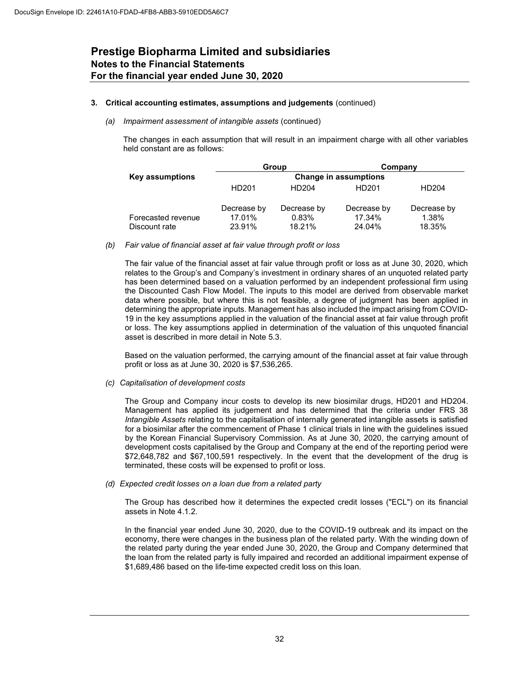### 3. Critical accounting estimates, assumptions and judgements (continued)

(a) Impairment assessment of intangible assets (continued)

The changes in each assumption that will result in an impairment charge with all other variables held constant are as follows:

|                                     | Group                        |                   | Company           |                   |
|-------------------------------------|------------------------------|-------------------|-------------------|-------------------|
| Key assumptions                     | <b>Change in assumptions</b> |                   |                   |                   |
|                                     | HD <sub>201</sub>            | HD <sub>204</sub> | HD <sub>201</sub> | HD <sub>204</sub> |
|                                     | Decrease by                  | Decrease by       | Decrease by       | Decrease by       |
| Forecasted revenue<br>Discount rate | 17.01%<br>23.91%             | 0.83%<br>18.21%   | 17.34%<br>24.04%  | 1.38%<br>18.35%   |

(b) Fair value of financial asset at fair value through profit or loss

The fair value of the financial asset at fair value through profit or loss as at June 30, 2020, which relates to the Group's and Company's investment in ordinary shares of an unquoted related party has been determined based on a valuation performed by an independent professional firm using the Discounted Cash Flow Model. The inputs to this model are derived from observable market data where possible, but where this is not feasible, a degree of judgment has been applied in determining the appropriate inputs. Management has also included the impact arising from COVID-19 in the key assumptions applied in the valuation of the financial asset at fair value through profit or loss. The key assumptions applied in determination of the valuation of this unquoted financial asset is described in more detail in Note 5.3.

Based on the valuation performed, the carrying amount of the financial asset at fair value through profit or loss as at June 30, 2020 is \$7,536,265.

(c) Capitalisation of development costs

 The Group and Company incur costs to develop its new biosimilar drugs, HD201 and HD204. Management has applied its judgement and has determined that the criteria under FRS 38 Intangible Assets relating to the capitalisation of internally generated intangible assets is satisfied for a biosimilar after the commencement of Phase 1 clinical trials in line with the guidelines issued by the Korean Financial Supervisory Commission. As at June 30, 2020, the carrying amount of development costs capitalised by the Group and Company at the end of the reporting period were \$72,648,782 and \$67,100,591 respectively. In the event that the development of the drug is terminated, these costs will be expensed to profit or loss.

(d) Expected credit losses on a loan due from a related party

The Group has described how it determines the expected credit losses ("ECL") on its financial assets in Note 4.1.2.

In the financial year ended June 30, 2020, due to the COVID-19 outbreak and its impact on the economy, there were changes in the business plan of the related party. With the winding down of the related party during the year ended June 30, 2020, the Group and Company determined that the loan from the related party is fully impaired and recorded an additional impairment expense of \$1,689,486 based on the life-time expected credit loss on this loan.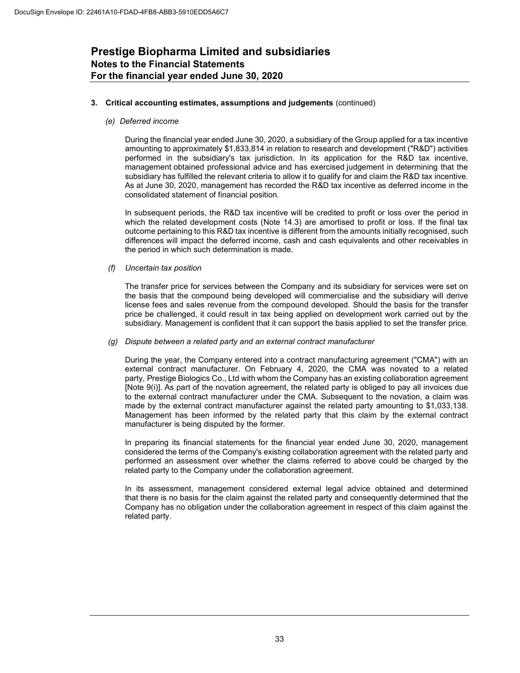### 3. Critical accounting estimates, assumptions and judgements (continued)

### (e) Deferred income

During the financial year ended June 30, 2020, a subsidiary of the Group applied for a tax incentive amounting to approximately \$1,833,814 in relation to research and development ("R&D") activities performed in the subsidiary's tax jurisdiction. In its application for the R&D tax incentive, management obtained professional advice and has exercised judgement in determining that the subsidiary has fulfilled the relevant criteria to allow it to qualify for and claim the R&D tax incentive. As at June 30, 2020, management has recorded the R&D tax incentive as deferred income in the consolidated statement of financial position.

In subsequent periods, the R&D tax incentive will be credited to profit or loss over the period in which the related development costs (Note 14.3) are amortised to profit or loss. If the final tax outcome pertaining to this R&D tax incentive is different from the amounts initially recognised, such differences will impact the deferred income, cash and cash equivalents and other receivables in the period in which such determination is made.

#### (f) Uncertain tax position

The transfer price for services between the Company and its subsidiary for services were set on the basis that the compound being developed will commercialise and the subsidiary will derive license fees and sales revenue from the compound developed. Should the basis for the transfer price be challenged, it could result in tax being applied on development work carried out by the subsidiary. Management is confident that it can support the basis applied to set the transfer price.

### (g) Dispute between a related party and an external contract manufacturer

During the year, the Company entered into a contract manufacturing agreement ("CMA") with an external contract manufacturer. On February 4, 2020, the CMA was novated to a related party, Prestige Biologics Co., Ltd with whom the Company has an existing collaboration agreement [Note 9(i)]. As part of the novation agreement, the related party is obliged to pay all invoices due to the external contract manufacturer under the CMA. Subsequent to the novation, a claim was made by the external contract manufacturer against the related party amounting to \$1,033,138. Management has been informed by the related party that this claim by the external contract manufacturer is being disputed by the former.

In preparing its financial statements for the financial year ended June 30, 2020, management considered the terms of the Company's existing collaboration agreement with the related party and performed an assessment over whether the claims referred to above could be charged by the related party to the Company under the collaboration agreement.

In its assessment, management considered external legal advice obtained and determined that there is no basis for the claim against the related party and consequently determined that the Company has no obligation under the collaboration agreement in respect of this claim against the related party.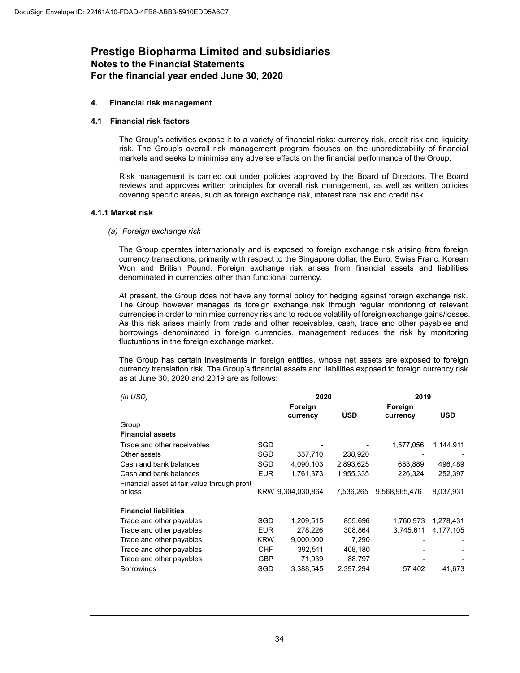### 4. Financial risk management

#### 4.1 Financial risk factors

The Group's activities expose it to a variety of financial risks: currency risk, credit risk and liquidity risk. The Group's overall risk management program focuses on the unpredictability of financial markets and seeks to minimise any adverse effects on the financial performance of the Group.

Risk management is carried out under policies approved by the Board of Directors. The Board reviews and approves written principles for overall risk management, as well as written policies covering specific areas, such as foreign exchange risk, interest rate risk and credit risk.

#### 4.1.1 Market risk

#### (a) Foreign exchange risk

The Group operates internationally and is exposed to foreign exchange risk arising from foreign currency transactions, primarily with respect to the Singapore dollar, the Euro, Swiss Franc, Korean Won and British Pound. Foreign exchange risk arises from financial assets and liabilities denominated in currencies other than functional currency.

At present, the Group does not have any formal policy for hedging against foreign exchange risk. The Group however manages its foreign exchange risk through regular monitoring of relevant currencies in order to minimise currency risk and to reduce volatility of foreign exchange gains/losses. As this risk arises mainly from trade and other receivables, cash, trade and other payables and borrowings denominated in foreign currencies, management reduces the risk by monitoring fluctuations in the foreign exchange market.

The Group has certain investments in foreign entities, whose net assets are exposed to foreign currency translation risk. The Group's financial assets and liabilities exposed to foreign currency risk as at June 30, 2020 and 2019 are as follows:

| (in USD)                                     |            |                     | 2019<br>2020 |                     |           |
|----------------------------------------------|------------|---------------------|--------------|---------------------|-----------|
|                                              |            | Foreign<br>currency | <b>USD</b>   | Foreign<br>currency | USD       |
| Group                                        |            |                     |              |                     |           |
| <b>Financial assets</b>                      |            |                     |              |                     |           |
| Trade and other receivables                  | SGD        |                     |              | 1,577,056           | 1,144,911 |
| Other assets                                 | SGD        | 337,710             | 238,920      |                     |           |
| Cash and bank balances                       | SGD        | 4,090,103           | 2,893,625    | 683,889             | 496,489   |
| Cash and bank balances                       | <b>EUR</b> | 1,761,373           | 1,955,335    | 226,324             | 252,397   |
| Financial asset at fair value through profit |            |                     |              |                     |           |
| or loss                                      |            | KRW 9.304,030,864   | 7,536,265    | 9,568,965,476       | 8,037,931 |
| <b>Financial liabilities</b>                 |            |                     |              |                     |           |
| Trade and other payables                     | SGD        | 1,209,515           | 855,696      | 1.760.973           | 1,278,431 |
| Trade and other payables                     | <b>EUR</b> | 278,226             | 308,864      | 3,745,611           | 4,177,105 |
| Trade and other payables                     | <b>KRW</b> | 9,000,000           | 7,290        |                     |           |
| Trade and other payables                     | <b>CHF</b> | 392,511             | 408,180      |                     |           |
| Trade and other payables                     | <b>GBP</b> | 71,939              | 88,797       |                     |           |
| <b>Borrowings</b>                            | SGD        | 3,388,545           | 2,397,294    | 57,402              | 41,673    |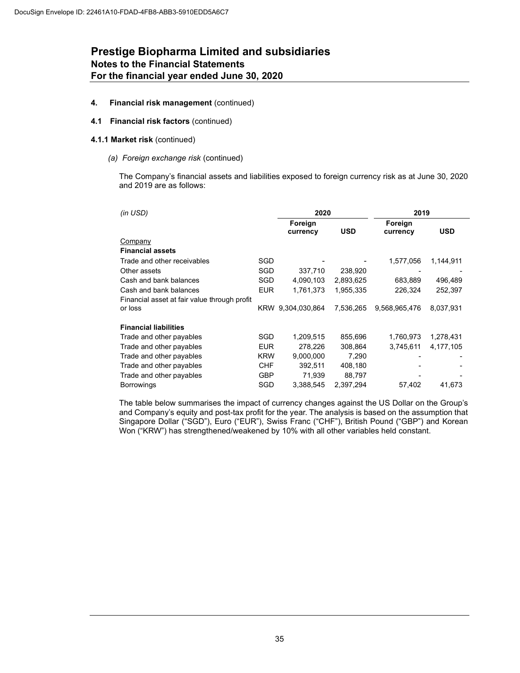- 4. Financial risk management (continued)
- 4.1 Financial risk factors (continued)

#### 4.1.1 Market risk (continued)

(a) Foreign exchange risk (continued)

The Company's financial assets and liabilities exposed to foreign currency risk as at June 30, 2020 and 2019 are as follows:

| (in USD)                                     |            |                     | 2020       |                     | 2019       |  |
|----------------------------------------------|------------|---------------------|------------|---------------------|------------|--|
|                                              |            | Foreign<br>currency | <b>USD</b> | Foreign<br>currency | <b>USD</b> |  |
| Company                                      |            |                     |            |                     |            |  |
| <b>Financial assets</b>                      |            |                     |            |                     |            |  |
| Trade and other receivables                  | SGD        |                     |            | 1,577,056           | 1,144,911  |  |
| Other assets                                 | SGD        | 337,710             | 238,920    |                     |            |  |
| Cash and bank balances                       | SGD        | 4,090,103           | 2,893,625  | 683,889             | 496,489    |  |
| Cash and bank balances                       | <b>EUR</b> | 1,761,373           | 1,955,335  | 226,324             | 252,397    |  |
| Financial asset at fair value through profit |            |                     |            |                     |            |  |
| or loss                                      |            | KRW 9,304,030,864   | 7,536,265  | 9,568,965,476       | 8,037,931  |  |
| <b>Financial liabilities</b>                 |            |                     |            |                     |            |  |
| Trade and other payables                     | SGD        | 1,209,515           | 855,696    | 1,760,973           | 1,278,431  |  |
| Trade and other payables                     | <b>EUR</b> | 278,226             | 308,864    | 3,745,611           | 4,177,105  |  |
| Trade and other payables                     | <b>KRW</b> | 9,000,000           | 7,290      |                     |            |  |
| Trade and other payables                     | <b>CHF</b> | 392,511             | 408,180    |                     |            |  |
| Trade and other payables                     | <b>GBP</b> | 71,939              | 88,797     |                     |            |  |
| <b>Borrowings</b>                            | SGD        | 3,388,545           | 2,397,294  | 57,402              | 41,673     |  |

The table below summarises the impact of currency changes against the US Dollar on the Group's and Company's equity and post-tax profit for the year. The analysis is based on the assumption that Singapore Dollar ("SGD"), Euro ("EUR"), Swiss Franc ("CHF"), British Pound ("GBP") and Korean Won ("KRW") has strengthened/weakened by 10% with all other variables held constant.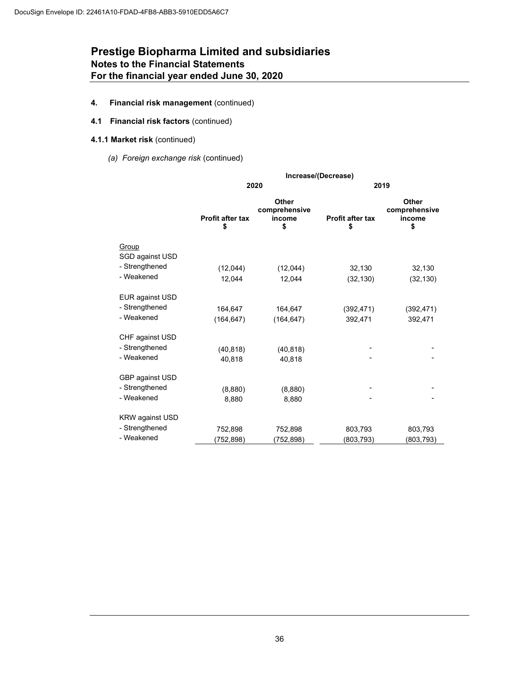- 4. Financial risk management (continued)
- 4.1 Financial risk factors (continued)

### 4.1.1 Market risk (continued)

(a) Foreign exchange risk (continued)

|                          |                              | 2020                                   | 2019                          |                                               |  |
|--------------------------|------------------------------|----------------------------------------|-------------------------------|-----------------------------------------------|--|
|                          | <b>Profit after tax</b><br>S | Other<br>comprehensive<br>income<br>\$ | <b>Profit after tax</b><br>\$ | <b>Other</b><br>comprehensive<br>income<br>\$ |  |
| Group<br>SGD against USD |                              |                                        |                               |                                               |  |
| - Strengthened           | (12,044)                     | (12,044)                               | 32,130                        | 32,130                                        |  |
| - Weakened               | 12,044                       | 12,044                                 | (32, 130)                     | (32, 130)                                     |  |
| EUR against USD          |                              |                                        |                               |                                               |  |
| - Strengthened           | 164,647                      | 164,647                                | (392, 471)                    | (392, 471)                                    |  |
| - Weakened               | (164, 647)                   | (164, 647)                             | 392,471                       | 392,471                                       |  |
| CHF against USD          |                              |                                        |                               |                                               |  |
| - Strengthened           | (40, 818)                    | (40, 818)                              |                               |                                               |  |
| - Weakened               | 40,818                       | 40,818                                 |                               |                                               |  |
| GBP against USD          |                              |                                        |                               |                                               |  |
| - Strengthened           | (8,880)                      | (8,880)                                |                               |                                               |  |
| - Weakened               | 8,880                        | 8,880                                  |                               |                                               |  |
| KRW against USD          |                              |                                        |                               |                                               |  |
| - Strengthened           | 752,898                      | 752,898                                | 803,793                       | 803,793                                       |  |
| - Weakened               | (752,898)                    | (752, 898)                             | (803, 793)                    | (803,793)                                     |  |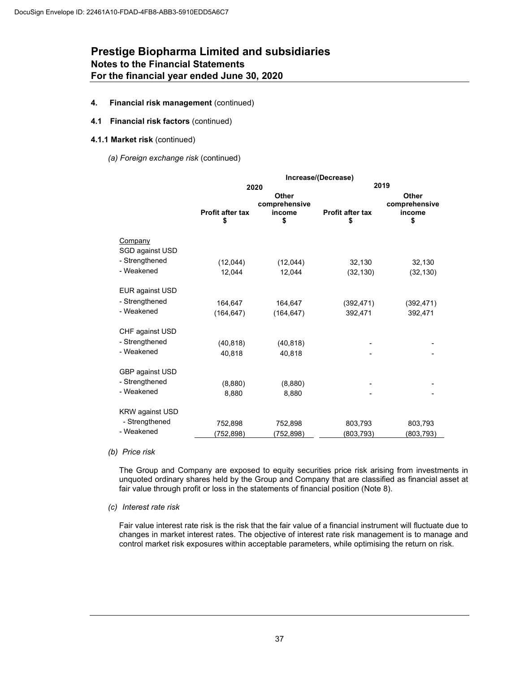- 4. Financial risk management (continued)
- 4.1 Financial risk factors (continued)

### 4.1.1 Market risk (continued)

(a) Foreign exchange risk (continued)

|                            | Increase/(Decrease)           |                                        |                               |                                        |  |  |
|----------------------------|-------------------------------|----------------------------------------|-------------------------------|----------------------------------------|--|--|
|                            |                               | 2020                                   | 2019                          |                                        |  |  |
|                            | <b>Profit after tax</b><br>\$ | Other<br>comprehensive<br>income<br>\$ | <b>Profit after tax</b><br>\$ | Other<br>comprehensive<br>income<br>\$ |  |  |
| Company<br>SGD against USD |                               |                                        |                               |                                        |  |  |
| - Strengthened             | (12,044)                      | (12,044)                               | 32,130                        | 32,130                                 |  |  |
| - Weakened                 | 12,044                        | 12,044                                 | (32, 130)                     | (32, 130)                              |  |  |
| EUR against USD            |                               |                                        |                               |                                        |  |  |
| - Strengthened             | 164,647                       | 164,647                                | (392, 471)                    | (392, 471)                             |  |  |
| - Weakened                 | (164, 647)                    | (164, 647)                             | 392,471                       | 392,471                                |  |  |
| CHF against USD            |                               |                                        |                               |                                        |  |  |
| - Strengthened             | (40, 818)                     | (40, 818)                              |                               |                                        |  |  |
| - Weakened                 | 40,818                        | 40,818                                 |                               |                                        |  |  |
| GBP against USD            |                               |                                        |                               |                                        |  |  |
| - Strengthened             | (8,880)                       | (8,880)                                |                               |                                        |  |  |
| - Weakened                 | 8,880                         | 8,880                                  |                               |                                        |  |  |
| KRW against USD            |                               |                                        |                               |                                        |  |  |
| - Strengthened             | 752,898                       | 752,898                                | 803,793                       | 803,793                                |  |  |
| - Weakened                 | (752,898)                     | (752,898)                              | (803,793)                     | (803,793)                              |  |  |

### (b) Price risk

The Group and Company are exposed to equity securities price risk arising from investments in unquoted ordinary shares held by the Group and Company that are classified as financial asset at fair value through profit or loss in the statements of financial position (Note 8).

#### (c) Interest rate risk

Fair value interest rate risk is the risk that the fair value of a financial instrument will fluctuate due to changes in market interest rates. The objective of interest rate risk management is to manage and control market risk exposures within acceptable parameters, while optimising the return on risk.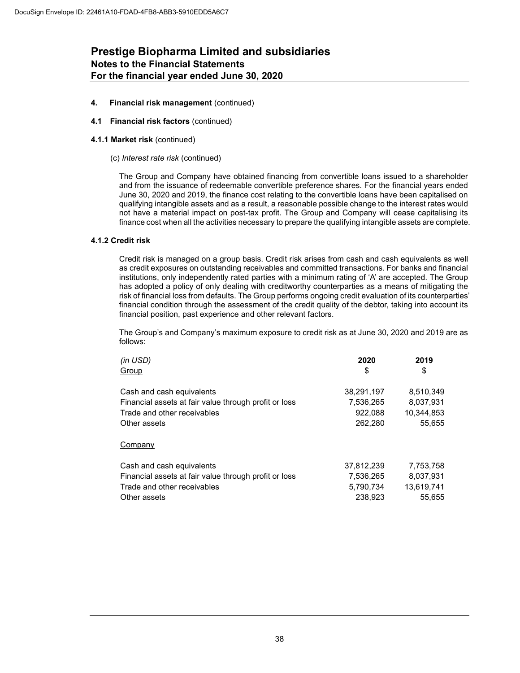- 4. Financial risk management (continued)
- 4.1 Financial risk factors (continued)
- 4.1.1 Market risk (continued)
	- (c) Interest rate risk (continued)

The Group and Company have obtained financing from convertible loans issued to a shareholder and from the issuance of redeemable convertible preference shares. For the financial years ended June 30, 2020 and 2019, the finance cost relating to the convertible loans have been capitalised on qualifying intangible assets and as a result, a reasonable possible change to the interest rates would not have a material impact on post-tax profit. The Group and Company will cease capitalising its finance cost when all the activities necessary to prepare the qualifying intangible assets are complete.

### 4.1.2 Credit risk

Credit risk is managed on a group basis. Credit risk arises from cash and cash equivalents as well as credit exposures on outstanding receivables and committed transactions. For banks and financial institutions, only independently rated parties with a minimum rating of 'A' are accepted. The Group has adopted a policy of only dealing with creditworthy counterparties as a means of mitigating the risk of financial loss from defaults. The Group performs ongoing credit evaluation of its counterparties' financial condition through the assessment of the credit quality of the debtor, taking into account its financial position, past experience and other relevant factors.

The Group's and Company's maximum exposure to credit risk as at June 30, 2020 and 2019 are as follows:

| (in USD)                                              | 2020       | 2019       |
|-------------------------------------------------------|------------|------------|
| Group                                                 | \$         | \$         |
| Cash and cash equivalents                             | 38,291,197 | 8,510,349  |
| Financial assets at fair value through profit or loss | 7,536,265  | 8,037,931  |
| Trade and other receivables                           | 922,088    | 10,344,853 |
| Other assets                                          | 262,280    | 55,655     |
| Company                                               |            |            |
| Cash and cash equivalents                             | 37,812,239 | 7,753,758  |
| Financial assets at fair value through profit or loss | 7,536,265  | 8,037,931  |
| Trade and other receivables                           | 5,790,734  | 13,619,741 |
| Other assets                                          | 238,923    | 55.655     |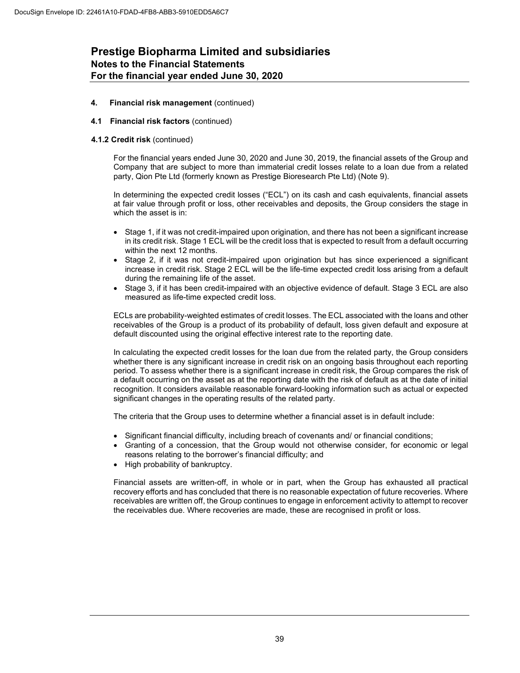- 4. Financial risk management (continued)
- 4.1 Financial risk factors (continued)

#### 4.1.2 Credit risk (continued)

For the financial years ended June 30, 2020 and June 30, 2019, the financial assets of the Group and Company that are subject to more than immaterial credit losses relate to a loan due from a related party, Qion Pte Ltd (formerly known as Prestige Bioresearch Pte Ltd) (Note 9).

In determining the expected credit losses ("ECL") on its cash and cash equivalents, financial assets at fair value through profit or loss, other receivables and deposits, the Group considers the stage in which the asset is in:

- Stage 1, if it was not credit-impaired upon origination, and there has not been a significant increase in its credit risk. Stage 1 ECL will be the credit loss that is expected to result from a default occurring within the next 12 months.
- Stage 2, if it was not credit-impaired upon origination but has since experienced a significant increase in credit risk. Stage 2 ECL will be the life-time expected credit loss arising from a default during the remaining life of the asset.
- Stage 3, if it has been credit-impaired with an objective evidence of default. Stage 3 ECL are also measured as life-time expected credit loss.

ECLs are probability-weighted estimates of credit losses. The ECL associated with the loans and other receivables of the Group is a product of its probability of default, loss given default and exposure at default discounted using the original effective interest rate to the reporting date.

In calculating the expected credit losses for the loan due from the related party, the Group considers whether there is any significant increase in credit risk on an ongoing basis throughout each reporting period. To assess whether there is a significant increase in credit risk, the Group compares the risk of a default occurring on the asset as at the reporting date with the risk of default as at the date of initial recognition. It considers available reasonable forward-looking information such as actual or expected significant changes in the operating results of the related party.

The criteria that the Group uses to determine whether a financial asset is in default include:

- Significant financial difficulty, including breach of covenants and/ or financial conditions;
- Granting of a concession, that the Group would not otherwise consider, for economic or legal reasons relating to the borrower's financial difficulty; and
- High probability of bankruptcy.

Financial assets are written-off, in whole or in part, when the Group has exhausted all practical recovery efforts and has concluded that there is no reasonable expectation of future recoveries. Where receivables are written off, the Group continues to engage in enforcement activity to attempt to recover the receivables due. Where recoveries are made, these are recognised in profit or loss.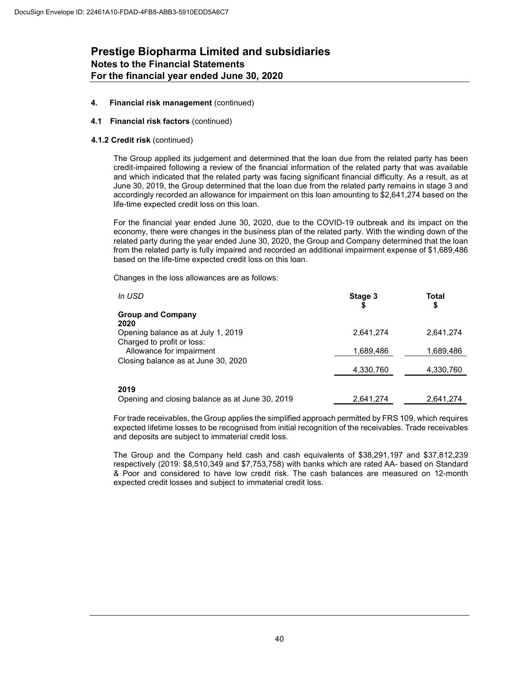- 4. Financial risk management (continued)
- 4.1 Financial risk factors (continued)

### 4.1.2 Credit risk (continued)

The Group applied its judgement and determined that the loan due from the related party has been credit-impaired following a review of the financial information of the related party that was available and which indicated that the related party was facing significant financial difficulty. As a result, as at June 30, 2019, the Group determined that the loan due from the related party remains in stage 3 and accordingly recorded an allowance for impairment on this loan amounting to \$2,641,274 based on the life-time expected credit loss on this loan.

For the financial year ended June 30, 2020, due to the COVID-19 outbreak and its impact on the economy, there were changes in the business plan of the related party. With the winding down of the related party during the year ended June 30, 2020, the Group and Company determined that the loan from the related party is fully impaired and recorded an additional impairment expense of \$1,689,486 based on the life-time expected credit loss on this loan.

Changes in the loss allowances are as follows:

| In USD                                                           | Stage 3   | Total<br>\$ |
|------------------------------------------------------------------|-----------|-------------|
| <b>Group and Company</b><br>2020                                 |           |             |
| Opening balance as at July 1, 2019<br>Charged to profit or loss: | 2,641,274 | 2,641,274   |
| Allowance for impairment<br>Closing balance as at June 30, 2020  | 1,689,486 | 1,689,486   |
|                                                                  | 4,330,760 | 4,330,760   |
| 2019<br>Opening and closing balance as at June 30, 2019          | 2,641,274 | 2,641,274   |

For trade receivables, the Group applies the simplified approach permitted by FRS 109, which requires expected lifetime losses to be recognised from initial recognition of the receivables. Trade receivables and deposits are subject to immaterial credit loss.

The Group and the Company held cash and cash equivalents of \$38,291,197 and \$37,812,239 respectively (2019: \$8,510,349 and \$7,753,758) with banks which are rated AA- based on Standard & Poor and considered to have low credit risk. The cash balances are measured on 12-month expected credit losses and subject to immaterial credit loss.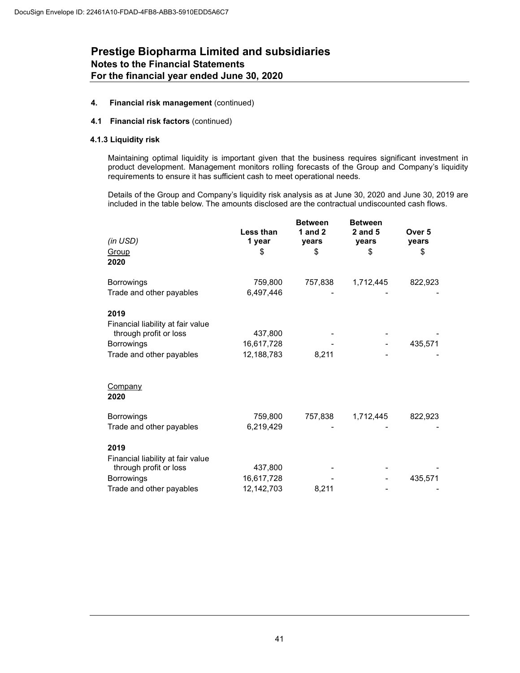- 4. Financial risk management (continued)
- 4.1 Financial risk factors (continued)

### 4.1.3 Liquidity risk

Maintaining optimal liquidity is important given that the business requires significant investment in product development. Management monitors rolling forecasts of the Group and Company's liquidity requirements to ensure it has sufficient cash to meet operational needs.

Details of the Group and Company's liquidity risk analysis as at June 30, 2020 and June 30, 2019 are included in the table below. The amounts disclosed are the contractual undiscounted cash flows.

| (in USD)<br>Group                 | Less than<br>1 year<br>\$ | <b>Between</b><br>1 and $2$<br>years<br>\$ | <b>Between</b><br>$2$ and $5$<br>years<br>\$ | Over 5<br>years<br>\$ |
|-----------------------------------|---------------------------|--------------------------------------------|----------------------------------------------|-----------------------|
| 2020                              |                           |                                            |                                              |                       |
| <b>Borrowings</b>                 | 759,800                   | 757,838                                    | 1,712,445                                    | 822,923               |
| Trade and other payables          | 6,497,446                 |                                            |                                              |                       |
| 2019                              |                           |                                            |                                              |                       |
| Financial liability at fair value |                           |                                            |                                              |                       |
| through profit or loss            | 437,800                   |                                            |                                              |                       |
| <b>Borrowings</b>                 | 16,617,728                |                                            |                                              | 435,571               |
| Trade and other payables          | 12,188,783                | 8,211                                      |                                              |                       |
| Company<br>2020                   |                           |                                            |                                              |                       |
| Borrowings                        | 759,800                   | 757,838                                    | 1,712,445                                    | 822,923               |
| Trade and other payables          | 6,219,429                 |                                            |                                              |                       |
| 2019                              |                           |                                            |                                              |                       |
| Financial liability at fair value |                           |                                            |                                              |                       |
| through profit or loss            | 437,800                   |                                            |                                              |                       |
| <b>Borrowings</b>                 | 16,617,728                |                                            |                                              | 435,571               |
| Trade and other payables          | 12,142,703                | 8,211                                      |                                              |                       |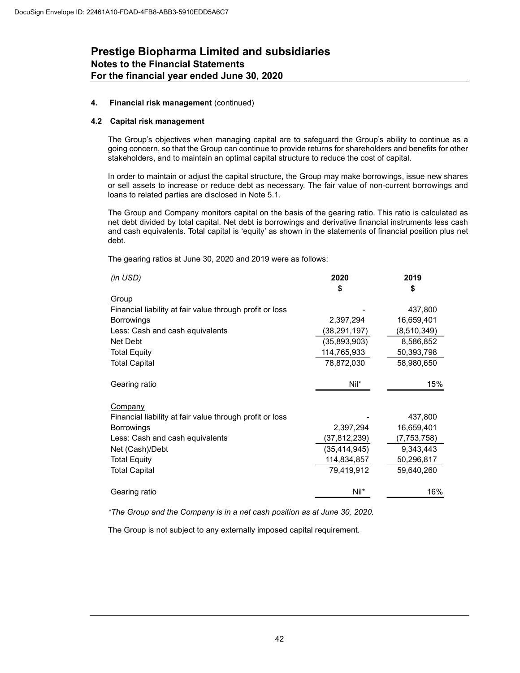### 4. Financial risk management (continued)

#### 4.2 Capital risk management

The Group's objectives when managing capital are to safeguard the Group's ability to continue as a going concern, so that the Group can continue to provide returns for shareholders and benefits for other stakeholders, and to maintain an optimal capital structure to reduce the cost of capital.

In order to maintain or adjust the capital structure, the Group may make borrowings, issue new shares or sell assets to increase or reduce debt as necessary. The fair value of non-current borrowings and loans to related parties are disclosed in Note 5.1.

The Group and Company monitors capital on the basis of the gearing ratio. This ratio is calculated as net debt divided by total capital. Net debt is borrowings and derivative financial instruments less cash and cash equivalents. Total capital is 'equity' as shown in the statements of financial position plus net debt.

The gearing ratios at June 30, 2020 and 2019 were as follows:

| (in USD)                                                 | 2020           | 2019        |
|----------------------------------------------------------|----------------|-------------|
|                                                          | \$             | \$          |
| Group                                                    |                |             |
| Financial liability at fair value through profit or loss |                | 437,800     |
| <b>Borrowings</b>                                        | 2,397,294      | 16,659,401  |
| Less: Cash and cash equivalents                          | (38,291,197)   | (8,510,349) |
| Net Debt                                                 | (35, 893, 903) | 8,586,852   |
| <b>Total Equity</b>                                      | 114,765,933    | 50,393,798  |
| <b>Total Capital</b>                                     | 78,872,030     | 58,980,650  |
| Gearing ratio                                            | $Nil^*$        | 15%         |
| Company                                                  |                |             |
| Financial liability at fair value through profit or loss |                | 437,800     |
| <b>Borrowings</b>                                        | 2,397,294      | 16,659,401  |
| Less: Cash and cash equivalents                          | (37, 812, 239) | (7,753,758) |
| Net (Cash)/Debt                                          | (35, 414, 945) | 9,343,443   |
| <b>Total Equity</b>                                      | 114,834,857    | 50,296,817  |
| <b>Total Capital</b>                                     | 79,419,912     | 59,640,260  |
| Gearing ratio                                            | Nil*           | 16%         |

\*The Group and the Company is in a net cash position as at June 30, 2020.

The Group is not subject to any externally imposed capital requirement.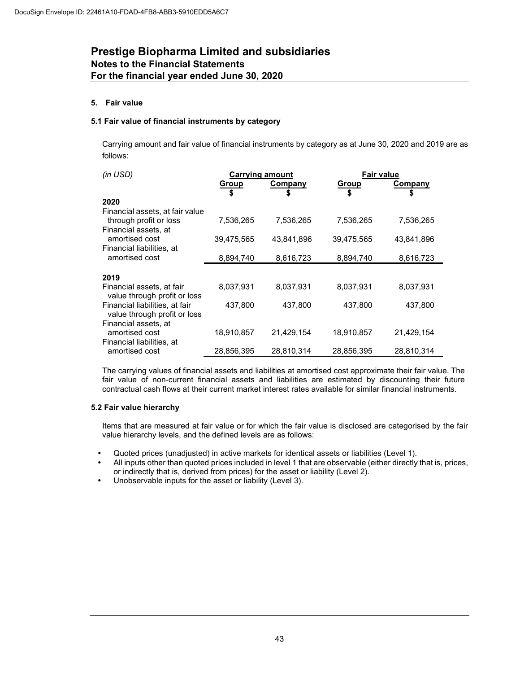### 5. Fair value

### 5.1 Fair value of financial instruments by category

Carrying amount and fair value of financial instruments by category as at June 30, 2020 and 2019 are as follows:

| (in USD)                                                  | <b>Carrying amount</b> |                | Fair value |            |  |
|-----------------------------------------------------------|------------------------|----------------|------------|------------|--|
|                                                           | Group                  | <b>Company</b> | Group      | Company    |  |
|                                                           | \$                     |                | \$         | \$         |  |
| 2020                                                      |                        |                |            |            |  |
| Financial assets, at fair value                           |                        |                |            |            |  |
| through profit or loss                                    | 7,536,265              | 7,536,265      | 7,536,265  | 7,536,265  |  |
| Financial assets, at                                      |                        |                |            |            |  |
| amortised cost                                            | 39,475,565             | 43,841,896     | 39,475,565 | 43,841,896 |  |
| Financial liabilities, at                                 |                        |                |            |            |  |
| amortised cost                                            | 8,894,740              | 8,616,723      | 8,894,740  | 8,616,723  |  |
|                                                           |                        |                |            |            |  |
| 2019                                                      |                        |                |            |            |  |
| Financial assets, at fair<br>value through profit or loss | 8,037,931              | 8,037,931      | 8,037,931  | 8,037,931  |  |
| Financial liabilities, at fair                            | 437,800                | 437,800        | 437,800    | 437,800    |  |
| value through profit or loss                              |                        |                |            |            |  |
| Financial assets, at                                      |                        |                |            |            |  |
| amortised cost                                            | 18,910,857             | 21,429,154     | 18,910,857 | 21,429,154 |  |
| Financial liabilities, at                                 |                        |                |            |            |  |
| amortised cost                                            | 28,856,395             | 28.810.314     | 28.856.395 | 28,810,314 |  |

The carrying values of financial assets and liabilities at amortised cost approximate their fair value. The fair value of non-current financial assets and liabilities are estimated by discounting their future contractual cash flows at their current market interest rates available for similar financial instruments.

### 5.2 Fair value hierarchy

Items that are measured at fair value or for which the fair value is disclosed are categorised by the fair value hierarchy levels, and the defined levels are as follows:

- Quoted prices (unadjusted) in active markets for identical assets or liabilities (Level 1).
- All inputs other than quoted prices included in level 1 that are observable (either directly that is, prices, or indirectly that is, derived from prices) for the asset or liability (Level 2).
- Unobservable inputs for the asset or liability (Level 3).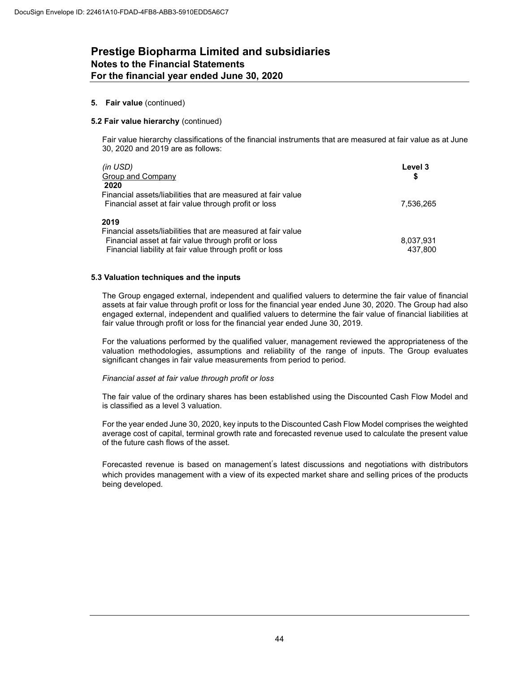### 5. Fair value (continued)

#### 5.2 Fair value hierarchy (continued)

Fair value hierarchy classifications of the financial instruments that are measured at fair value as at June 30, 2020 and 2019 are as follows:

| (in USD)<br>Group and Company<br>2020                                                                                | Level 3<br>S |
|----------------------------------------------------------------------------------------------------------------------|--------------|
| Financial assets/liabilities that are measured at fair value<br>Financial asset at fair value through profit or loss | 7,536,265    |
| 2019                                                                                                                 |              |
| Financial assets/liabilities that are measured at fair value                                                         |              |
| Financial asset at fair value through profit or loss                                                                 | 8,037,931    |
| Financial liability at fair value through profit or loss                                                             | 437.800      |

#### 5.3 Valuation techniques and the inputs

The Group engaged external, independent and qualified valuers to determine the fair value of financial assets at fair value through profit or loss for the financial year ended June 30, 2020. The Group had also engaged external, independent and qualified valuers to determine the fair value of financial liabilities at fair value through profit or loss for the financial year ended June 30, 2019.

For the valuations performed by the qualified valuer, management reviewed the appropriateness of the valuation methodologies, assumptions and reliability of the range of inputs. The Group evaluates significant changes in fair value measurements from period to period.

#### Financial asset at fair value through profit or loss

The fair value of the ordinary shares has been established using the Discounted Cash Flow Model and is classified as a level 3 valuation.

For the year ended June 30, 2020, key inputs to the Discounted Cash Flow Model comprises the weighted average cost of capital, terminal growth rate and forecasted revenue used to calculate the present value of the future cash flows of the asset.

Forecasted revenue is based on management's latest discussions and negotiations with distributors which provides management with a view of its expected market share and selling prices of the products being developed.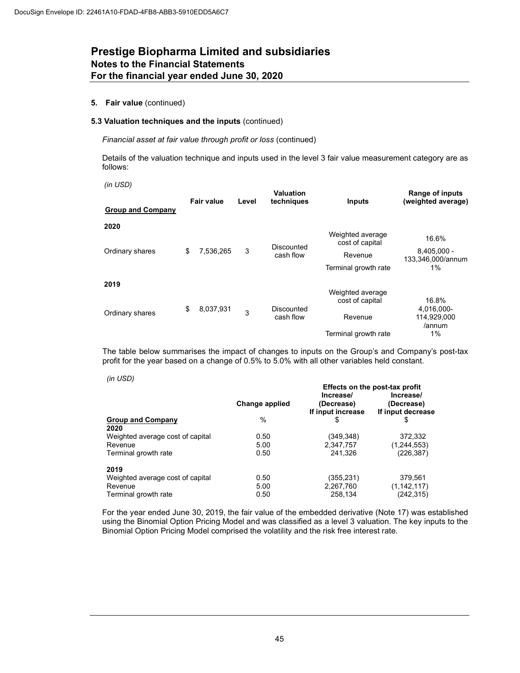5. Fair value (continued)

### 5.3 Valuation techniques and the inputs (continued)

Financial asset at fair value through profit or loss (continued)

Details of the valuation technique and inputs used in the level 3 fair value measurement category are as follows:

| (in USD)                 |                   |       | Valuation               |                                                                        | Range of inputs                                      |
|--------------------------|-------------------|-------|-------------------------|------------------------------------------------------------------------|------------------------------------------------------|
| <b>Group and Company</b> | <b>Fair value</b> | Level | techniques              | <b>Inputs</b>                                                          | (weighted average)                                   |
| 2020<br>Ordinary shares  | \$<br>7.536.265   | 3     | Discounted<br>cash flow | Weighted average<br>cost of capital<br>Revenue<br>Terminal growth rate | 16.6%<br>$8,405,000 -$<br>133,346,000/annum<br>$1\%$ |
| 2019                     |                   |       |                         |                                                                        |                                                      |
| Ordinary shares          | \$<br>8,037,931   | 3     | Discounted<br>cash flow | Weighted average<br>cost of capital<br>Revenue                         | 16.8%<br>4,016,000-<br>114,929,000<br>/annum         |
|                          |                   |       |                         | Terminal growth rate                                                   | 1%                                                   |

The table below summarises the impact of changes to inputs on the Group's and Company's post-tax profit for the year based on a change of 0.5% to 5.0% with all other variables held constant.

(in USD)

|                                  |                | Effects on the post-tax profit               |                                              |  |
|----------------------------------|----------------|----------------------------------------------|----------------------------------------------|--|
|                                  | Change applied | Increase/<br>(Decrease)<br>If input increase | Increase/<br>(Decrease)<br>If input decrease |  |
| <b>Group and Company</b>         | $\%$           |                                              | S                                            |  |
| 2020                             |                |                                              |                                              |  |
| Weighted average cost of capital | 0.50           | (349, 348)                                   | 372,332                                      |  |
| Revenue                          | 5.00           | 2,347,757                                    | (1,244,553)                                  |  |
| Terminal growth rate             | 0.50           | 241,326                                      | (226, 387)                                   |  |
| 2019                             |                |                                              |                                              |  |
| Weighted average cost of capital | 0.50           | (355,231)                                    | 379,561                                      |  |
| Revenue                          | 5.00           | 2,267,760                                    | (1, 142, 117)                                |  |
| Terminal growth rate             | 0.50           | 258,134                                      | (242,315)                                    |  |

For the year ended June 30, 2019, the fair value of the embedded derivative (Note 17) was established using the Binomial Option Pricing Model and was classified as a level 3 valuation. The key inputs to the Binomial Option Pricing Model comprised the volatility and the risk free interest rate.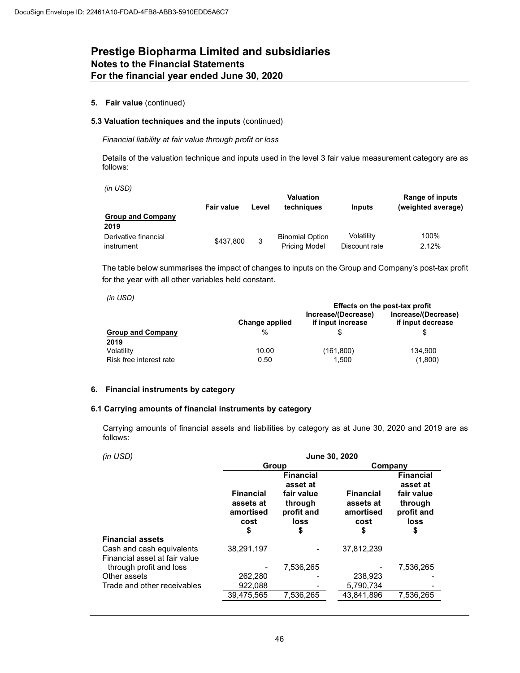5. Fair value (continued)

### 5.3 Valuation techniques and the inputs (continued)

Financial liability at fair value through profit or loss

Details of the valuation technique and inputs used in the level 3 fair value measurement category are as follows:

(in USD)

|                          | <b>Fair value</b> | Level | <b>Valuation</b><br>techniques | Inputs        | Range of inputs<br>(weighted average) |
|--------------------------|-------------------|-------|--------------------------------|---------------|---------------------------------------|
| <b>Group and Company</b> |                   |       |                                |               |                                       |
| 2019                     |                   |       |                                |               |                                       |
| Derivative financial     |                   |       | <b>Binomial Option</b>         | Volatility    | 100%                                  |
| instrument               | \$437,800         | 3     | <b>Pricing Model</b>           | Discount rate | 2.12%                                 |

The table below summarises the impact of changes to inputs on the Group and Company's post-tax profit for the year with all other variables held constant.

(in USD)

|                          |                | Effects on the post-tax profit           |                                          |
|--------------------------|----------------|------------------------------------------|------------------------------------------|
|                          | Change applied | Increase/(Decrease)<br>if input increase | Increase/(Decrease)<br>if input decrease |
| <b>Group and Company</b> | %              |                                          |                                          |
| 2019                     |                |                                          |                                          |
| Volatility               | 10.00          | (161,800)                                | 134.900                                  |
| Risk free interest rate  | 0.50           | 1.500                                    | (1,800)                                  |

### 6. Financial instruments by category

### 6.1 Carrying amounts of financial instruments by category

Carrying amounts of financial assets and liabilities by category as at June 30, 2020 and 2019 are as follows:

| (in USD)                                                   |                                                          | June 30, 2020                                                                     |                                                          |                                                                                   |  |  |
|------------------------------------------------------------|----------------------------------------------------------|-----------------------------------------------------------------------------------|----------------------------------------------------------|-----------------------------------------------------------------------------------|--|--|
|                                                            |                                                          | Group                                                                             |                                                          | Company                                                                           |  |  |
|                                                            | <b>Financial</b><br>assets at<br>amortised<br>cost<br>\$ | <b>Financial</b><br>asset at<br>fair value<br>through<br>profit and<br>loss<br>\$ | <b>Financial</b><br>assets at<br>amortised<br>cost<br>\$ | <b>Financial</b><br>asset at<br>fair value<br>through<br>profit and<br>loss<br>\$ |  |  |
| <b>Financial assets</b>                                    |                                                          |                                                                                   |                                                          |                                                                                   |  |  |
| Cash and cash equivalents<br>Financial asset at fair value | 38.291.197                                               |                                                                                   | 37.812.239                                               |                                                                                   |  |  |
| through profit and loss                                    |                                                          | 7.536.265                                                                         |                                                          | 7,536,265                                                                         |  |  |
| Other assets                                               | 262,280                                                  |                                                                                   | 238,923                                                  |                                                                                   |  |  |
| Trade and other receivables                                | 922,088                                                  |                                                                                   | 5,790,734                                                |                                                                                   |  |  |
|                                                            | 39,475,565                                               | 7.536.265                                                                         | 43,841,896                                               | 7,536,265                                                                         |  |  |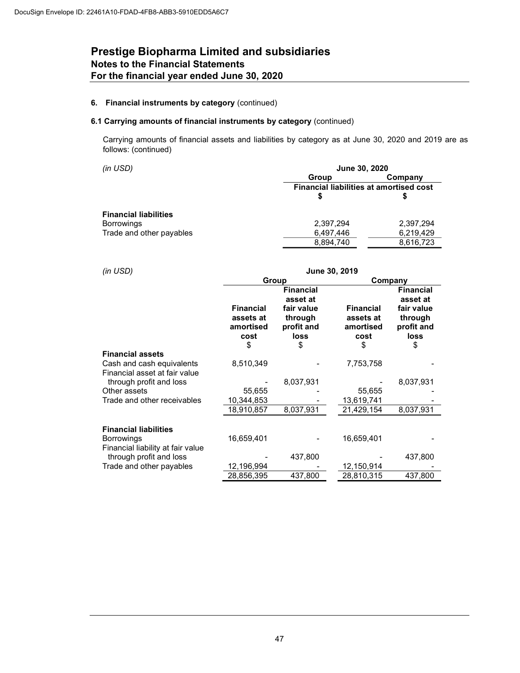### 6. Financial instruments by category (continued)

### 6.1 Carrying amounts of financial instruments by category (continued)

Carrying amounts of financial assets and liabilities by category as at June 30, 2020 and 2019 are as follows: (continued)

| (in USD)                     | June 30, 2020                                  |           |  |  |
|------------------------------|------------------------------------------------|-----------|--|--|
|                              | Group                                          | Company   |  |  |
|                              | <b>Financial liabilities at amortised cost</b> |           |  |  |
|                              |                                                |           |  |  |
| <b>Financial liabilities</b> |                                                |           |  |  |
| <b>Borrowings</b>            | 2,397,294                                      | 2,397,294 |  |  |
| Trade and other payables     | 6.497.446                                      | 6,219,429 |  |  |
|                              | 8.894.740                                      | 8,616,723 |  |  |

 $(in \text{ } USD)$  June 30, 2019

| ,,,, ,,,,,                        | <u>UWIIU VVI LU IU</u>                     |                                     |                                            |                                     |  |  |  |
|-----------------------------------|--------------------------------------------|-------------------------------------|--------------------------------------------|-------------------------------------|--|--|--|
|                                   |                                            | Group                               |                                            | Company                             |  |  |  |
|                                   |                                            | <b>Financial</b>                    |                                            | <b>Financial</b>                    |  |  |  |
|                                   |                                            | asset at                            |                                            | asset at                            |  |  |  |
|                                   | <b>Financial</b><br>assets at<br>amortised | fair value<br>through<br>profit and | <b>Financial</b><br>assets at<br>amortised | fair value<br>through<br>profit and |  |  |  |
|                                   | cost                                       | loss                                | cost                                       | loss                                |  |  |  |
|                                   | \$                                         | \$                                  | \$                                         | \$                                  |  |  |  |
| <b>Financial assets</b>           |                                            |                                     |                                            |                                     |  |  |  |
| Cash and cash equivalents         | 8,510,349                                  |                                     | 7,753,758                                  |                                     |  |  |  |
| Financial asset at fair value     |                                            |                                     |                                            |                                     |  |  |  |
| through profit and loss           |                                            | 8,037,931                           |                                            | 8,037,931                           |  |  |  |
| Other assets                      | 55,655                                     |                                     | 55,655                                     |                                     |  |  |  |
| Trade and other receivables       | 10,344,853                                 |                                     | 13,619,741                                 |                                     |  |  |  |
|                                   | 18,910,857                                 | 8,037,931                           | 21,429,154                                 | 8,037,931                           |  |  |  |
| <b>Financial liabilities</b>      |                                            |                                     |                                            |                                     |  |  |  |
| <b>Borrowings</b>                 | 16,659,401                                 |                                     | 16,659,401                                 |                                     |  |  |  |
| Financial liability at fair value |                                            |                                     |                                            |                                     |  |  |  |
| through profit and loss           |                                            | 437,800                             |                                            | 437,800                             |  |  |  |
| Trade and other payables          | 12,196,994                                 |                                     | 12,150,914                                 |                                     |  |  |  |
|                                   | 28,856,395                                 | 437,800                             | 28,810,315                                 | 437,800                             |  |  |  |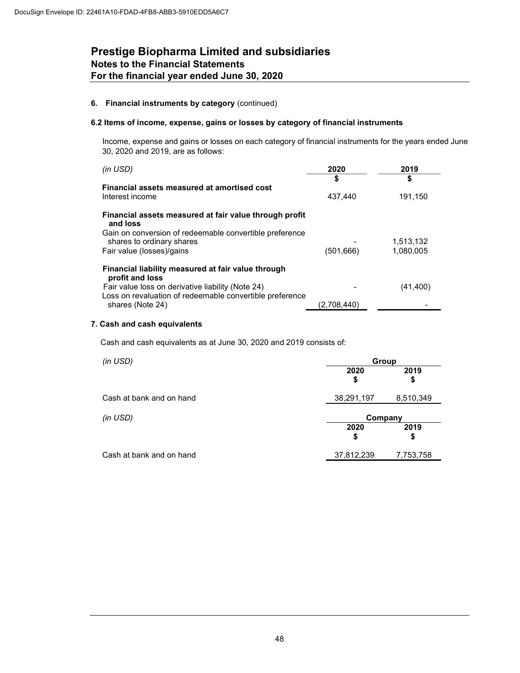### 6. Financial instruments by category (continued)

### 6.2 Items of income, expense, gains or losses by category of financial instruments

 Income, expense and gains or losses on each category of financial instruments for the years ended June 30, 2020 and 2019, are as follows:

| (in USD)                                                                             | 2020        | 2019      |
|--------------------------------------------------------------------------------------|-------------|-----------|
|                                                                                      | \$          | \$        |
| Financial assets measured at amortised cost<br>Interest income                       | 437.440     | 191,150   |
| Financial assets measured at fair value through profit<br>and loss                   |             |           |
| Gain on conversion of redeemable convertible preference<br>shares to ordinary shares |             | 1,513,132 |
| Fair value (losses)/gains                                                            | (501,666)   | 1.080.005 |
| Financial liability measured at fair value through<br>profit and loss                |             |           |
| Fair value loss on derivative liability (Note 24)                                    |             | (41,400)  |
| Loss on revaluation of redeemable convertible preference                             |             |           |
| shares (Note 24)                                                                     | (2,708,440) |           |

### 7. Cash and cash equivalents

Cash and cash equivalents as at June 30, 2020 and 2019 consists of:

| $(in$ USD $)$            |            | Group      |  |  |
|--------------------------|------------|------------|--|--|
|                          | 2020<br>\$ | 2019<br>\$ |  |  |
| Cash at bank and on hand | 38,291,197 | 8,510,349  |  |  |
| (in USD)                 | Company    |            |  |  |
|                          | 2020<br>\$ | 2019<br>\$ |  |  |
| Cash at bank and on hand | 37,812,239 | 7,753,758  |  |  |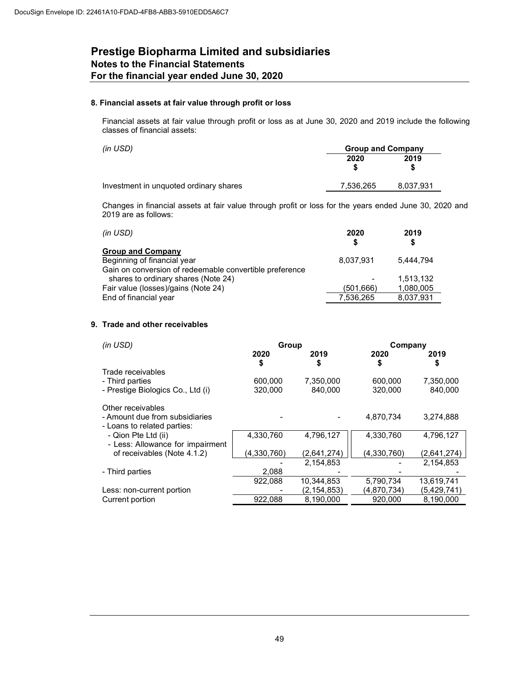### 8. Financial assets at fair value through profit or loss

Financial assets at fair value through profit or loss as at June 30, 2020 and 2019 include the following classes of financial assets:

(in USD) Group and Company  $\begin{array}{@{}c@{\hspace{1em}}c@{\hspace{1em}}c@{\hspace{1em}}c@{\hspace{1em}}c@{\hspace{1em}}c@{\hspace{1em}}c@{\hspace{1em}}c@{\hspace{1em}}c@{\hspace{1em}}c@{\hspace{1em}}c@{\hspace{1em}}c@{\hspace{1em}}c@{\hspace{1em}}c@{\hspace{1em}}c@{\hspace{1em}}c@{\hspace{1em}}c@{\hspace{1em}}c@{\hspace{1em}}c@{\hspace{1em}}c@{\hspace{1em}}c@{\hspace{1em}}c@{\hspace{1em}}c@{\hspace{1em}}c@{\hspace{$ \$ \$ Investment in unquoted ordinary shares The Control of the Town 7,536,265 8,037,931

Changes in financial assets at fair value through profit or loss for the years ended June 30, 2020 and 2019 are as follows:

| (in USD)                                                | 2020<br>S | 2019<br>\$ |
|---------------------------------------------------------|-----------|------------|
| <b>Group and Company</b>                                |           |            |
| Beginning of financial year                             | 8,037,931 | 5,444,794  |
| Gain on conversion of redeemable convertible preference |           |            |
| shares to ordinary shares (Note 24)                     |           | 1,513,132  |
| Fair value (losses)/gains (Note 24)                     | (501,666) | 1,080,005  |
| End of financial year                                   | 7,536,265 | 8,037,931  |
|                                                         |           |            |

### 9. Trade and other receivables

| (in USD)                          | Group       |             | Company     |             |  |
|-----------------------------------|-------------|-------------|-------------|-------------|--|
|                                   | 2020<br>S   | 2019<br>\$  | 2020        | 2019        |  |
| Trade receivables                 |             |             |             |             |  |
| - Third parties                   | 600,000     | 7,350,000   | 600,000     | 7,350,000   |  |
| - Prestige Biologics Co., Ltd (i) | 320,000     | 840,000     | 320,000     | 840,000     |  |
| Other receivables                 |             |             |             |             |  |
| - Amount due from subsidiaries    |             |             | 4,870,734   | 3,274,888   |  |
| - Loans to related parties:       |             |             |             |             |  |
| - Qion Pte Ltd (ii)               | 4,330,760   | 4,796,127   | 4,330,760   | 4,796,127   |  |
| - Less: Allowance for impairment  |             |             |             |             |  |
| of receivables (Note 4.1.2)       | (4,330,760) | (2,641,274) | (4,330,760) | (2,641,274) |  |
|                                   |             | 2.154.853   |             | 2,154,853   |  |
| - Third parties                   | 2,088       |             |             |             |  |
|                                   | 922,088     | 10,344,853  | 5,790,734   | 13,619,741  |  |
| Less: non-current portion         |             | (2,154,853) | (4,870,734) | (5,429,741) |  |
| Current portion                   | 922.088     | 8.190.000   | 920,000     | 8.190.000   |  |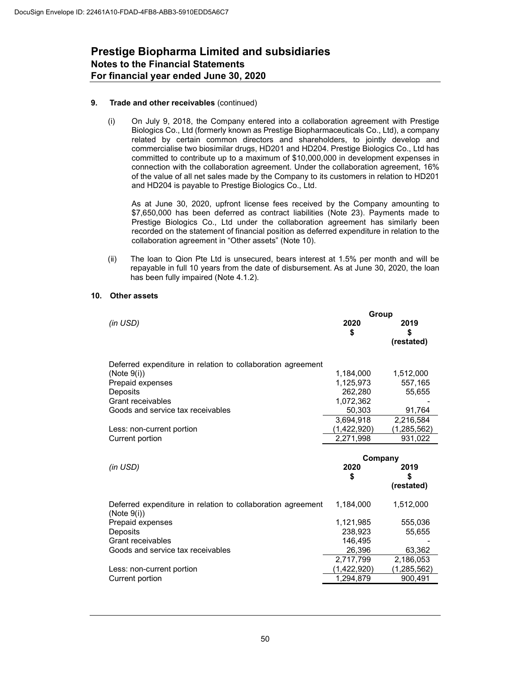### 9. Trade and other receivables (continued)

(i) On July 9, 2018, the Company entered into a collaboration agreement with Prestige Biologics Co., Ltd (formerly known as Prestige Biopharmaceuticals Co., Ltd), a company related by certain common directors and shareholders, to jointly develop and commercialise two biosimilar drugs, HD201 and HD204. Prestige Biologics Co., Ltd has committed to contribute up to a maximum of \$10,000,000 in development expenses in connection with the collaboration agreement. Under the collaboration agreement, 16% of the value of all net sales made by the Company to its customers in relation to HD201 and HD204 is payable to Prestige Biologics Co., Ltd.

As at June 30, 2020, upfront license fees received by the Company amounting to \$7,650,000 has been deferred as contract liabilities (Note 23). Payments made to Prestige Biologics Co., Ltd under the collaboration agreement has similarly been recorded on the statement of financial position as deferred expenditure in relation to the collaboration agreement in "Other assets" (Note 10).

(ii) The loan to Qion Pte Ltd is unsecured, bears interest at 1.5% per month and will be repayable in full 10 years from the date of disbursement. As at June 30, 2020, the loan has been fully impaired (Note 4.1.2).

### 10. Other assets

|                                                             | Group                    |                          |
|-------------------------------------------------------------|--------------------------|--------------------------|
| (in USD)                                                    | 2020                     | 2019                     |
|                                                             | \$                       | \$                       |
|                                                             |                          | (restated)               |
|                                                             |                          |                          |
| Deferred expenditure in relation to collaboration agreement |                          |                          |
| (Note $9(i)$ )                                              | 1,184,000                | 1,512,000                |
| Prepaid expenses                                            | 1,125,973                | 557,165                  |
| Deposits                                                    | 262,280                  | 55,655                   |
| <b>Grant receivables</b>                                    | 1,072,362                |                          |
| Goods and service tax receivables                           | 50,303                   | 91,764                   |
|                                                             | 3,694,918                | 2,216,584                |
| Less: non-current portion                                   | (1,422,920)              | (1,285,562)              |
| Current portion                                             | 2,271,998                | 931,022                  |
|                                                             |                          |                          |
|                                                             |                          |                          |
|                                                             | Company                  |                          |
| (in USD)                                                    | 2020<br>\$               | 2019<br>S                |
|                                                             |                          | (restated)               |
|                                                             |                          |                          |
| Deferred expenditure in relation to collaboration agreement | 1,184,000                | 1,512,000                |
| (Note $9(i)$ )<br>Prepaid expenses                          | 1,121,985                | 555,036                  |
| Deposits                                                    | 238,923                  | 55,655                   |
| <b>Grant receivables</b>                                    | 146,495                  |                          |
| Goods and service tax receivables                           | 26,396                   | 63,362                   |
|                                                             | 2,717,799                | 2,186,053                |
| Less: non-current portion                                   | (1,422,920)<br>1,294,879 | (1, 285, 562)<br>900,491 |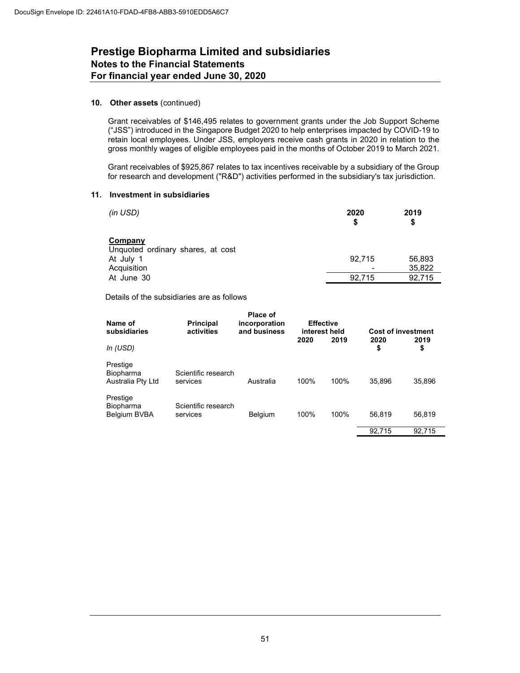### 10. Other assets (continued)

Grant receivables of \$146,495 relates to government grants under the Job Support Scheme ("JSS") introduced in the Singapore Budget 2020 to help enterprises impacted by COVID-19 to retain local employees. Under JSS, employers receive cash grants in 2020 in relation to the gross monthly wages of eligible employees paid in the months of October 2019 to March 2021.

Grant receivables of \$925,867 relates to tax incentives receivable by a subsidiary of the Group for research and development ("R&D") activities performed in the subsidiary's tax jurisdiction.

#### 11. Investment in subsidiaries

| (in USD)                                                                        | 2020<br>S | 2019<br>\$       |
|---------------------------------------------------------------------------------|-----------|------------------|
| <b>Company</b><br>Unquoted ordinary shares, at cost<br>At July 1<br>Acquisition | 92,715    | 56,893<br>35,822 |
| At June 30                                                                      | 92,715    | 92.715           |

Details of the subsidiaries are as follows

| Name of<br>subsidiaries                      | <b>Principal</b><br>activities  | Place of<br>incorporation<br>and business | <b>Effective</b><br>interest held<br>2020<br>2019 |      | <b>Cost of investment</b><br>2020 | 2019   |
|----------------------------------------------|---------------------------------|-------------------------------------------|---------------------------------------------------|------|-----------------------------------|--------|
| In $(USD)$                                   |                                 |                                           |                                                   |      | \$                                | \$     |
| Prestige<br>Biopharma<br>Australia Pty Ltd   | Scientific research<br>services | Australia                                 | 100%                                              | 100% | 35.896                            | 35.896 |
| Prestige<br>Biopharma<br><b>Belgium BVBA</b> | Scientific research<br>services | Belgium                                   | 100%                                              | 100% | 56.819                            | 56,819 |
|                                              |                                 |                                           |                                                   |      | 92.715                            | 92.715 |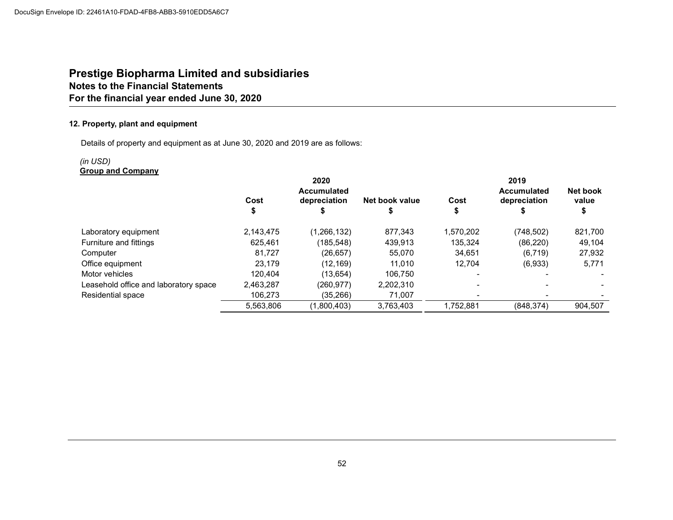### 12. Property, plant and equipment

Details of property and equipment as at June 30, 2020 and 2019 are as follows:

### (in USD) Group and Company

|                                       | 2020       |                                    |                |           | 2019                               |                   |
|---------------------------------------|------------|------------------------------------|----------------|-----------|------------------------------------|-------------------|
|                                       | Cost<br>\$ | <b>Accumulated</b><br>depreciation | Net book value | Cost      | <b>Accumulated</b><br>depreciation | Net book<br>value |
| Laboratory equipment                  | 2,143,475  | (1,266,132)                        | 877,343        | 1,570,202 | (748, 502)                         | 821,700           |
| Furniture and fittings                | 625,461    | (185,548)                          | 439,913        | 135,324   | (86, 220)                          | 49,104            |
| Computer                              | 81.727     | (26, 657)                          | 55.070         | 34,651    | (6, 719)                           | 27,932            |
| Office equipment                      | 23.179     | (12.169)                           | 11.010         | 12,704    | (6,933)                            | 5,771             |
| Motor vehicles                        | 120.404    | (13,654)                           | 106,750        |           |                                    |                   |
| Leasehold office and laboratory space | 2,463,287  | (260.977)                          | 2,202,310      |           |                                    |                   |
| Residential space                     | 106,273    | (35,266)                           | 71,007         |           |                                    |                   |
|                                       | 5,563,806  | (1,800,403)                        | 3,763,403      | 1,752,881 | (848, 374)                         | 904,507           |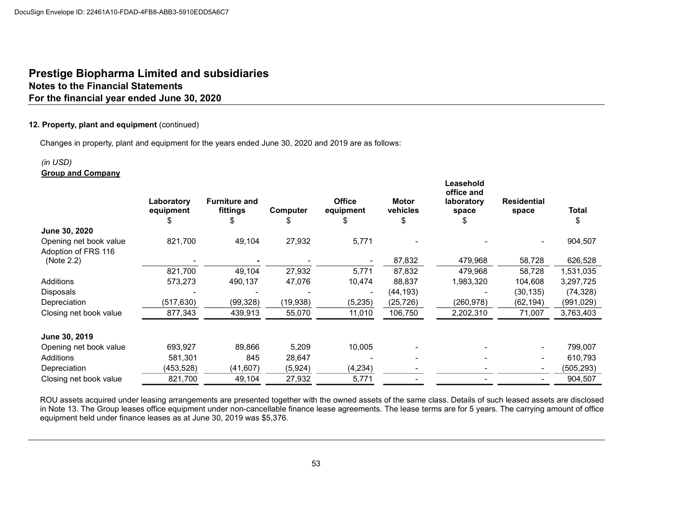#### 12. Property, plant and equipment (continued)

Changes in property, plant and equipment for the years ended June 30, 2020 and 2019 are as follows:

### (in USD) Group and Company

|                                               | Laboratory<br>equipment | <b>Furniture and</b><br>fittings<br>\$ | Computer  | <b>Office</b><br>equipment | <b>Motor</b><br>vehicles<br>\$ | Leasenoid<br>office and<br>laboratory<br>space<br>ä. | <b>Residential</b><br>space | Total      |
|-----------------------------------------------|-------------------------|----------------------------------------|-----------|----------------------------|--------------------------------|------------------------------------------------------|-----------------------------|------------|
| June 30, 2020                                 |                         |                                        |           |                            |                                |                                                      |                             |            |
| Opening net book value<br>Adoption of FRS 116 | 821,700                 | 49,104                                 | 27,932    | 5,771                      |                                |                                                      |                             | 904,507    |
| (Note 2.2)                                    |                         |                                        |           |                            | 87,832                         | 479,968                                              | 58,728                      | 626,528    |
|                                               | 821,700                 | 49,104                                 | 27,932    | 5,771                      | 87,832                         | 479,968                                              | 58,728                      | 1,531,035  |
| <b>Additions</b>                              | 573,273                 | 490,137                                | 47,076    | 10,474                     | 88,837                         | 1,983,320                                            | 104,608                     | 3,297,725  |
| Disposals                                     |                         |                                        |           |                            | (44,193)                       |                                                      | (30, 135)                   | (74, 328)  |
| Depreciation                                  | (517, 630)              | (99, 328)                              | (19, 938) | (5,235)                    | (25, 726)                      | (260,978)                                            | (62, 194)                   | (991, 029) |
| Closing net book value                        | 877,343                 | 439,913                                | 55,070    | 11,010                     | 106,750                        | 2,202,310                                            | 71,007                      | 3,763,403  |
| June 30, 2019                                 |                         |                                        |           |                            |                                |                                                      |                             |            |
| Opening net book value                        | 693,927                 | 89,866                                 | 5,209     | 10,005                     |                                |                                                      |                             | 799,007    |
| Additions                                     | 581,301                 | 845                                    | 28,647    |                            |                                |                                                      |                             | 610,793    |
| Depreciation                                  | (453, 528)              | (41, 607)                              | (5,924)   | (4,234)                    |                                |                                                      |                             | (505, 293) |
| Closing net book value                        | 821,700                 | 49,104                                 | 27,932    | 5,771                      |                                |                                                      |                             | 904,507    |

Leasehold

ROU assets acquired under leasing arrangements are presented together with the owned assets of the same class. Details of such leased assets are disclosed in Note 13. The Group leases office equipment under non-cancellable finance lease agreements. The lease terms are for 5 years. The carrying amount of office equipment held under finance leases as at June 30, 2019 was \$5,376.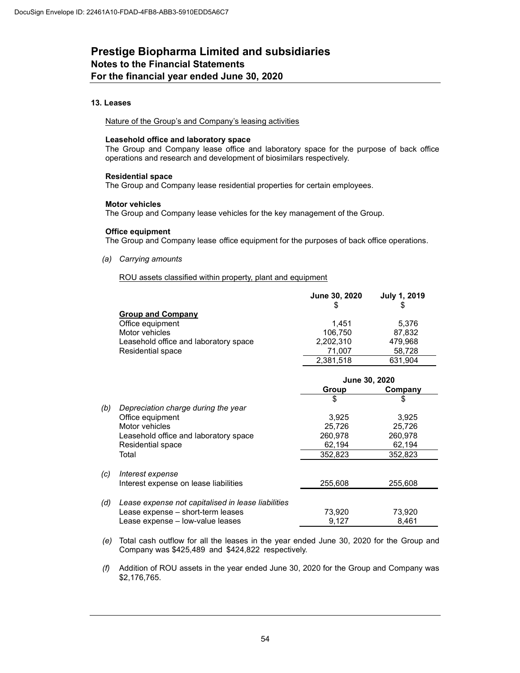### 13. Leases

Nature of the Group's and Company's leasing activities

#### Leasehold office and laboratory space

The Group and Company lease office and laboratory space for the purpose of back office operations and research and development of biosimilars respectively.

#### Residential space

The Group and Company lease residential properties for certain employees.

#### Motor vehicles

The Group and Company lease vehicles for the key management of the Group.

#### Office equipment

The Group and Company lease office equipment for the purposes of back office operations.

(a) Carrying amounts

ROU assets classified within property, plant and equipment

|                                       | June 30, 2020 | <b>July 1, 2019</b> |  |
|---------------------------------------|---------------|---------------------|--|
|                                       |               |                     |  |
| <b>Group and Company</b>              |               |                     |  |
| Office equipment                      | 1.451         | 5,376               |  |
| Motor vehicles                        | 106.750       | 87,832              |  |
| Leasehold office and laboratory space | 2,202,310     | 479.968             |  |
| Residential space                     | 71.007        | 58.728              |  |
|                                       | 2,381,518     | 631,904             |  |

|     |                                                    | June 30, 2020 |         |  |
|-----|----------------------------------------------------|---------------|---------|--|
|     |                                                    | Group         | Company |  |
|     |                                                    | \$            | S       |  |
| (b) | Depreciation charge during the year                |               |         |  |
|     | Office equipment                                   | 3.925         | 3.925   |  |
|     | Motor vehicles                                     | 25,726        | 25.726  |  |
|     | Leasehold office and laboratory space              | 260,978       | 260,978 |  |
|     | Residential space                                  | 62,194        | 62,194  |  |
|     | Total                                              | 352,823       | 352.823 |  |
| (c) | Interest expense                                   |               |         |  |
|     | Interest expense on lease liabilities              | 255,608       | 255,608 |  |
| (d) | Lease expense not capitalised in lease liabilities |               |         |  |
|     | Lease expense - short-term leases                  | 73,920        | 73,920  |  |
|     | Lease expense - low-value leases                   | 9.127         | 8.461   |  |

(e) Total cash outflow for all the leases in the year ended June 30, 2020 for the Group and Company was \$425,489 and \$424,822 respectively.

(f) Addition of ROU assets in the year ended June 30, 2020 for the Group and Company was \$2,176,765.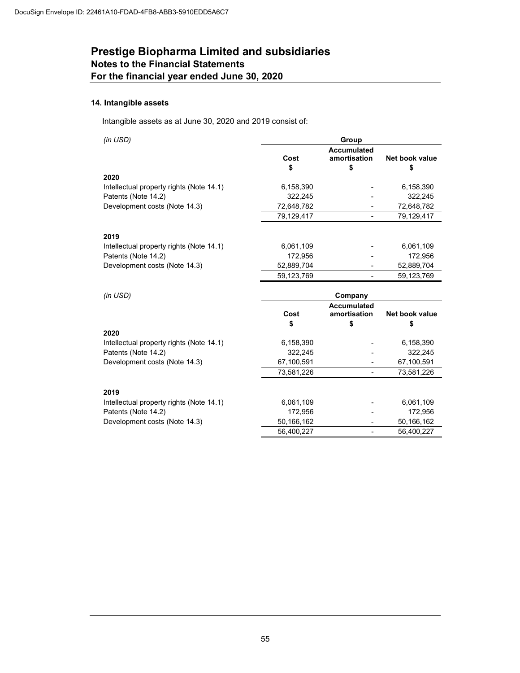### 14. Intangible assets

Intangible assets as at June 30, 2020 and 2019 consist of:

(in USD) Group

|                                          | Cost       | Accumulated<br>amortisation | Net book value |
|------------------------------------------|------------|-----------------------------|----------------|
|                                          | \$         | \$                          | 5              |
| 2020                                     |            |                             |                |
| Intellectual property rights (Note 14.1) | 6,158,390  |                             | 6,158,390      |
| Patents (Note 14.2)                      | 322.245    |                             | 322,245        |
| Development costs (Note 14.3)            | 72,648,782 |                             | 72,648,782     |
|                                          | 79.129.417 |                             | 79.129.417     |
| 2019                                     |            |                             |                |
|                                          |            |                             |                |
| Intellectual property rights (Note 14.1) | 6,061,109  |                             | 6,061,109      |
| Patents (Note 14.2)                      | 172,956    |                             | 172.956        |
| Development costs (Note 14.3)            | 52,889,704 |                             | 52,889,704     |
|                                          | 59.123.769 |                             | 59.123.769     |

| (in USD)                                 | Company<br><b>Accumulated</b> |              |                |  |  |  |  |
|------------------------------------------|-------------------------------|--------------|----------------|--|--|--|--|
|                                          |                               |              |                |  |  |  |  |
|                                          | Cost                          | amortisation | Net book value |  |  |  |  |
|                                          | \$                            | \$           | \$             |  |  |  |  |
| 2020                                     |                               |              |                |  |  |  |  |
| Intellectual property rights (Note 14.1) | 6,158,390                     |              | 6,158,390      |  |  |  |  |
| Patents (Note 14.2)                      | 322,245                       |              | 322,245        |  |  |  |  |
| Development costs (Note 14.3)            | 67,100,591                    |              | 67,100,591     |  |  |  |  |
|                                          | 73,581,226                    |              | 73,581,226     |  |  |  |  |
| 2019                                     |                               |              |                |  |  |  |  |
| Intellectual property rights (Note 14.1) | 6,061,109                     |              | 6,061,109      |  |  |  |  |
| Patents (Note 14.2)                      | 172,956                       |              | 172,956        |  |  |  |  |
| Development costs (Note 14.3)            | 50,166,162                    |              | 50,166,162     |  |  |  |  |
|                                          | 56,400,227                    |              | 56.400.227     |  |  |  |  |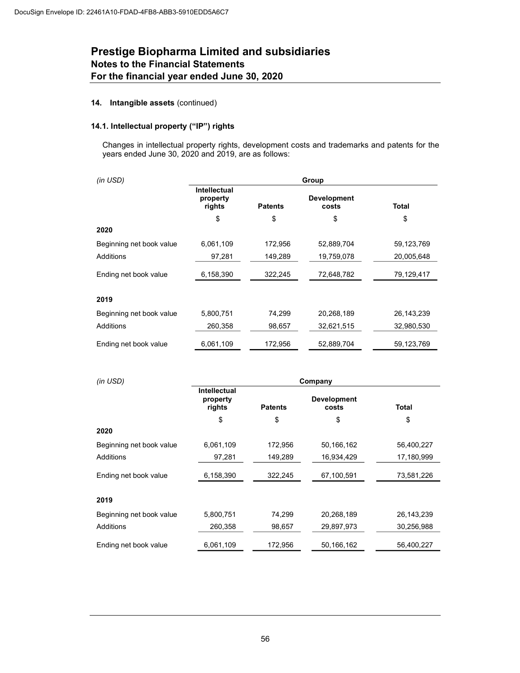### 14. Intangible assets (continued)

### 14.1. Intellectual property ("IP") rights

Changes in intellectual property rights, development costs and trademarks and patents for the years ended June 30, 2020 and 2019, are as follows:

| (in USD)                 | Group                                     |                                               |            |              |
|--------------------------|-------------------------------------------|-----------------------------------------------|------------|--------------|
|                          | <b>Intellectual</b><br>property<br>rights | <b>Development</b><br><b>Patents</b><br>costs |            | <b>Total</b> |
|                          | \$                                        | \$                                            | \$         | \$           |
| 2020                     |                                           |                                               |            |              |
| Beginning net book value | 6,061,109                                 | 172,956                                       | 52,889,704 | 59,123,769   |
| Additions                | 97,281                                    | 149,289                                       | 19,759,078 | 20,005,648   |
| Ending net book value    | 6,158,390                                 | 322,245                                       | 72,648,782 | 79,129,417   |
| 2019                     |                                           |                                               |            |              |
| Beginning net book value | 5,800,751                                 | 74,299                                        | 20,268,189 | 26, 143, 239 |
| Additions                | 260,358                                   | 98,657                                        | 32,621,515 | 32,980,530   |
| Ending net book value    | 6,061,109                                 | 172,956                                       | 52,889,704 | 59,123,769   |

| (in USD)                 | Company                                   |                |                             |              |  |  |  |
|--------------------------|-------------------------------------------|----------------|-----------------------------|--------------|--|--|--|
|                          | <b>Intellectual</b><br>property<br>rights | <b>Patents</b> | <b>Development</b><br>costs |              |  |  |  |
|                          | \$                                        | \$             | \$                          | \$           |  |  |  |
| 2020                     |                                           |                |                             |              |  |  |  |
| Beginning net book value | 6,061,109                                 | 172,956        | 50,166,162                  | 56,400,227   |  |  |  |
| Additions                | 97,281                                    | 149,289        | 16,934,429                  | 17,180,999   |  |  |  |
| Ending net book value    | 6,158,390                                 | 322,245        | 67,100,591                  | 73,581,226   |  |  |  |
| 2019                     |                                           |                |                             |              |  |  |  |
| Beginning net book value | 5,800,751                                 | 74,299         | 20,268,189                  | 26, 143, 239 |  |  |  |
| Additions                | 260,358                                   | 98,657         | 29,897,973                  | 30,256,988   |  |  |  |
| Ending net book value    | 6,061,109                                 | 172,956        | 50,166,162                  | 56,400,227   |  |  |  |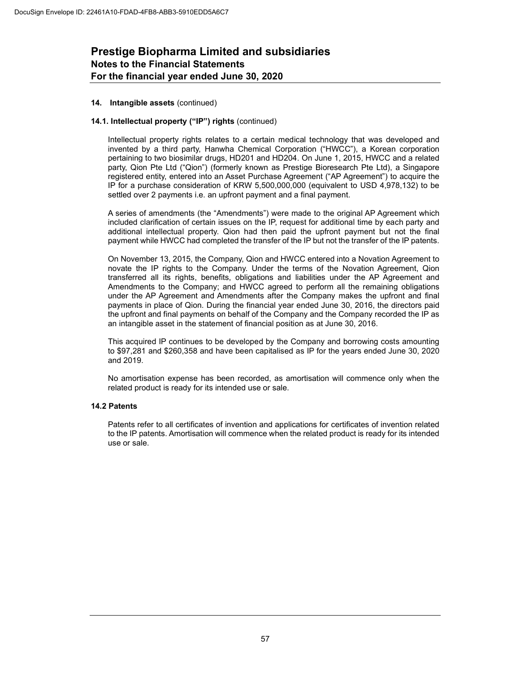### 14. Intangible assets (continued)

### 14.1. Intellectual property ("IP") rights (continued)

Intellectual property rights relates to a certain medical technology that was developed and invented by a third party, Hanwha Chemical Corporation ("HWCC"), a Korean corporation pertaining to two biosimilar drugs, HD201 and HD204. On June 1, 2015, HWCC and a related party, Qion Pte Ltd ("Qion") (formerly known as Prestige Bioresearch Pte Ltd), a Singapore registered entity, entered into an Asset Purchase Agreement ("AP Agreement") to acquire the IP for a purchase consideration of KRW 5,500,000,000 (equivalent to USD 4,978,132) to be settled over 2 payments i.e. an upfront payment and a final payment.

A series of amendments (the "Amendments") were made to the original AP Agreement which included clarification of certain issues on the IP, request for additional time by each party and additional intellectual property. Qion had then paid the upfront payment but not the final payment while HWCC had completed the transfer of the IP but not the transfer of the IP patents.

On November 13, 2015, the Company, Qion and HWCC entered into a Novation Agreement to novate the IP rights to the Company. Under the terms of the Novation Agreement, Qion transferred all its rights, benefits, obligations and liabilities under the AP Agreement and Amendments to the Company; and HWCC agreed to perform all the remaining obligations under the AP Agreement and Amendments after the Company makes the upfront and final payments in place of Qion. During the financial year ended June 30, 2016, the directors paid the upfront and final payments on behalf of the Company and the Company recorded the IP as an intangible asset in the statement of financial position as at June 30, 2016.

This acquired IP continues to be developed by the Company and borrowing costs amounting to \$97,281 and \$260,358 and have been capitalised as IP for the years ended June 30, 2020 and 2019.

No amortisation expense has been recorded, as amortisation will commence only when the related product is ready for its intended use or sale.

#### 14.2 Patents

Patents refer to all certificates of invention and applications for certificates of invention related to the IP patents. Amortisation will commence when the related product is ready for its intended use or sale.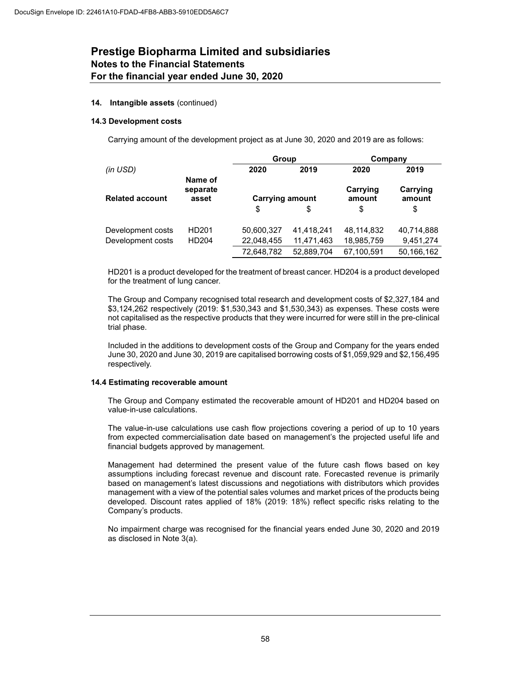### 14. Intangible assets (continued)

### 14.3 Development costs

Carrying amount of the development project as at June 30, 2020 and 2019 are as follows:

|                        |                              | Group      |                        | Company    |            |  |                    |
|------------------------|------------------------------|------------|------------------------|------------|------------|--|--------------------|
| (in USD)               |                              | 2020       | 2019                   | 2020       | 2019       |  |                    |
| <b>Related account</b> | Name of<br>separate<br>asset |            | <b>Carrying amount</b> |            |            |  | Carrying<br>amount |
|                        |                              | \$         | \$                     | \$         | S          |  |                    |
| Development costs      | HD201                        | 50,600,327 | 41,418,241             | 48,114,832 | 40,714,888 |  |                    |
| Development costs      | HD204                        | 22,048,455 | 11,471,463             | 18,985,759 | 9,451,274  |  |                    |
|                        |                              | 72,648,782 | 52,889,704             | 67,100,591 | 50,166,162 |  |                    |

HD201 is a product developed for the treatment of breast cancer. HD204 is a product developed for the treatment of lung cancer.

The Group and Company recognised total research and development costs of \$2,327,184 and \$3,124,262 respectively (2019: \$1,530,343 and \$1,530,343) as expenses. These costs were not capitalised as the respective products that they were incurred for were still in the pre-clinical trial phase.

Included in the additions to development costs of the Group and Company for the years ended June 30, 2020 and June 30, 2019 are capitalised borrowing costs of \$1,059,929 and \$2,156,495 respectively.

#### 14.4 Estimating recoverable amount

The Group and Company estimated the recoverable amount of HD201 and HD204 based on value-in-use calculations.

The value-in-use calculations use cash flow projections covering a period of up to 10 years from expected commercialisation date based on management's the projected useful life and financial budgets approved by management.

Management had determined the present value of the future cash flows based on key assumptions including forecast revenue and discount rate. Forecasted revenue is primarily based on management's latest discussions and negotiations with distributors which provides management with a view of the potential sales volumes and market prices of the products being developed. Discount rates applied of 18% (2019: 18%) reflect specific risks relating to the Company's products.

No impairment charge was recognised for the financial years ended June 30, 2020 and 2019 as disclosed in Note 3(a).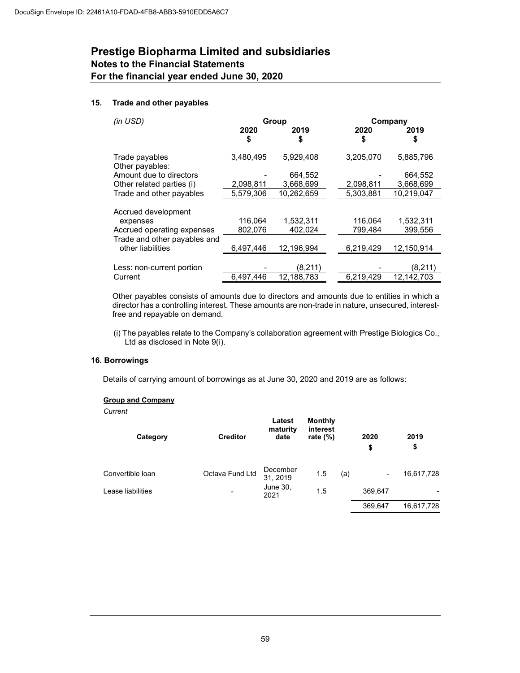### 15. Trade and other payables

| (in USD)                                          |            | Group      |           | Company    |  |  |  |
|---------------------------------------------------|------------|------------|-----------|------------|--|--|--|
|                                                   | 2020<br>\$ | 2019<br>S  | 2020<br>S | 2019<br>5  |  |  |  |
| Trade payables<br>Other payables:                 | 3,480,495  | 5,929,408  | 3,205,070 | 5,885,796  |  |  |  |
| Amount due to directors                           |            | 664,552    |           | 664,552    |  |  |  |
| Other related parties (i)                         | 2,098,811  | 3,668,699  | 2,098,811 | 3,668,699  |  |  |  |
| Trade and other payables                          | 5,579,306  | 10,262,659 | 5,303,881 | 10,219,047 |  |  |  |
| Accrued development                               | 116,064    | 1,532,311  | 116,064   | 1,532,311  |  |  |  |
| expenses<br>Accrued operating expenses            | 802,076    | 402,024    | 799,484   | 399,556    |  |  |  |
| Trade and other payables and<br>other liabilities | 6,497,446  | 12,196,994 | 6,219,429 | 12,150,914 |  |  |  |
|                                                   |            |            |           |            |  |  |  |
| Less: non-current portion                         |            | (8,211)    |           | (8,211)    |  |  |  |
| Current                                           | 6.497.446  | 12.188.783 | 6.219.429 | 12.142.703 |  |  |  |

Other payables consists of amounts due to directors and amounts due to entities in which a director has a controlling interest. These amounts are non-trade in nature, unsecured, interestfree and repayable on demand.

(i) The payables relate to the Company's collaboration agreement with Prestige Biologics Co., Ltd as disclosed in Note 9(i).

### 16. Borrowings

Details of carrying amount of borrowings as at June 30, 2020 and 2019 are as follows:

#### Group and Company

**Current** 

| Category          | <b>Creditor</b> | Latest<br>maturity<br>date | <b>Monthly</b><br>interest<br>rate $(\%)$ |     | 2020<br>\$ | 2019<br>\$ |
|-------------------|-----------------|----------------------------|-------------------------------------------|-----|------------|------------|
| Convertible loan  | Octava Fund Ltd | December<br>31, 2019       | 1.5                                       | (a) | ۰          | 16,617,728 |
| Lease liabilities | -               | June 30,<br>2021           | 1.5                                       |     | 369,647    |            |
|                   |                 |                            |                                           |     | 369,647    | 16,617,728 |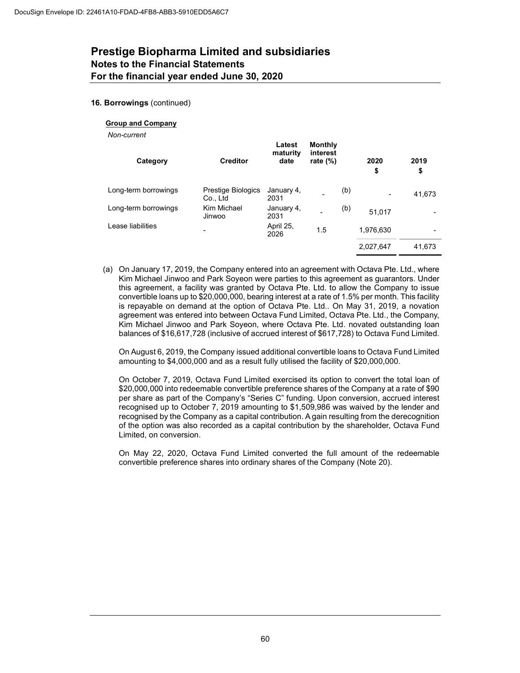### 16. Borrowings (continued)

### Group and Company

Non-current

| Category             | <b>Creditor</b>                | Latest<br>maturity<br>date | <b>Monthly</b><br>interest<br>rate $(\%)$ |     | 2020<br>\$               | 2019<br>\$ |
|----------------------|--------------------------------|----------------------------|-------------------------------------------|-----|--------------------------|------------|
| Long-term borrowings | Prestige Biologics<br>Co., Ltd | January 4,<br>2031         |                                           | (b) | $\overline{\phantom{0}}$ | 41,673     |
| Long-term borrowings | Kim Michael<br>Jinwoo          | January 4,<br>2031         |                                           | (b) | 51,017                   | -          |
| Lease liabilities    | $\overline{\phantom{0}}$       | April 25,<br>2026          | 1.5                                       |     | 1,976,630                | -          |
|                      |                                |                            |                                           |     | 2,027,647                | 41,673     |

(a) On January 17, 2019, the Company entered into an agreement with Octava Pte. Ltd., where Kim Michael Jinwoo and Park Soyeon were parties to this agreement as guarantors. Under this agreement, a facility was granted by Octava Pte. Ltd. to allow the Company to issue convertible loans up to \$20,000,000, bearing interest at a rate of 1.5% per month. This facility is repayable on demand at the option of Octava Pte. Ltd.. On May 31, 2019, a novation agreement was entered into between Octava Fund Limited, Octava Pte. Ltd., the Company, Kim Michael Jinwoo and Park Soyeon, where Octava Pte. Ltd. novated outstanding loan balances of \$16,617,728 (inclusive of accrued interest of \$617,728) to Octava Fund Limited.

On August 6, 2019, the Company issued additional convertible loans to Octava Fund Limited amounting to \$4,000,000 and as a result fully utilised the facility of \$20,000,000.

On October 7, 2019, Octava Fund Limited exercised its option to convert the total loan of \$20,000,000 into redeemable convertible preference shares of the Company at a rate of \$90 per share as part of the Company's "Series C" funding. Upon conversion, accrued interest recognised up to October 7, 2019 amounting to \$1,509,986 was waived by the lender and recognised by the Company as a capital contribution. A gain resulting from the derecognition of the option was also recorded as a capital contribution by the shareholder, Octava Fund Limited, on conversion.

On May 22, 2020, Octava Fund Limited converted the full amount of the redeemable convertible preference shares into ordinary shares of the Company (Note 20).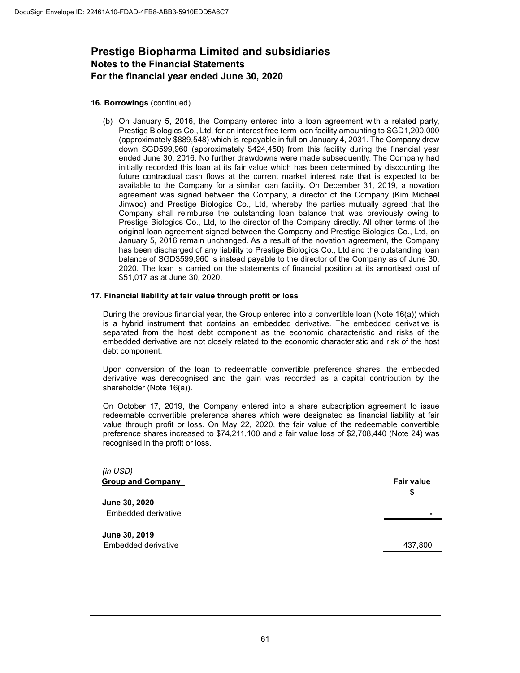### 16. Borrowings (continued)

(b) On January 5, 2016, the Company entered into a loan agreement with a related party, Prestige Biologics Co., Ltd, for an interest free term loan facility amounting to SGD1,200,000 (approximately \$889,548) which is repayable in full on January 4, 2031. The Company drew down SGD599,960 (approximately \$424,450) from this facility during the financial year ended June 30, 2016. No further drawdowns were made subsequently. The Company had initially recorded this loan at its fair value which has been determined by discounting the future contractual cash flows at the current market interest rate that is expected to be available to the Company for a similar loan facility. On December 31, 2019, a novation agreement was signed between the Company, a director of the Company (Kim Michael Jinwoo) and Prestige Biologics Co., Ltd, whereby the parties mutually agreed that the Company shall reimburse the outstanding loan balance that was previously owing to Prestige Biologics Co., Ltd, to the director of the Company directly. All other terms of the original loan agreement signed between the Company and Prestige Biologics Co., Ltd, on January 5, 2016 remain unchanged. As a result of the novation agreement, the Company has been discharged of any liability to Prestige Biologics Co., Ltd and the outstanding loan balance of SGD\$599,960 is instead payable to the director of the Company as of June 30, 2020. The loan is carried on the statements of financial position at its amortised cost of \$51,017 as at June 30, 2020.

### 17. Financial liability at fair value through profit or loss

During the previous financial year, the Group entered into a convertible loan (Note 16(a)) which is a hybrid instrument that contains an embedded derivative. The embedded derivative is separated from the host debt component as the economic characteristic and risks of the embedded derivative are not closely related to the economic characteristic and risk of the host debt component.

Upon conversion of the loan to redeemable convertible preference shares, the embedded derivative was derecognised and the gain was recorded as a capital contribution by the shareholder (Note 16(a)).

On October 17, 2019, the Company entered into a share subscription agreement to issue redeemable convertible preference shares which were designated as financial liability at fair value through profit or loss. On May 22, 2020, the fair value of the redeemable convertible preference shares increased to \$74,211,100 and a fair value loss of \$2,708,440 (Note 24) was recognised in the profit or loss.

| (in USD)<br><b>Group and Company</b> | <b>Fair value</b><br>\$ |
|--------------------------------------|-------------------------|
| June 30, 2020<br>Embedded derivative |                         |
| June 30, 2019<br>Embedded derivative | 437,800                 |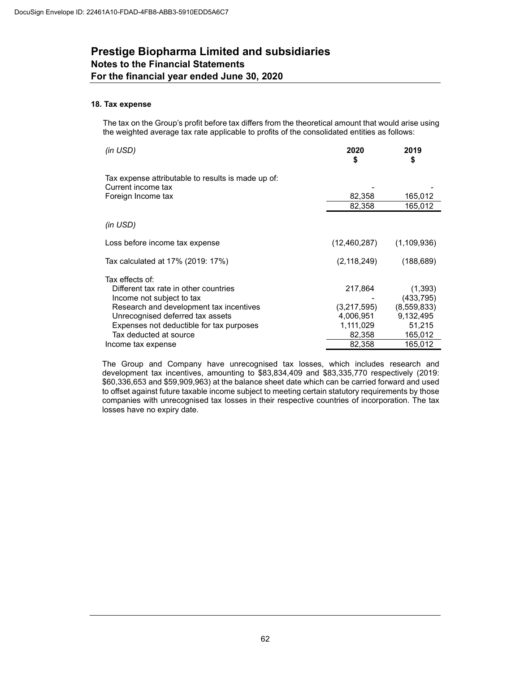### 18. Tax expense

The tax on the Group's profit before tax differs from the theoretical amount that would arise using the weighted average tax rate applicable to profits of the consolidated entities as follows:

| (in USD)                                                                 | 2020<br>\$    | 2019<br>\$  |
|--------------------------------------------------------------------------|---------------|-------------|
| Tax expense attributable to results is made up of:<br>Current income tax |               |             |
| Foreign Income tax                                                       | 82,358        | 165,012     |
|                                                                          | 82,358        | 165,012     |
| (in USD)                                                                 |               |             |
| Loss before income tax expense                                           | (12,460,287)  | (1,109,936) |
| Tax calculated at 17% (2019: 17%)                                        | (2, 118, 249) | (188, 689)  |
| Tax effects of:                                                          |               |             |
| Different tax rate in other countries                                    | 217,864       | (1, 393)    |
| Income not subject to tax                                                |               | (433, 795)  |
| Research and development tax incentives                                  | (3,217,595)   | (8,559,833) |
| Unrecognised deferred tax assets                                         | 4,006,951     | 9,132,495   |
| Expenses not deductible for tax purposes                                 | 1,111,029     | 51,215      |
| Tax deducted at source                                                   | 82,358        | 165,012     |
| Income tax expense                                                       | 82,358        | 165,012     |

The Group and Company have unrecognised tax losses, which includes research and development tax incentives, amounting to \$83,834,409 and \$83,335,770 respectively (2019: \$60,336,653 and \$59,909,963) at the balance sheet date which can be carried forward and used to offset against future taxable income subject to meeting certain statutory requirements by those companies with unrecognised tax losses in their respective countries of incorporation. The tax losses have no expiry date.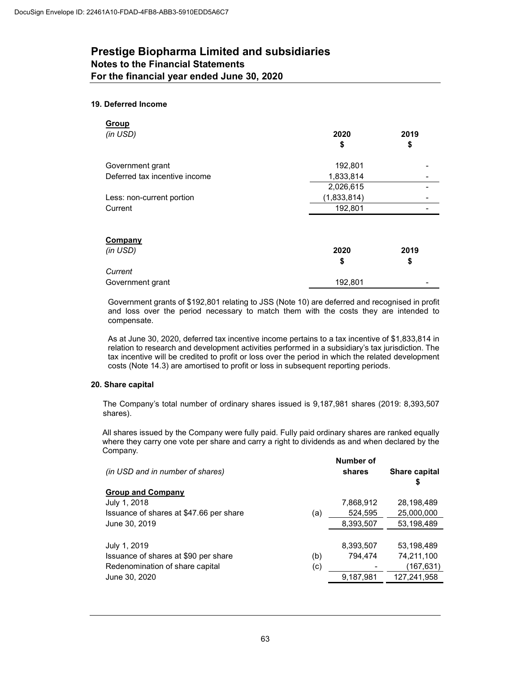### 19. Deferred Income

| Group                         |             |      |
|-------------------------------|-------------|------|
| (in <b>USD</b> )              | 2020        | 2019 |
|                               | \$          | \$   |
| Government grant              | 192,801     |      |
| Deferred tax incentive income | 1,833,814   |      |
|                               | 2,026,615   |      |
| Less: non-current portion     | (1,833,814) |      |
| Current                       | 192,801     |      |
| <b>Company</b>                |             |      |
| (in <b>USD</b> )              | 2020        | 2019 |
|                               | \$          | \$   |
| Current                       |             |      |
| Government grant              | 192,801     |      |

Government grants of \$192,801 relating to JSS (Note 10) are deferred and recognised in profit and loss over the period necessary to match them with the costs they are intended to compensate.

As at June 30, 2020, deferred tax incentive income pertains to a tax incentive of \$1,833,814 in relation to research and development activities performed in a subsidiary's tax jurisdiction. The tax incentive will be credited to profit or loss over the period in which the related development costs (Note 14.3) are amortised to profit or loss in subsequent reporting periods.

#### 20. Share capital

The Company's total number of ordinary shares issued is 9,187,981 shares (2019: 8,393,507 shares).

All shares issued by the Company were fully paid. Fully paid ordinary shares are ranked equally where they carry one vote per share and carry a right to dividends as and when declared by the Company. Number of

| (in USD and in number of shares)        |     | Number of<br>shares | <b>Share capital</b><br>5 |
|-----------------------------------------|-----|---------------------|---------------------------|
| <b>Group and Company</b>                |     |                     |                           |
| July 1, 2018                            |     | 7,868,912           | 28,198,489                |
| Issuance of shares at \$47.66 per share | (a) | 524,595             | 25,000,000                |
| June 30, 2019                           |     | 8,393,507           | 53,198,489                |
|                                         |     |                     |                           |
| July 1, 2019                            |     | 8,393,507           | 53,198,489                |
| Issuance of shares at \$90 per share    | (b) | 794,474             | 74,211,100                |
| Redenomination of share capital         | (c) |                     | (167,631)                 |
| June 30, 2020                           |     | 9,187,981           | 127,241,958               |
|                                         |     |                     |                           |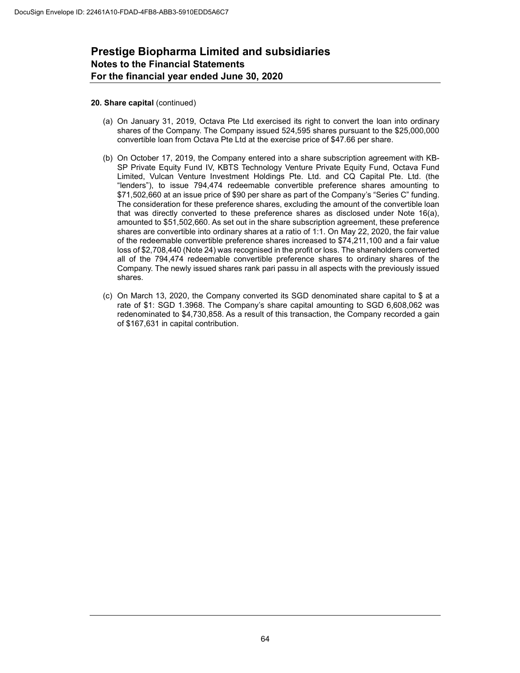### 20. Share capital (continued)

- (a) On January 31, 2019, Octava Pte Ltd exercised its right to convert the loan into ordinary shares of the Company. The Company issued 524,595 shares pursuant to the \$25,000,000 convertible loan from Octava Pte Ltd at the exercise price of \$47.66 per share.
- (b) On October 17, 2019, the Company entered into a share subscription agreement with KB-SP Private Equity Fund IV, KBTS Technology Venture Private Equity Fund, Octava Fund Limited, Vulcan Venture Investment Holdings Pte. Ltd. and CQ Capital Pte. Ltd. (the "lenders"), to issue 794,474 redeemable convertible preference shares amounting to \$71,502,660 at an issue price of \$90 per share as part of the Company's "Series C" funding. The consideration for these preference shares, excluding the amount of the convertible loan that was directly converted to these preference shares as disclosed under Note 16(a), amounted to \$51,502,660. As set out in the share subscription agreement, these preference shares are convertible into ordinary shares at a ratio of 1:1. On May 22, 2020, the fair value of the redeemable convertible preference shares increased to \$74,211,100 and a fair value loss of \$2,708,440 (Note 24) was recognised in the profit or loss. The shareholders converted all of the 794,474 redeemable convertible preference shares to ordinary shares of the Company. The newly issued shares rank pari passu in all aspects with the previously issued shares.
- (c) On March 13, 2020, the Company converted its SGD denominated share capital to \$ at a rate of \$1: SGD 1.3968. The Company's share capital amounting to SGD 6,608,062 was redenominated to \$4,730,858. As a result of this transaction, the Company recorded a gain of \$167,631 in capital contribution.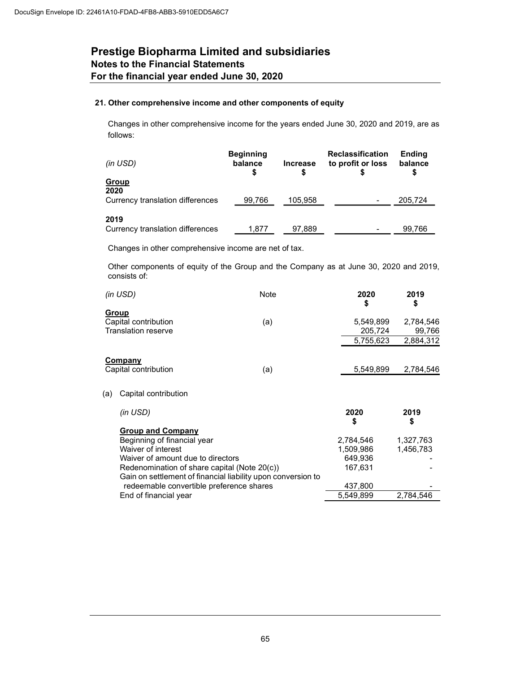### 21. Other comprehensive income and other components of equity

Changes in other comprehensive income for the years ended June 30, 2020 and 2019, are as follows:

| (in USD)                                          | <b>Beginning</b><br>balance | <b>Increase</b><br>S | <b>Reclassification</b><br>to profit or loss | <b>Ending</b><br>balance |
|---------------------------------------------------|-----------------------------|----------------------|----------------------------------------------|--------------------------|
| Group<br>2020<br>Currency translation differences | 99.766                      | 105.958              |                                              | 205.724                  |
| 2019<br>Currency translation differences          | 1.877                       | 97,889               |                                              | 99.766                   |

Changes in other comprehensive income are net of tax.

Other components of equity of the Group and the Company as at June 30, 2020 and 2019, consists of:

|              | (in USD)                                        | Note                                                         | 2020<br>S | 2019<br>\$ |
|--------------|-------------------------------------------------|--------------------------------------------------------------|-----------|------------|
| <u>Group</u> |                                                 |                                                              |           |            |
|              | Capital contribution                            | (a)                                                          | 5,549,899 | 2,784,546  |
|              | <b>Translation reserve</b>                      |                                                              | 205,724   | 99,766     |
|              |                                                 |                                                              | 5,755,623 | 2,884,312  |
|              | Company                                         |                                                              |           |            |
|              | Capital contribution                            | (a)                                                          | 5,549,899 | 2,784,546  |
|              |                                                 |                                                              |           |            |
| (a)          | Capital contribution                            |                                                              |           |            |
|              | (in USD)                                        |                                                              | 2020      | 2019       |
|              |                                                 |                                                              | \$        | \$         |
|              | <b>Group and Company</b>                        |                                                              |           |            |
|              | Beginning of financial year                     |                                                              | 2,784,546 | 1,327,763  |
|              | Waiver of interest                              |                                                              | 1,509,986 | 1,456,783  |
|              | Waiver of amount due to directors               |                                                              | 649,936   |            |
|              | Redenomination of share capital (Note $20(c)$ ) |                                                              | 167,631   |            |
|              |                                                 | Gain on settlement of financial liability upon conversion to |           |            |
|              | redeemable convertible preference shares        |                                                              | 437,800   |            |
|              | End of financial year                           |                                                              | 5,549,899 | 2.784.546  |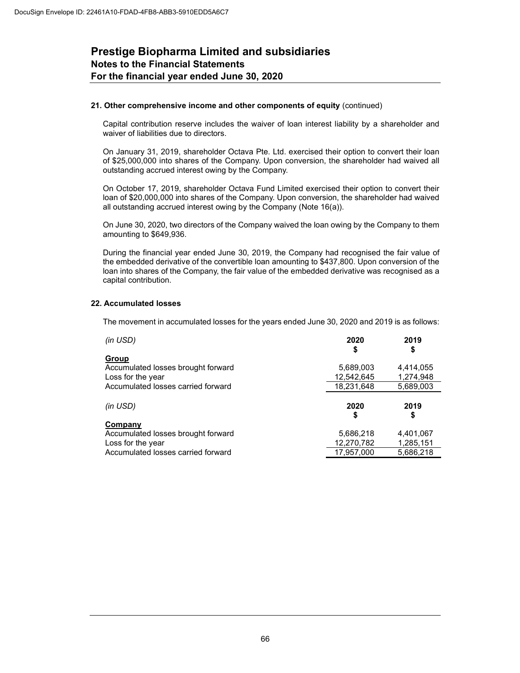### 21. Other comprehensive income and other components of equity (continued)

Capital contribution reserve includes the waiver of loan interest liability by a shareholder and waiver of liabilities due to directors.

On January 31, 2019, shareholder Octava Pte. Ltd. exercised their option to convert their loan of \$25,000,000 into shares of the Company. Upon conversion, the shareholder had waived all outstanding accrued interest owing by the Company.

On October 17, 2019, shareholder Octava Fund Limited exercised their option to convert their loan of \$20,000,000 into shares of the Company. Upon conversion, the shareholder had waived all outstanding accrued interest owing by the Company (Note 16(a)).

On June 30, 2020, two directors of the Company waived the loan owing by the Company to them amounting to \$649,936.

During the financial year ended June 30, 2019, the Company had recognised the fair value of the embedded derivative of the convertible loan amounting to \$437,800. Upon conversion of the loan into shares of the Company, the fair value of the embedded derivative was recognised as a capital contribution.

### 22. Accumulated losses

The movement in accumulated losses for the years ended June 30, 2020 and 2019 is as follows:

| (in USD)                                                | 2020                     | 2019                   |
|---------------------------------------------------------|--------------------------|------------------------|
| Group                                                   | \$                       | \$                     |
| Accumulated losses brought forward<br>Loss for the year | 5,689,003<br>12,542,645  | 4,414,055<br>1,274,948 |
| Accumulated losses carried forward                      | 18,231,648               | 5,689,003              |
|                                                         |                          |                        |
| (in USD)                                                | 2020<br>\$               | 2019<br>\$             |
| Company                                                 |                          |                        |
| Accumulated losses brought forward                      | 5,686,218                | 4,401,067              |
| Loss for the year<br>Accumulated losses carried forward | 12,270,782<br>17.957.000 | 1,285,151              |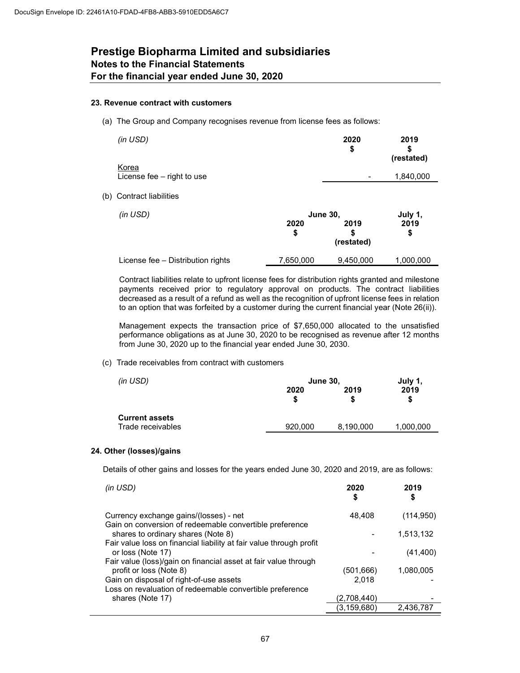### 23. Revenue contract with customers

(a) The Group and Company recognises revenue from license fees as follows:

| (in USD)                                     | 2020<br>\$ | 2019<br>\$<br>(restated) |
|----------------------------------------------|------------|--------------------------|
| <b>Korea</b><br>License fee $-$ right to use | -          | 1,840,000                |
| (b) Contract liabilities                     |            |                          |

| (in USD)                          | <b>June 30,</b> |            | July 1,   |  |
|-----------------------------------|-----------------|------------|-----------|--|
|                                   | 2020            | 2019       | 2019      |  |
|                                   |                 | (restated) |           |  |
| License fee - Distribution rights | 7.650.000       | 9,450,000  | 1,000,000 |  |

Contract liabilities relate to upfront license fees for distribution rights granted and milestone payments received prior to regulatory approval on products. The contract liabilities decreased as a result of a refund as well as the recognition of upfront license fees in relation to an option that was forfeited by a customer during the current financial year (Note 26(ii)).

Management expects the transaction price of \$7,650,000 allocated to the unsatisfied performance obligations as at June 30, 2020 to be recognised as revenue after 12 months from June 30, 2020 up to the financial year ended June 30, 2030.

#### (c) Trade receivables from contract with customers

| (in USD)              | <b>June 30,</b> |           | July 1,   |
|-----------------------|-----------------|-----------|-----------|
|                       | 2020            | 2019      | 2019      |
|                       | S               |           | S         |
| <b>Current assets</b> |                 |           |           |
| Trade receivables     | 920,000         | 8,190,000 | 1,000,000 |

### 24. Other (losses)/gains

Details of other gains and losses for the years ended June 30, 2020 and 2019, are as follows:

| (in USD)                                                                                          | 2020<br>\$  | 2019<br>S |
|---------------------------------------------------------------------------------------------------|-------------|-----------|
| Currency exchange gains/(losses) - net<br>Gain on conversion of redeemable convertible preference | 48,408      | (114,950) |
| shares to ordinary shares (Note 8)                                                                |             | 1,513,132 |
| Fair value loss on financial liability at fair value through profit<br>or loss (Note 17)          |             | (41, 400) |
| Fair value (loss)/gain on financial asset at fair value through<br>profit or loss (Note 8)        | (501,666)   | 1,080,005 |
| Gain on disposal of right-of-use assets                                                           | 2,018       |           |
| Loss on revaluation of redeemable convertible preference                                          |             |           |
| shares (Note 17)                                                                                  | (2,708,440) |           |
|                                                                                                   | (3.159.680) | 2,436,787 |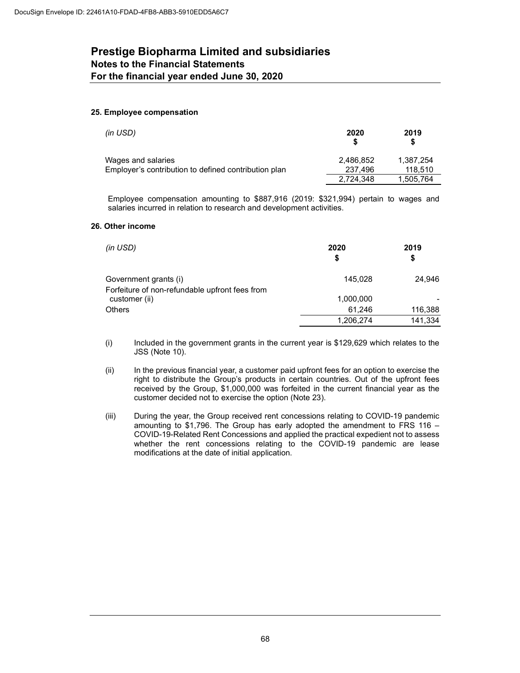### 25. Employee compensation

| (in USD)                                             | 2020      | 2019      |
|------------------------------------------------------|-----------|-----------|
| Wages and salaries                                   | 2.486.852 | 1,387,254 |
| Employer's contribution to defined contribution plan | 237.496   | 118.510   |
|                                                      | 2.724.348 | 1,505,764 |

Employee compensation amounting to \$887,916 (2019: \$321,994) pertain to wages and salaries incurred in relation to research and development activities.

#### 26. Other income

| (in USD)                                                                | 2020<br>S | 2019<br>\$ |
|-------------------------------------------------------------------------|-----------|------------|
| Government grants (i)<br>Forfeiture of non-refundable upfront fees from | 145,028   | 24.946     |
| customer (ii)                                                           | 1,000,000 |            |
| <b>Others</b>                                                           | 61,246    | 116,388    |
|                                                                         | 1,206,274 | 141,334    |

- (i) Included in the government grants in the current year is \$129,629 which relates to the JSS (Note 10).
- (ii) In the previous financial year, a customer paid upfront fees for an option to exercise the right to distribute the Group's products in certain countries. Out of the upfront fees received by the Group, \$1,000,000 was forfeited in the current financial year as the customer decided not to exercise the option (Note 23).
- (iii) During the year, the Group received rent concessions relating to COVID-19 pandemic amounting to \$1,796. The Group has early adopted the amendment to FRS 116 – COVID-19-Related Rent Concessions and applied the practical expedient not to assess whether the rent concessions relating to the COVID-19 pandemic are lease modifications at the date of initial application.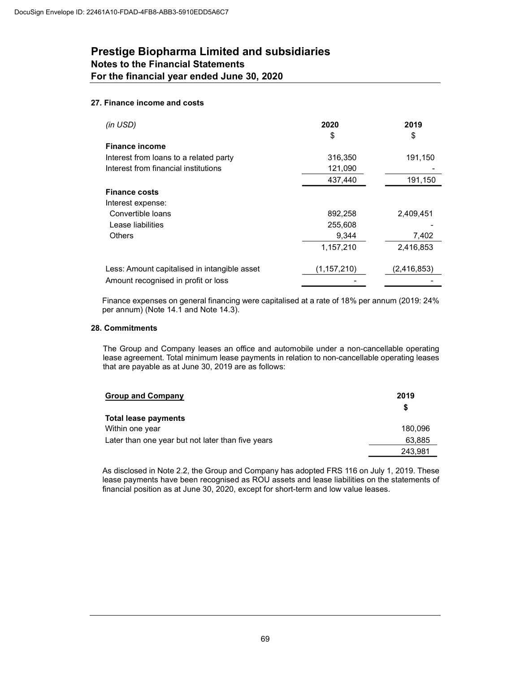### 27. Finance income and costs

| (in USD)                                     | 2020          | 2019          |
|----------------------------------------------|---------------|---------------|
|                                              | \$            | \$            |
| <b>Finance income</b>                        |               |               |
| Interest from loans to a related party       | 316,350       | 191,150       |
| Interest from financial institutions         | 121,090       |               |
|                                              | 437,440       | 191,150       |
| <b>Finance costs</b>                         |               |               |
| Interest expense:                            |               |               |
| Convertible loans                            | 892,258       | 2,409,451     |
| Lease liabilities                            | 255,608       |               |
| <b>Others</b>                                | 9,344         | 7,402         |
|                                              | 1,157,210     | 2,416,853     |
|                                              |               |               |
| Less: Amount capitalised in intangible asset | (1, 157, 210) | (2, 416, 853) |
| Amount recognised in profit or loss          |               |               |

Finance expenses on general financing were capitalised at a rate of 18% per annum (2019: 24% per annum) (Note 14.1 and Note 14.3).

### 28. Commitments

The Group and Company leases an office and automobile under a non-cancellable operating lease agreement. Total minimum lease payments in relation to non-cancellable operating leases that are payable as at June 30, 2019 are as follows:

| <b>Group and Company</b>                          | 2019<br>S |
|---------------------------------------------------|-----------|
|                                                   |           |
| Total lease payments                              |           |
| Within one year                                   | 180.096   |
| Later than one year but not later than five years | 63,885    |
|                                                   | 243.981   |

As disclosed in Note 2.2, the Group and Company has adopted FRS 116 on July 1, 2019. These lease payments have been recognised as ROU assets and lease liabilities on the statements of financial position as at June 30, 2020, except for short-term and low value leases.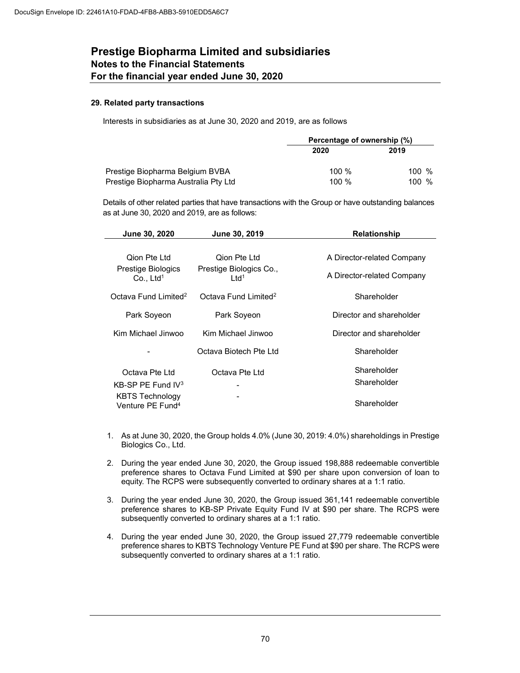#### 29. Related party transactions

Interests in subsidiaries as at June 30, 2020 and 2019, are as follows

|                                      |         | Percentage of ownership (%) |  |  |
|--------------------------------------|---------|-----------------------------|--|--|
|                                      | 2020    | 2019                        |  |  |
| Prestige Biopharma Belgium BVBA      | 100 $%$ | 100 %                       |  |  |
| Prestige Biopharma Australia Pty Ltd | 100 $%$ | $100 \%$                    |  |  |

Details of other related parties that have transactions with the Group or have outstanding balances as at June 30, 2020 and 2019, are as follows:

| June 30, 2020                                          | June 30, 2019                    | <b>Relationship</b>        |
|--------------------------------------------------------|----------------------------------|----------------------------|
|                                                        |                                  |                            |
| Qion Pte Ltd                                           | Qion Pte Ltd                     | A Director-related Company |
| Prestige Biologics<br>Co., Ltd <sup>1</sup>            | Prestige Biologics Co.,<br>Ltd1  | A Director-related Company |
| Octava Fund Limited <sup>2</sup>                       | Octava Fund Limited <sup>2</sup> | Shareholder                |
| Park Soyeon                                            | Park Soyeon                      | Director and shareholder   |
| Kim Michael Jinwoo                                     | Kim Michael Jinwoo               | Director and shareholder   |
|                                                        | Octava Biotech Pte Ltd           | Shareholder                |
| Octava Pte Ltd                                         | Octava Pte Ltd                   | Shareholder                |
| KB-SP PF Fund $\mathsf{I} \mathsf{V}^3$                |                                  | Shareholder                |
| <b>KBTS Technology</b><br>Venture PE Fund <sup>4</sup> |                                  | Shareholder                |

- 1. As at June 30, 2020, the Group holds 4.0% (June 30, 2019: 4.0%) shareholdings in Prestige Biologics Co., Ltd.
- 2. During the year ended June 30, 2020, the Group issued 198,888 redeemable convertible preference shares to Octava Fund Limited at \$90 per share upon conversion of loan to equity. The RCPS were subsequently converted to ordinary shares at a 1:1 ratio.
- 3. During the year ended June 30, 2020, the Group issued 361,141 redeemable convertible preference shares to KB-SP Private Equity Fund IV at \$90 per share. The RCPS were subsequently converted to ordinary shares at a 1:1 ratio.
- 4. During the year ended June 30, 2020, the Group issued 27,779 redeemable convertible preference shares to KBTS Technology Venture PE Fund at \$90 per share. The RCPS were subsequently converted to ordinary shares at a 1:1 ratio.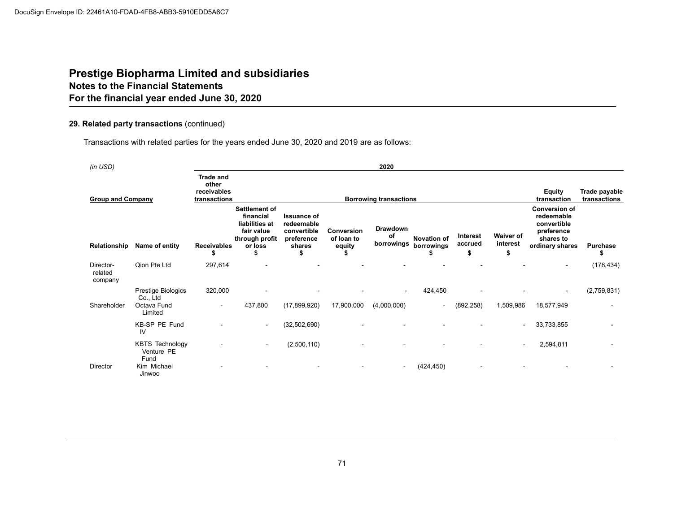### 29. Related party transactions (continued)

Transactions with related parties for the years ended June 30, 2020 and 2019 are as follows:

| (in USD)                        |                                               | 2020                                                     |                                                                                               |                                                                                                                                                                                                                                                                        |            |                               |                                                                                                 |               |           |                              |                               |
|---------------------------------|-----------------------------------------------|----------------------------------------------------------|-----------------------------------------------------------------------------------------------|------------------------------------------------------------------------------------------------------------------------------------------------------------------------------------------------------------------------------------------------------------------------|------------|-------------------------------|-------------------------------------------------------------------------------------------------|---------------|-----------|------------------------------|-------------------------------|
| <b>Group and Company</b>        |                                               | <b>Trade and</b><br>other<br>receivables<br>transactions |                                                                                               |                                                                                                                                                                                                                                                                        |            | <b>Borrowing transactions</b> |                                                                                                 |               |           | <b>Equity</b><br>transaction | Trade payable<br>transactions |
| Relationship                    | Name of entity                                | <b>Receivables</b><br>£                                  | Settlement of<br>financial<br>liabilities at<br>fair value<br>through profit<br>or loss<br>\$ | <b>Issuance of</b><br>redeemable<br><b>Drawdown</b><br>convertible<br>Conversion<br><b>Waiver of</b><br>оf<br><b>Interest</b><br><b>Novation of</b><br>preference<br>of loan to<br>borrowings<br>interest<br>accrued<br>equity<br>borrowings<br>shares<br>\$<br>S<br>S |            |                               | <b>Conversion of</b><br>redeemable<br>convertible<br>preference<br>shares to<br>ordinary shares | Purchase<br>Ъ |           |                              |                               |
| Director-<br>related<br>company | Qion Pte Ltd                                  | 297,614                                                  |                                                                                               |                                                                                                                                                                                                                                                                        |            |                               |                                                                                                 |               |           |                              | (178, 434)                    |
| Shareholder                     | Prestige Biologics<br>Co., Ltd<br>Octava Fund | 320,000<br>$\,$ $\,$                                     | 437,800                                                                                       | (17,899,920)                                                                                                                                                                                                                                                           | 17,900,000 | $\sim$<br>(4,000,000)         | 424,450<br>$\blacksquare$                                                                       | (892, 258)    | 1,509,986 | 18,577,949                   | (2,759,831)                   |
|                                 | Limited<br>KB-SP PE Fund<br>IV                |                                                          | $\blacksquare$                                                                                | (32, 502, 690)                                                                                                                                                                                                                                                         |            |                               |                                                                                                 |               | $\sim$    | 33,733,855                   |                               |
|                                 | <b>KBTS Technology</b><br>Venture PE<br>Fund  |                                                          |                                                                                               | (2,500,110)                                                                                                                                                                                                                                                            |            |                               |                                                                                                 |               | $\sim$    | 2,594,811                    |                               |
| Director                        | Kim Michael<br>Jinwoo                         |                                                          |                                                                                               |                                                                                                                                                                                                                                                                        |            |                               | (424, 450)                                                                                      |               |           |                              |                               |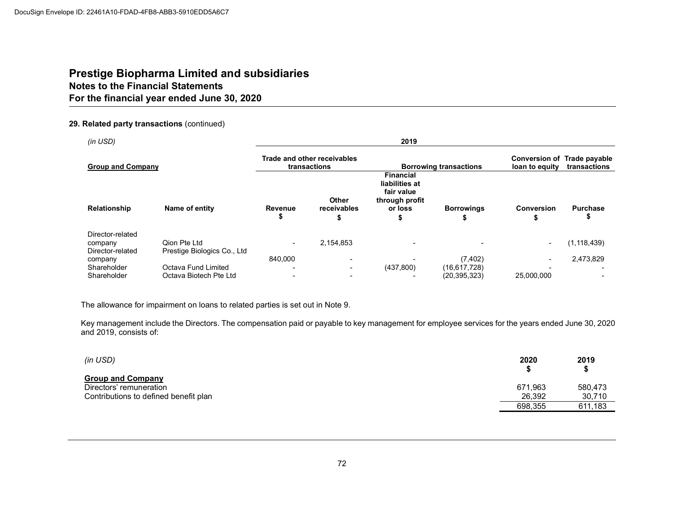### 29. Related party transactions (continued)

| (in USD)                                                                                 |                                                                                              | 2019                                        |                                       |                                                                                     |                                            |                                             |                                             |
|------------------------------------------------------------------------------------------|----------------------------------------------------------------------------------------------|---------------------------------------------|---------------------------------------|-------------------------------------------------------------------------------------|--------------------------------------------|---------------------------------------------|---------------------------------------------|
| <b>Group and Company</b>                                                                 |                                                                                              | Trade and other receivables<br>transactions |                                       |                                                                                     | <b>Borrowing transactions</b>              | loan to equity                              | Conversion of Trade payable<br>transactions |
| Relationship                                                                             | Name of entity                                                                               | Revenue                                     | Other<br>receivables                  | <b>Financial</b><br>liabilities at<br>fair value<br>through profit<br>or loss<br>\$ | <b>Borrowings</b><br>S                     | Conversion<br>S                             | <b>Purchase</b>                             |
| Director-related<br>company<br>Director-related<br>company<br>Shareholder<br>Shareholder | Qion Pte Ltd<br>Prestige Biologics Co., Ltd<br>Octava Fund Limited<br>Octava Biotech Pte Ltd | $\blacksquare$<br>840,000<br>۰<br>٠         | 2,154,853<br>$\overline{\phantom{0}}$ | $\overline{\phantom{0}}$<br>(437, 800)                                              | (7, 402)<br>(16,617,728)<br>(20, 395, 323) | $\overline{\phantom{a}}$<br>-<br>25,000,000 | (1, 118, 439)<br>2,473,829                  |

The allowance for impairment on loans to related parties is set out in Note 9.

Key management include the Directors. The compensation paid or payable to key management for employee services for the years ended June 30, 2020 and 2019, consists of:

| (in USD)                                            | 2020              | 2019              |
|-----------------------------------------------------|-------------------|-------------------|
| <b>Group and Company</b><br>Directors' remuneration | 671,963           | 580,473           |
| Contributions to defined benefit plan               | 26.392<br>698.355 | 30,710<br>611.183 |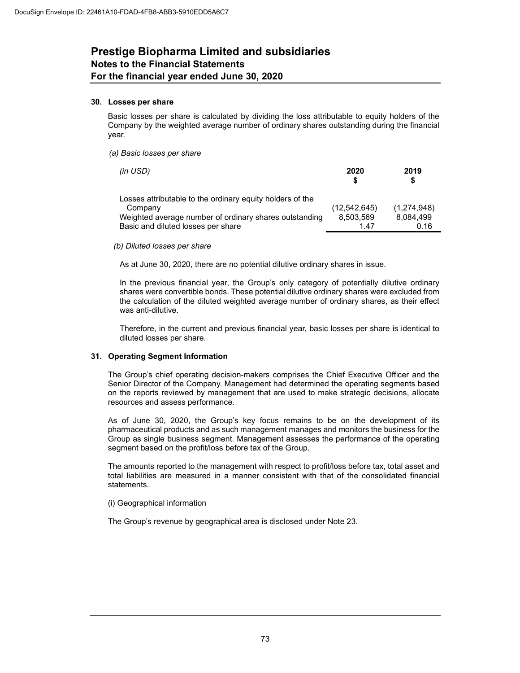#### 30. Losses per share

Basic losses per share is calculated by dividing the loss attributable to equity holders of the Company by the weighted average number of ordinary shares outstanding during the financial year.

#### (a) Basic losses per share

| (in USD)                                                  | 2020         | 2019<br>S   |
|-----------------------------------------------------------|--------------|-------------|
| Losses attributable to the ordinary equity holders of the |              |             |
| Company                                                   | (12,542,645) | (1,274,948) |
| Weighted average number of ordinary shares outstanding    | 8,503,569    | 8.084.499   |
| Basic and diluted losses per share                        | 1 47         | 0.16        |

#### (b) Diluted losses per share

As at June 30, 2020, there are no potential dilutive ordinary shares in issue.

In the previous financial year, the Group's only category of potentially dilutive ordinary shares were convertible bonds. These potential dilutive ordinary shares were excluded from the calculation of the diluted weighted average number of ordinary shares, as their effect was anti-dilutive.

Therefore, in the current and previous financial year, basic losses per share is identical to diluted losses per share.

### 31. Operating Segment Information

The Group's chief operating decision-makers comprises the Chief Executive Officer and the Senior Director of the Company. Management had determined the operating segments based on the reports reviewed by management that are used to make strategic decisions, allocate resources and assess performance.

As of June 30, 2020, the Group's key focus remains to be on the development of its pharmaceutical products and as such management manages and monitors the business for the Group as single business segment. Management assesses the performance of the operating segment based on the profit/loss before tax of the Group.

The amounts reported to the management with respect to profit/loss before tax, total asset and total liabilities are measured in a manner consistent with that of the consolidated financial statements.

(i) Geographical information

The Group's revenue by geographical area is disclosed under Note 23.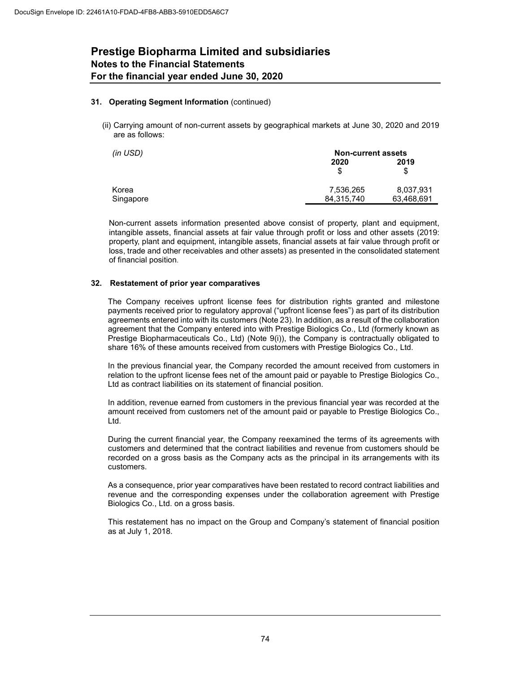### 31. Operating Segment Information (continued)

(ii) Carrying amount of non-current assets by geographical markets at June 30, 2020 and 2019 are as follows:

| (in USD)  | <b>Non-current assets</b> |            |  |  |
|-----------|---------------------------|------------|--|--|
|           | 2020<br>S                 | 2019<br>S  |  |  |
| Korea     | 7,536,265                 | 8,037,931  |  |  |
| Singapore | 84,315,740                | 63,468,691 |  |  |

Non-current assets information presented above consist of property, plant and equipment, intangible assets, financial assets at fair value through profit or loss and other assets (2019: property, plant and equipment, intangible assets, financial assets at fair value through profit or loss, trade and other receivables and other assets) as presented in the consolidated statement of financial position.

#### 32. Restatement of prior year comparatives

The Company receives upfront license fees for distribution rights granted and milestone payments received prior to regulatory approval ("upfront license fees") as part of its distribution agreements entered into with its customers (Note 23). In addition, as a result of the collaboration agreement that the Company entered into with Prestige Biologics Co., Ltd (formerly known as Prestige Biopharmaceuticals Co., Ltd) (Note 9(i)), the Company is contractually obligated to share 16% of these amounts received from customers with Prestige Biologics Co., Ltd.

In the previous financial year, the Company recorded the amount received from customers in relation to the upfront license fees net of the amount paid or payable to Prestige Biologics Co., Ltd as contract liabilities on its statement of financial position.

In addition, revenue earned from customers in the previous financial year was recorded at the amount received from customers net of the amount paid or payable to Prestige Biologics Co., Ltd.

During the current financial year, the Company reexamined the terms of its agreements with customers and determined that the contract liabilities and revenue from customers should be recorded on a gross basis as the Company acts as the principal in its arrangements with its customers.

As a consequence, prior year comparatives have been restated to record contract liabilities and revenue and the corresponding expenses under the collaboration agreement with Prestige Biologics Co., Ltd. on a gross basis.

This restatement has no impact on the Group and Company's statement of financial position as at July 1, 2018.